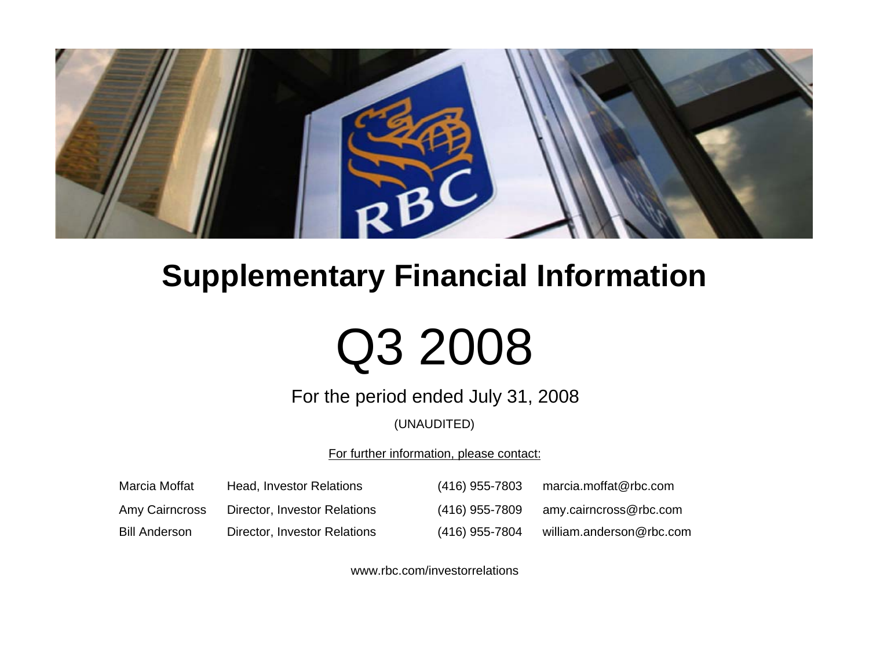

## **Supplementary Financial Information**

# Q3 2008

For the period ended July 31, 2008

(UNAUDITED)

For further information, please contact:

| Marcia Moffat        | Head, Investor Relations     | (416) 955-7803 | marcia.moffat@rbc.com    |
|----------------------|------------------------------|----------------|--------------------------|
| Amy Cairncross       | Director, Investor Relations | (416) 955-7809 | amy.cairncross@rbc.com   |
| <b>Bill Anderson</b> | Director, Investor Relations | (416) 955-7804 | william.anderson@rbc.com |

www.rbc.com/investorrelations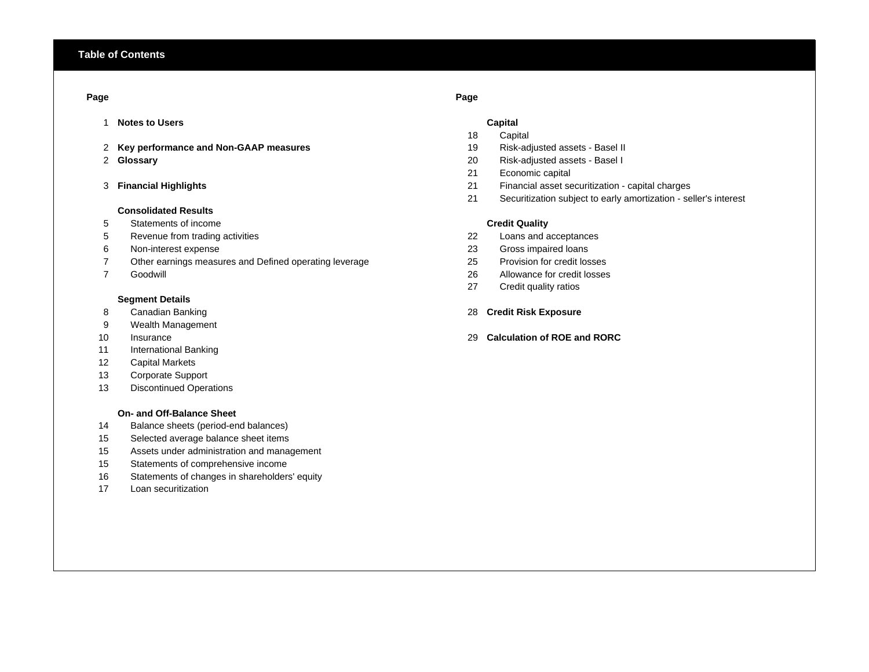## **Page Page**

- 1 **Notes to Users Capital**
- 2 **Key performance and Non-GAAP measures** 19 Risk-adjusted assets Basel II
- 2 Glossary

## 3 Financial Highlights

## **Consolidated Results**

- 5 Statements of income
- 5 Revenue from trading activities 22 Loans and acceptances
- 6 Non-interest expense 23 Gross impaired loans
- 7 Other earnings measures and Defined operating leverage 25 Provision for credit losses
- 7 Goodwill

## **Segment Details**

- 
- 9 Wealth Management
- 10 Insurance
- 11 International Banking
- 12 Capital Markets
- 13 Corporate Support
- 13 Discontinued Operations

## **On- and Off-Balance Sheet**

- 14 Balance sheets (period-end balances)
- 15 Selected average balance sheet items
- 15 Assets under administration and management
- 15 Statements of comprehensive income
- 16 Statements of changes in shareholders' equity
- 17 Loan securitization

- 18 Capital
- 
- **Glossary** 20 Risk-adjusted assets Basel I
- 21 Economic capital
- **Financial Highlights** 21 Financial asset securitization capital charges
- 21 Securitization subject to early amortization seller's interest

## **Credit Quality**

- 
- 
- 
- 26 Allowance for credit losses
- 27 Credit quality ratios

## 8 Canadian Banking 28 **Credit Risk Exposure**

**Calculation of ROE and RORC**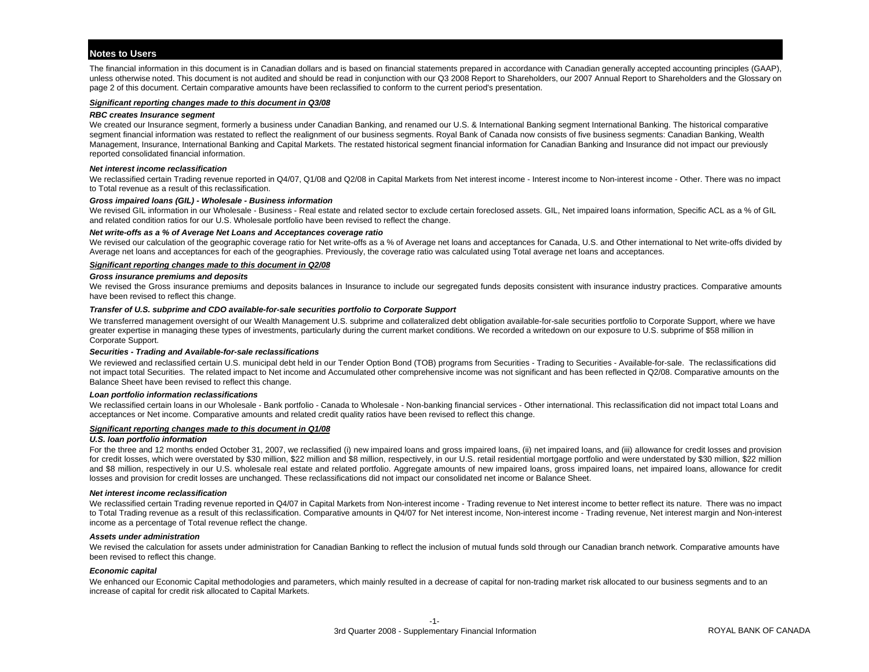## **Notes to Users**

The financial information in this document is in Canadian dollars and is based on financial statements prepared in accordance with Canadian generally accepted accounting principles (GAAP), unless otherwise noted. This document is not audited and should be read in conjunction with our Q3 2008 Report to Shareholders, our 2007 Annual Report to Shareholders and the Glossary on page 2 of this document. Certain comparative amounts have been reclassified to conform to the current period's presentation.

## *Significant reporting changes made to this document in Q3/08*

## *RBC creates Insurance segment*

We created our Insurance segment, formerly a business under Canadian Banking, and renamed our U.S. & International Banking segment International Banking. The historical comparative segment financial information was restated to reflect the realignment of our business segments. Royal Bank of Canada now consists of five business segments: Canadian Banking, Wealth Management, Insurance, International Banking and Capital Markets. The restated historical segment financial information for Canadian Banking and Insurance did not impact our previously reported consolidated financial information.

## *Net interest income reclassification*

We reclassified certain Trading revenue reported in Q4/07, Q1/08 and Q2/08 in Capital Markets from Net interest income - Interest income to Non-interest income - Other. There was no impact to Total revenue as a result of this reclassification.

## *Gross impaired loans (GIL) - Wholesale - Business information*

We revised GIL information in our Wholesale - Business - Real estate and related sector to exclude certain foreclosed assets. GIL, Net impaired loans information, Specific ACL as a % of GIL and related condition ratios for our U.S. Wholesale portfolio have been revised to reflect the change.

## *Net write-offs as a % of Average Net Loans and Acceptances coverage ratio*

We revised our calculation of the geographic coverage ratio for Net write-offs as a % of Average net loans and acceptances for Canada, U.S. and Other international to Net write-offs divided by Average net loans and acceptances for each of the geographies. Previously, the coverage ratio was calculated using Total average net loans and acceptances.

## *Significant reporting changes made to this document in Q2/08*

## *Gross insurance premiums and deposits*

We revised the Gross insurance premiums and deposits balances in Insurance to include our segregated funds deposits consistent with insurance industry practices. Comparative amounts have been revised to reflect this change.

## *Transfer of U.S. subprime and CDO available-for-sale securities portfolio to Corporate Support*

We transferred management oversight of our Wealth Management U.S. subprime and collateralized debt obligation available-for-sale securities portfolio to Corporate Support, where we have greater expertise in managing these types of investments, particularly during the current market conditions. We recorded a writedown on our exposure to U.S. subprime of \$58 million in Corporate Support.

## *Securities - Trading and Available-for-sale reclassifications*

We reviewed and reclassified certain U.S. municipal debt held in our Tender Option Bond (TOB) programs from Securities - Trading to Securities - Available-for-sale. The reclassifications did not impact total Securities. The related impact to Net income and Accumulated other comprehensive income was not significant and has been reflected in Q2/08. Comparative amounts on the Balance Sheet have been revised to reflect this change.

## *Loan portfolio information reclassifications*

We reclassified certain loans in our Wholesale - Bank portfolio - Canada to Wholesale - Non-banking financial services - Other international. This reclassification did not impact total Loans and acceptances or Net income. Comparative amounts and related credit quality ratios have been revised to reflect this change.

## *Significant reporting changes made to this document in Q1/08*

## *U.S. loan portfolio information*

For the three and 12 months ended October 31, 2007, we reclassified (i) new impaired loans and gross impaired loans, (ii) net impaired loans, and (iii) allowance for credit losses and provision for credit losses, which were overstated by \$30 million, \$22 million and \$8 million, respectively, in our U.S. retail residential mortgage portfolio and were understated by \$30 million, \$22 million and \$8 million, respectively in our U.S. wholesale real estate and related portfolio. Aggregate amounts of new impaired loans, gross impaired loans, net impaired loans, allowance for credit losses and provision for credit losses are unchanged. These reclassifications did not impact our consolidated net income or Balance Sheet.

## *Net interest income reclassification*

We reclassified certain Trading revenue reported in Q4/07 in Capital Markets from Non-interest income - Trading revenue to Net interest income to better reflect its nature. There was no impact to Total Trading revenue as a result of this reclassification. Comparative amounts in Q4/07 for Net interest income, Non-interest income - Trading revenue, Net interest margin and Non-interest income as a percentage of Total revenue reflect the change.

## *Assets under administration*

We revised the calculation for assets under administration for Canadian Banking to reflect the inclusion of mutual funds sold through our Canadian branch network. Comparative amounts have been revised to reflect this change.

## *Economic capital*

We enhanced our Economic Capital methodologies and parameters, which mainly resulted in a decrease of capital for non-trading market risk allocated to our business segments and to an increase of capital for credit risk allocated to Capital Markets.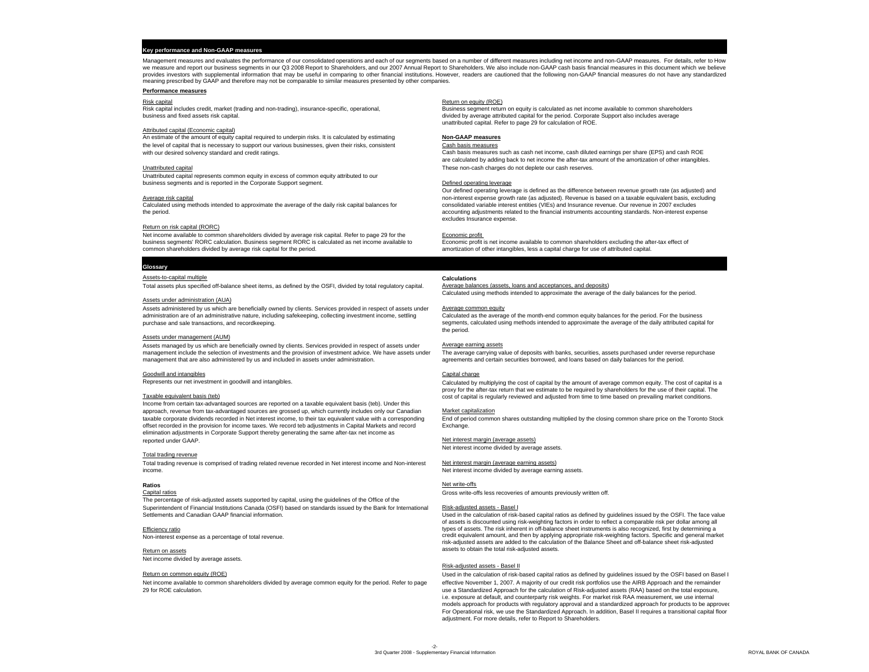## **Key performance and Non-GAAP measures**

Management measures and evaluates the performance of our consolidated operations and each of our segments based on a number of different measures including net income and non-GAAP measures. For details, refer to How we measure and report our business segments in our Q3 2008 Report to Shareholders, and our 2007 Annual Report to Shareholders. We also include non-GAAP cash basis financial measures in this document which we believe provides investors with supplemental information that may be useful in comparing to other financial institutions. However, readers are cautioned that the following non-GAAP financial measures do not have any standardized meaning prescribed by GAAP and therefore may not be comparable to similar measures presented by other companies.

## **Performance measures**

## Attributed capital (Economic capital)

An estimate of the amount of equity capital required to underpin risks. It is calculated by estimating **Non-GAAP measures** the level of capital that is necessary to support our various businesses, given their risks, consistent Cash basis measures<br>
with our desired solvency standard and credit ratings.

Unattributed capital represents common equity in excess of common equity attributed to our business segments and is reported in the Corporate Support segment. The corporation of the Defined operating leverage

## Return on risk capital (RORC)

Net income available to common shareholders divided by average risk capital. Refer to page 29 for the<br>
business segments' RORC calculation. Business segment RORC is calculated as net income available to expondic profit is business segments' RORC calculation. Business segment RORC is calculated as net income available to common shareholders divided by average risk capital for the period.

## **Glossary**

## Assets-to-capital multiple **Calculations**

Total assets plus specified off-balance sheet items, as defined by the OSFI, divided by total regulatory capital.

## Assets under administration (AUA)

Assets administered by us which are beneficially owned by clients. Services provided in respect of assets under Average common equity<br>administration are of an administrative nature, including safekeeping, collecting invest administration are of an administrative nature, including safekeeping, collecting investment income, settling<br>purchase and sale transactions, and recordkeeping.

## Assets under management (AUM)

Assets managed by us which are beneficially owned by clients. Services provided in respect of assets under Average earning assets management include the selection of investments and the provision of investment advice. We have assets under management that are also administered by us and included in assets under administration.

## Goodwill and intangibles Capital charge Capital charge Capital charge Capital charge

Represents our net investment in goodwill and intangibles.

## Taxable equivalent basis (teb)

Income from certain tax-advantaged sources are reported on a taxable equivalent basis (teb). Under this approach, revenue from tax-advantaged sources are grossed up, which currently includes only our Canadian Market capitalization<br>taxable corporate dividends recorded in Net interest income, to their tax equivalent value with taxable corporate dividends recorded in Net interest income, to their tax equivalent value with a corresponding offset recorded in the provision for income taxes. We record teb adjustments in Capital Markets and record Exchange. elimination adjustments in Corporate Support thereby generating the same after-tax net income as

## Total trading revenue

Total trading revenue is comprised of trading related revenue recorded in Net interest income and Non-interest Net interest margin (average earning assets) income.

## **Ratios**

The percentage of risk-adjusted assets supported by capital, using the guidelines of the Office of the Superintendent of Financial Institutions Canada (OSFI) based on standards issued by the Bank for International Risk-adjusted assets - Basel I Settlements and Canadian GAAP financial information.

## Efficiency ratio

Non-interest expense as a percentage of total revenue.

Return on assetsNet income divided by average assets.

29 for ROE calculation.

## Risk capital Return on equity (ROE)

Risk capital includes credit, market (trading and non-trading), insurance-specific, operational, Business segment return on equity is calculated as net income available to common shareholders includes and trading and the p divided by average attributed capital for the period. Corporate Support also includes average unattributed capital. Refer to page 29 for calculation of ROE.

Cash basis measures such as cash net income, cash diluted earnings per share (EPS) and cash ROE are calculated by adding back to net income the after-tax amount of the amortization of other intangibles. Unattributed capital These non-cash charges do not deplete our cash reserves.

Our defined operating leverage is defined as the difference between revenue growth rate (as adjusted) and Average risk capital non-interest expense growth rate (as adjusted). Revenue is based on a taxable equivalent basis, excluding Calculated using methods intended to approximate the average of the daily risk capital balances for consolidated variable interest entities (VIES) and Insurance revenue. Our revenue in 2007 excludes the neiral of the finan accounting adjustments related to the financial instruments accounting standards. Non-interest expense excludes Insurance expense.

amortization of other intangibles, less a capital charge for use of attributed capital.

Average halances (assets loans and accentances and denosits) Calculated using methods intended to approximate the average of the daily balances for the period.

segments, calculated using methods intended to approximate the average of the daily attributed capital for the period.

The average carrying value of deposits with banks, securities, assets purchased under reverse repurchase agreements and certain securities borrowed, and loans based on daily balances for the period.

Calculated by multiplying the cost of capital by the amount of average common equity. The cost of capital is a proxy for the after-tax return that we estimate to be required by shareholders for the use of their capital. The cost of capital is regularly reviewed and adjusted from time to time based on prevailing market conditions.

Net interest margin (average assets) Net interest income divided by average assets.

Net interest income divided by average earning assets.

## s and the state of state of  $\sim$  Net write-offs

Capital ratios Gross write-offs less recoveries of amounts previously written off.

Used in the calculation of risk-based capital ratios as defined by guidelines issued by the OSFI. The face value of assets is discounted using risk-weighting factors in order to reflect a comparable risk per dollar among all types of assets. The risk inherent in off-balance sheet instruments is also recognized, first by determining a credit equivalent amount, and then by applying appropriate risk-weighting factors. Specific and general market risk-adjusted assets are added to the calculation of the Balance Sheet and off-balance sheet risk-adjusted assets to obtain the total risk-adjusted assets.

## Risk-adjusted assets - Basel II

Return on common equity (ROE) Used in the calculation of risk-based capital ratios as defined by guidelines issued by the OSFI based on Basel I Net income available to common shareholders divided by average common equity for the period. Refer to page effective November 1, 2007. A majority of our credit risk portfolios use the AIRB Approach and the remainder use a Standardized Approach for the calculation of Risk-adjusted assets (RAA) based on the total exposure, i.e. exposure at default, and counterparty risk weights. For market risk RAA measurement, we use internal models approach for products with regulatory approval and a standardized approach for products to be approved For Operational risk, we use the Standardized Approach. In addition, Basel II requires a transitional capital floor adjustment. For more details, refer to Report to Shareholders.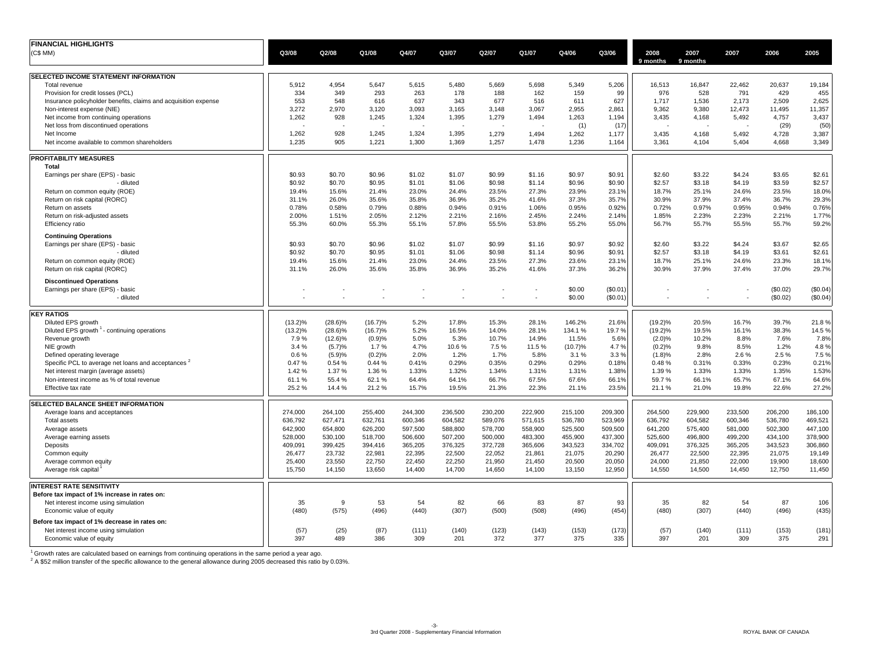| <b>FINANCIAL HIGHLIGHTS</b>                                     |              |            |                 |         |         |              |         |                 |          |            |               |              |          |          |
|-----------------------------------------------------------------|--------------|------------|-----------------|---------|---------|--------------|---------|-----------------|----------|------------|---------------|--------------|----------|----------|
| (C\$ MM)                                                        | Q3/08        | Q2/08      | Q1/08           | Q4/07   | Q3/07   | Q2/07        | Q1/07   | Q4/06           | Q3/06    | 2008       | 2007          | 2007         | 2006     | 2005     |
|                                                                 |              |            |                 |         |         |              |         |                 |          | 9 months   | 9 months      |              |          |          |
| SELECTED INCOME STATEMENT INFORMATION                           |              |            |                 |         |         |              |         |                 |          |            |               |              |          |          |
| Total revenue                                                   | 5,912        | 4,954      | 5,647           | 5,615   | 5,480   | 5,669        | 5,698   | 5,349           | 5,206    | 16,513     | 16,847        | 22,462       | 20,637   | 19,184   |
| Provision for credit losses (PCL)                               | 334          | 349        | 293             | 263     | 178     | 188          | 162     | 159             | 99       | 976        | 528           | 791          | 429      | 455      |
| Insurance policyholder benefits, claims and acquisition expense | 553          | 548        | 616             | 637     | 343     | 677          | 516     | 611             | 627      | 1,717      | 1,536         | 2,173        | 2,509    | 2,625    |
| Non-interest expense (NIE)                                      | 3,272        | 2,970      | 3,120           | 3,093   | 3,165   | 3,148        | 3,067   | 2.955           | 2,861    | 9.362      | 9,380         | 12,473       | 11,495   | 11,357   |
| Net income from continuing operations                           | 1,262        | 928        | 1,245           | 1,324   | 1,395   | 1,279        | 1,494   | 1,263           | 1,194    | 3,435      | 4,168         | 5,492        | 4,757    | 3,437    |
| Net loss from discontinued operations                           |              |            |                 |         |         |              |         | (1)             | (17)     |            |               |              | (29)     | (50)     |
| Net Income                                                      | 1,262        | 928        | 1,245           | 1,324   | 1,395   | 1,279        | 1,494   | 1,262           | 1,177    | 3,435      | 4,168         | 5,492        | 4,728    | 3,387    |
| Net income available to common shareholders                     | 1,235        | 905        | 1,221           | 1,300   | 1,369   | 1,257        | 1,478   | 1,236           | 1,164    | 3,361      | 4,104         | 5,404        | 4,668    | 3,349    |
| <b>PROFITABILITY MEASURES</b>                                   |              |            |                 |         |         |              |         |                 |          |            |               |              |          |          |
| Total                                                           |              |            |                 |         |         |              |         |                 |          |            |               |              |          |          |
| Earnings per share (EPS) - basic                                | \$0.93       | \$0.70     | \$0.96          | \$1.02  | \$1.07  | \$0.99       | \$1.16  | \$0.97          | \$0.91   | \$2.60     | \$3.22        | \$4.24       | \$3.65   | \$2.61   |
| - diluted                                                       | \$0.92       | \$0.70     | \$0.95          | \$1.01  | \$1.06  | \$0.98       | \$1.14  | \$0.96          | \$0.90   | \$2.57     | \$3.18        | \$4.19       | \$3.59   | \$2.57   |
| Return on common equity (ROE)                                   | 19.4%        | 15.6%      | 21.4%           | 23.0%   | 24.4%   | 23.5%        | 27.3%   | 23.9%           | 23.1%    | 18.7%      | 25.1%         | 24.6%        | 23.5%    | 18.0%    |
| Return on risk capital (RORC)                                   | 31.1%        | 26.0%      | 35.6%           | 35.8%   | 36.9%   | 35.2%        | 41.6%   | 37.3%           | 35.7%    | 30.9%      | 37.9%         | 37.4%        | 36.7%    | 29.3%    |
| Return on assets                                                | 0.78%        | 0.58%      | 0.79%           | 0.88%   | 0.94%   | 0.91%        | 1.06%   | 0.95%           | 0.92%    | 0.72%      | 0.97%         | 0.95%        | 0.94%    | 0.76%    |
|                                                                 |              |            | 2.05%           | 2.12%   | 2.21%   |              |         | 2.24%           |          |            | 2.23%         | 2.23%        | 2.21%    |          |
| Return on risk-adjusted assets                                  | 2.00%        | 1.51%      |                 |         |         | 2.16%        | 2.45%   |                 | 2.14%    | 1.85%      |               |              |          | 1.77%    |
| Efficiency ratio                                                | 55.3%        | 60.0%      | 55.3%           | 55.1%   | 57.8%   | 55.5%        | 53.8%   | 55.2%           | 55.0%    | 56.7%      | 55.7%         | 55.5%        | 55.7%    | 59.2%    |
| <b>Continuing Operations</b>                                    |              |            |                 |         |         |              |         |                 |          |            |               |              |          |          |
| Earnings per share (EPS) - basic                                | \$0.93       | \$0.70     | \$0.96          | \$1.02  | \$1.07  | \$0.99       | \$1.16  | \$0.97          | \$0.92   | \$2.60     | \$3.22        | \$4.24       | \$3.67   | \$2.65   |
| - diluted                                                       | \$0.92       | \$0.70     | \$0.95          | \$1.01  | \$1.06  | \$0.98       | \$1.14  | \$0.96          | \$0.91   | \$2.57     | \$3.18        | \$4.19       | \$3.61   | \$2.61   |
| Return on common equity (ROE)                                   | 19.4%        | 15.6%      | 21.4%           | 23.0%   | 24.4%   | 23.5%        | 27.3%   | 23.6%           | 23.1%    | 18.7%      | 25.1%         | 24.6%        | 23.3%    | 18.1%    |
| Return on risk capital (RORC)                                   | 31.1%        | 26.0%      | 35.6%           | 35.8%   | 36.9%   | 35.2%        | 41.6%   | 37.3%           | 36.2%    | 30.9%      | 37.9%         | 37.4%        | 37.0%    | 29.7%    |
| <b>Discontinued Operations</b>                                  |              |            |                 |         |         |              |         |                 |          |            |               |              |          |          |
| Earnings per share (EPS) - basic                                |              |            |                 |         |         |              |         | \$0.00          | (\$0.01) |            |               |              | (\$0.02) | (\$0.04) |
| - diluted                                                       |              |            | ٠               |         |         |              |         | \$0.00          | (\$0.01) |            |               |              | (\$0.02) | (\$0.04) |
| <b>KEY RATIOS</b>                                               |              |            |                 |         |         |              |         |                 |          |            |               |              |          |          |
| Diluted EPS growth                                              | $(13.2)\%$   | $(28.6)\%$ | $(16.7)\%$      | 5.2%    | 17.8%   | 15.3%        | 28.1%   | 146.2%          | 21.6%    | $(19.2)\%$ | 20.5%         | 16.7%        | 39.7%    | 21.8%    |
| Diluted EPS growth <sup>1</sup> - continuing operations         | $(13.2)\%$   | $(28.6)\%$ | $(16.7)\%$      | 5.2%    | 16.5%   | 14.0%        | 28.1%   | 134.1%          | 19.7%    | $(19.2)\%$ | 19.5%         | 16.1%        | 38.3%    | 14.5%    |
|                                                                 |              |            |                 | 5.0%    | 5.3%    | 10.7%        |         |                 | 5.6%     |            |               |              | 7.6%     | 7.8%     |
| Revenue growth                                                  | 7.9%<br>3.4% | $(12.6)\%$ | (0.9)%          | 4.7%    | 10.6%   |              | 14.9%   | 11.5%           | 4.7%     | (2.0)%     | 10.2%<br>9.8% | 8.8%<br>8.5% | 1.2%     |          |
| NIE growth                                                      | 0.6%         | (5.7)%     | 1.7%            | 2.0%    | 1.2%    | 7.5%<br>1.7% | 11.5%   | (10.7)%<br>3.1% | 3.3%     | (0.2)%     | 2.8%          | 2.6%         | 2.5 %    | 4.8%     |
| Defined operating leverage                                      |              | (5.9)%     | (0.2)%<br>0.44% | 0.41%   |         | 0.35%        | 5.8%    |                 |          | (1.8)%     |               |              |          | 7.5 %    |
| Specific PCL to average net loans and acceptances "             | 0.47%        | 0.54 %     |                 |         | 0.29%   |              | 0.29%   | 0.29%           | 0.18%    | 0.48%      | 0.31%         | 0.33%        | 0.23%    | 0.21%    |
| Net interest margin (average assets)                            | 1.42 %       | 1.37%      | 1.36 %          | 1.33%   | 1.32%   | 1.34%        | 1.31%   | 1.31%           | 1.38%    | 1.39 %     | 1.33%         | 1.33%        | 1.35%    | 1.53%    |
| Non-interest income as % of total revenue                       | 61.1%        | 55.4%      | 62.1%           | 64.4%   | 64.1%   | 66.7%        | 67.5%   | 67.6%           | 66.1%    | 59.7%      | 66.1%         | 65.7%        | 67.1%    | 64.6%    |
| Effective tax rate                                              | 25.2%        | 14.4%      | 21.2%           | 15.7%   | 19.5%   | 21.3%        | 22.3%   | 21.1%           | 23.5%    | 21.1%      | 21.0%         | 19.8%        | 22.6%    | 27.2%    |
| SELECTED BALANCE SHEET INFORMATION                              |              |            |                 |         |         |              |         |                 |          |            |               |              |          |          |
| Average loans and acceptances                                   | 274,000      | 264,100    | 255,400         | 244,300 | 236,500 | 230,200      | 222,900 | 215,100         | 209,300  | 264,500    | 229,900       | 233,500      | 206,200  | 186,100  |
| <b>Total assets</b>                                             | 636,792      | 627,471    | 632,761         | 600,346 | 604,582 | 589,076      | 571.615 | 536,780         | 523,969  | 636,792    | 604,582       | 600,346      | 536,780  | 469,521  |
| Average assets                                                  | 642,900      | 654,800    | 626,200         | 597,500 | 588,800 | 578,700      | 558,900 | 525,500         | 509,500  | 641,200    | 575,400       | 581,000      | 502,300  | 447,100  |
| Average earning assets                                          | 528.000      | 530.100    | 518.700         | 506,600 | 507,200 | 500.000      | 483.300 | 455.900         | 437,300  | 525.600    | 496.800       | 499.200      | 434.100  | 378,900  |
| Deposits                                                        | 409,091      | 399,425    | 394,416         | 365,205 | 376,325 | 372,728      | 365,606 | 343,523         | 334,702  | 409,091    | 376,325       | 365,205      | 343,523  | 306,860  |
| Common equity                                                   | 26,477       | 23,732     | 22,981          | 22,395  | 22,500  | 22,052       | 21,861  | 21,075          | 20,290   | 26,477     | 22,500        | 22,395       | 21,075   | 19,149   |
| Average common equity                                           | 25,400       | 23,550     | 22,750          | 22,450  | 22,250  | 21,950       | 21,450  | 20,500          | 20,050   | 24,000     | 21,850        | 22,000       | 19,900   | 18,600   |
|                                                                 |              |            |                 |         |         |              |         |                 |          |            |               |              |          |          |
| Average risk capital                                            | 15,750       | 14,150     | 13,650          | 14,400  | 14,700  | 14,650       | 14,100  | 13,150          | 12,950   | 14,550     | 14,500        | 14,450       | 12,750   | 11,450   |
| <b>INTEREST RATE SENSITIVITY</b>                                |              |            |                 |         |         |              |         |                 |          |            |               |              |          |          |
| Before tax impact of 1% increase in rates on:                   |              |            |                 |         |         |              |         |                 |          |            |               |              |          |          |
| Net interest income using simulation                            | 35           | 9          | 53              | 54      | 82      | 66           | 83      | 87              | 93       | 35         | 82            | 54           | 87       | 106      |
| Economic value of equity                                        | (480)        | (575)      | (496)           | (440)   | (307)   | (500)        | (508)   | (496)           | (454)    | (480)      | (307)         | (440)        | (496)    | (435)    |
| Before tax impact of 1% decrease in rates on:                   |              |            |                 |         |         |              |         |                 |          |            |               |              |          |          |
| Net interest income using simulation                            | (57)         | (25)       | (87)            | (111)   | (140)   | (123)        | (143)   | (153)           | (173)    | (57)       | (140)         | (111)        | (153)    | (181)    |
| Economic value of equity                                        | 397          | 489        | 386             | 309     | 201     | 372          | 377     | 375             | 335      | 397        | 201           | 309          | 375      | 291      |

<sup>1</sup> Growth rates are calculated based on earnings from continuing operations in the same period a year ago.<br><sup>2</sup> A \$52 million transfer of the specific allowance to the general allowance during 2005 decreased this ratio by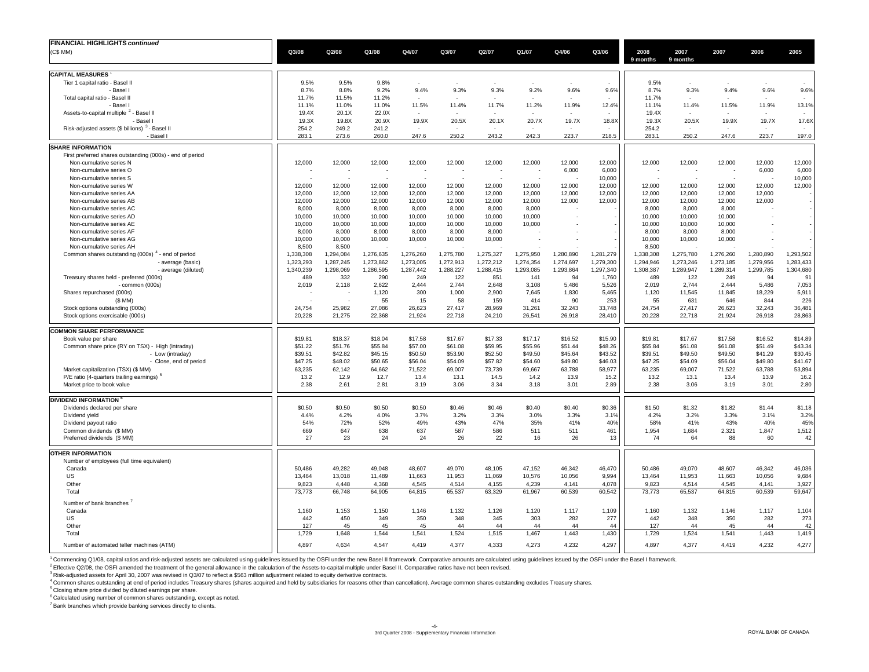| <b>FINANCIAL HIGHLIGHTS continued</b>                                    |                        |                        |                          |                        |                        |                          |                        |                        |                        |                        |                          |                          |                        |                        |
|--------------------------------------------------------------------------|------------------------|------------------------|--------------------------|------------------------|------------------------|--------------------------|------------------------|------------------------|------------------------|------------------------|--------------------------|--------------------------|------------------------|------------------------|
| (C\$MM)                                                                  | Q3/08                  | Q2/08                  | Q1/08                    | Q4/07                  | Q3/07                  | Q2/07                    | Q1/07                  | Q4/06                  | Q3/06                  | 2008                   | 2007                     | 2007                     | 2006                   | 2005                   |
|                                                                          |                        |                        |                          |                        |                        |                          |                        |                        |                        | 9 months               | 9 months                 |                          |                        |                        |
| <b>CAPITAL MEASURES</b>                                                  |                        |                        |                          |                        |                        |                          |                        |                        |                        |                        |                          |                          |                        |                        |
| Tier 1 capital ratio - Basel II                                          | 9.5%                   | 9.5%                   | 9.8%                     | $\sim$                 |                        | $\overline{\phantom{a}}$ |                        |                        |                        | 9.5%                   | $\overline{\phantom{a}}$ |                          |                        |                        |
| - Basel                                                                  | 8.7%                   | 8.8%                   | 9.2%                     | 9.4%                   | 9.3%                   | 9.3%                     | 9.2%                   | 9.6%                   | 9.6%                   | 8.7%                   | 9.3%                     | 9.4%                     | 9.6%                   | 9.6%                   |
| Total capital ratio - Basel II                                           | 11.7%                  | 11.5%                  | 11.2%                    |                        |                        |                          |                        |                        |                        | 11.7%                  | ÷.                       |                          |                        |                        |
| - Basel                                                                  | 11.1%                  | 11.0%                  | 11.0%                    | 11.5%                  | 11.4%                  | 11.7%                    | 11.2%                  | 11.9%                  | 12.4%                  | 11.1%                  | 11.4%                    | 11.5%                    | 11.9%                  | 13.1%                  |
| Assets-to-capital multiple <sup>2</sup> - Basel II                       | 19.4X                  | 20.1X                  | 22.0X                    |                        |                        |                          |                        |                        |                        | 19.4X                  |                          |                          |                        |                        |
| - Basel                                                                  | 19.3X                  | 19.8X                  | 20.9X                    | 19.9X                  | 20.5X                  | 20.1X                    | 20.7X                  | 19.7X                  | 18.8X                  | 19.3X                  | 20.5X                    | 19.9X                    | 19.7X                  | 17.6X                  |
| Risk-adjusted assets (\$ billions) <sup>3</sup> - Basel I                | 254.2                  | 249.2                  | 241.2                    |                        |                        |                          |                        |                        |                        | 254.2                  |                          |                          |                        |                        |
| - Basel I                                                                | 283.1                  | 273.6                  | 260.0                    | 247.6                  | 250.2                  | 243.2                    | 242.3                  | 223.7                  | 218.5                  | 283.1                  | 250.2                    | 247.6                    | 223.7                  | 197.0                  |
| <b>SHARE INFORMATION</b>                                                 |                        |                        |                          |                        |                        |                          |                        |                        |                        |                        |                          |                          |                        |                        |
| First preferred shares outstanding (000s) - end of period                |                        |                        |                          |                        |                        |                          |                        |                        |                        |                        |                          |                          |                        |                        |
| Non-cumulative series N                                                  | 12,000                 | 12,000                 | 12,000                   | 12,000                 | 12,000                 | 12,000                   | 12,000                 | 12,000                 | 12,000                 | 12,000                 | 12,000                   | 12,000                   | 12,000                 | 12,000                 |
| Non-cumulative series O<br>Non-cumulative series S                       |                        |                        |                          |                        |                        |                          | $\sim$                 | 6,000                  | 6,000<br>10,000        |                        |                          | $\overline{\phantom{a}}$ | 6,000<br>٠             | 6,000<br>10,000        |
| Non-cumulative series W                                                  | 12,000                 | 12,000                 | 12,000                   | 12,000                 | 12,000                 | 12,000                   | 12,000                 | 12,000                 | 12,000                 | 12,000                 | 12,000                   | 12,000                   | 12,000                 | 12,000                 |
| Non-cumulative series AA                                                 | 12,000                 | 12,000                 | 12,000                   | 12,000                 | 12,000                 | 12,000                   | 12,000                 | 12,000                 | 12,000                 | 12,000                 | 12,000                   | 12,000                   | 12,000                 |                        |
| Non-cumulative series AB                                                 | 12,000                 | 12,000                 | 12,000                   | 12,000                 | 12,000                 | 12,000                   | 12,000                 | 12,000                 | 12,000                 | 12,000                 | 12,000                   | 12,000                   | 12,000                 |                        |
| Non-cumulative series AC                                                 | 8,000                  | 8,000                  | 8,000                    | 8,000                  | 8,000                  | 8,000                    | 8,000                  |                        |                        | 8,000                  | 8,000                    | 8,000                    |                        |                        |
| Non-cumulative series AD                                                 | 10.000                 | 10,000                 | 10,000                   | 10.000                 | 10,000                 | 10.000                   | 10.000                 |                        |                        | 10,000                 | 10.000                   | 10,000                   |                        |                        |
| Non-cumulative series AE                                                 | 10,000                 | 10,000                 | 10,000                   | 10,000                 | 10,000                 | 10,000                   | 10,000                 |                        |                        | 10,000                 | 10,000                   | 10,000                   |                        |                        |
| Non-cumulative series AF                                                 | 8,000                  | 8,000                  | 8,000                    | 8,000                  | 8,000                  | 8,000                    |                        |                        |                        | 8,000                  | 8,000                    | 8,000                    |                        |                        |
| Non-cumulative series AG                                                 | 10,000                 | 10,000                 | 10,000                   | 10,000                 | 10,000                 | 10,000                   |                        |                        |                        | 10,000                 | 10,000                   | 10,000                   |                        |                        |
| Non-cumulative series AH                                                 | 8,500                  | 8,500                  | $\overline{\phantom{a}}$ |                        |                        |                          |                        |                        |                        | 8,500                  |                          |                          |                        |                        |
| Common shares outstanding (000s) <sup>4</sup> - end of period            | 1,338,308              | 1,294,084              | 1,276,635                | 1,276,260              | 1,275,780              | 1,275,327                | 1,275,950              | 1,280,890              | 1,281,279              | 1,338,308              | 1,275,780                | 1,276,260                | 1,280,890              | 1,293,502              |
| - average (basic)                                                        | 1,323,293<br>1,340,239 | 1,287,245<br>1,298,069 | 1,273,862<br>1,286,595   | 1,273,005<br>1,287,442 | 1,272,913<br>1,288,227 | 1,272,212<br>1,288,415   | 1,274,354<br>1,293,085 | 1,274,697<br>1,293,864 | 1,279,300<br>1,297,340 | 1,294,946<br>1,308,387 | 1,273,246<br>1,289,947   | 1,273,185<br>1,289,314   | 1,279,956<br>1,299,785 | 1,283,433<br>1,304,680 |
| - average (diluted)<br>Treasury shares held - preferred (000s)           | 489                    | 332                    | 290                      | 249                    | 122                    | 851                      | 141                    | 94                     | 1,760                  | 489                    | 122                      | 249                      | 94                     | 91                     |
| - common (000s)                                                          | 2,019                  | 2,118                  | 2,622                    | 2.444                  | 2,744                  | 2.648                    | 3,108                  | 5,486                  | 5,526                  | 2,019                  | 2.744                    | 2.444                    | 5,486                  | 7,053                  |
| Shares repurchased (000s)                                                |                        |                        | 1,120                    | 300                    | 1,000                  | 2,900                    | 7,645                  | 1,830                  | 5,465                  | 1,120                  | 11,545                   | 11,845                   | 18,229                 | 5,911                  |
| (SMM)                                                                    |                        |                        | 55                       | 15                     | 58                     | 159                      | 414                    | 90                     | 253                    | 55                     | 631                      | 646                      | 844                    | 226                    |
| Stock options outstanding (000s)                                         | 24,754                 | 25,982                 | 27,086                   | 26,623                 | 27,417                 | 28,969                   | 31,261                 | 32,243                 | 33,748                 | 24,754                 | 27,417                   | 26,623                   | 32,243                 | 36,481                 |
| Stock options exercisable (000s)                                         | 20,228                 | 21,275                 | 22,368                   | 21,924                 | 22,718                 | 24,210                   | 26,541                 | 26,918                 | 28,410                 | 20,228                 | 22,718                   | 21,924                   | 26,918                 | 28,863                 |
|                                                                          |                        |                        |                          |                        |                        |                          |                        |                        |                        |                        |                          |                          |                        |                        |
| <b>COMMON SHARE PERFORMANCE</b>                                          | \$19.81                | \$18.37                | \$18.04                  | \$17.58                | \$17.67                | \$17.33                  | \$17.17                | \$16.52                | \$15.90                | \$19.81                | \$17.67                  | \$17.58                  | \$16.52                | \$14.89                |
| Book value per share<br>Common share price (RY on TSX) - High (intraday) | \$51.22                | \$51.76                | \$55.84                  | \$57.00                | \$61.08                | \$59.95                  | \$55.96                | \$51.44                | \$48.26                | \$55.84                | \$61.08                  | \$61.08                  | \$51.49                | \$43.34                |
| - Low (intraday)                                                         | \$39.51                | \$42.82                | \$45.15                  | \$50.50                | \$53.90                | \$52.50                  | \$49.50                | \$45.64                | \$43.52                | \$39.51                | \$49.50                  | \$49.50                  | \$41.29                | \$30.45                |
| - Close, end of period                                                   | \$47.25                | \$48.02                | \$50.65                  | \$56.04                | \$54.09                | \$57.82                  | \$54.60                | \$49.80                | \$46.03                | \$47.25                | \$54.09                  | \$56.04                  | \$49.80                | \$41.67                |
| Market capitalization (TSX) (\$ MM)                                      | 63,235                 | 62,142                 | 64,662                   | 71,522                 | 69,007                 | 73,739                   | 69,667                 | 63,788                 | 58,977                 | 63,235                 | 69,007                   | 71,522                   | 63,788                 | 53,894                 |
| P/E ratio (4-quarters trailing earnings) <sup>5</sup>                    | 13.2                   | 12.9                   | 12.7                     | 13.4                   | 13.1                   | 14.5                     | 14.2                   | 13.9                   | 15.2                   | 13.2                   | 13.1                     | 13.4                     | 13.9                   | 16.2                   |
| Market price to book value                                               | 2.38                   | 2.61                   | 2.81                     | 3.19                   | 3.06                   | 3.34                     | 3.18                   | 3.01                   | 2.89                   | 2.38                   | 3.06                     | 3.19                     | 3.01                   | 2.80                   |
|                                                                          |                        |                        |                          |                        |                        |                          |                        |                        |                        |                        |                          |                          |                        |                        |
| <b>DIVIDEND INFORMATION</b>                                              |                        |                        |                          |                        |                        |                          |                        |                        |                        |                        |                          |                          |                        |                        |
| Dividends declared per share                                             | \$0.50                 | \$0.50                 | \$0.50                   | \$0.50                 | \$0.46                 | \$0.46                   | \$0.40                 | \$0.40                 | \$0.36                 | \$1.50                 | \$1.32                   | \$1.82                   | \$1.44                 | \$1.18                 |
| Dividend yield                                                           | 4.4%                   | 4.2%                   | 4.0%                     | 3.7%                   | 3.2%                   | 3.3%                     | 3.0%                   | 3.3%                   | 3.1%                   | 4.2%                   | 3.2%                     | 3.3%                     | 3.1%                   | 3.2%                   |
| Dividend payout ratio<br>Common dividends (\$ MM)                        | 54%<br>669             | 72%<br>647             | 52%<br>638               | 49%<br>637             | 43%<br>587             | 47%<br>586               | 35%<br>511             | 41%<br>511             | 40%<br>461             | 58%<br>1,954           | 41%<br>1,684             | 43%<br>2,321             | 40%<br>1,847           | 45%<br>1,512           |
| Preferred dividends (\$ MM)                                              | 27                     | 23                     | 24                       | 24                     | 26                     | 22                       | 16                     | 26                     | 13                     | 74                     | 64                       | 88                       | 60                     | 42                     |
|                                                                          |                        |                        |                          |                        |                        |                          |                        |                        |                        |                        |                          |                          |                        |                        |
| <b>OTHER INFORMATION</b>                                                 |                        |                        |                          |                        |                        |                          |                        |                        |                        |                        |                          |                          |                        |                        |
| Number of employees (full time equivalent)                               |                        |                        |                          |                        |                        |                          |                        |                        |                        |                        |                          |                          |                        |                        |
| Canada                                                                   | 50,486                 | 49,282                 | 49,048                   | 48,607                 | 49,070                 | 48,105                   | 47,152                 | 46,342                 | 46,470                 | 50,486                 | 49,070                   | 48,607                   | 46,342                 | 46,036                 |
| US<br>Other                                                              | 13,464<br>9.823        | 13,018<br>4.448        | 11,489<br>4,368          | 11,663<br>4,545        | 11,953<br>4.514        | 11,069<br>4,155          | 10,576<br>4,239        | 10,056<br>4.141        | 9,994<br>4,078         | 13,464<br>9,823        | 11,953<br>4,514          | 11,663<br>4.545          | 10,056<br>4.141        | 9,684<br>3,927         |
| Total                                                                    | 73,773                 | 66,748                 | 64,905                   | 64,815                 | 65,537                 | 63,329                   | 61,967                 | 60,539                 | 60,542                 | 73,773                 | 65,537                   | 64,815                   | 60,539                 | 59,647                 |
|                                                                          |                        |                        |                          |                        |                        |                          |                        |                        |                        |                        |                          |                          |                        |                        |
| Number of bank branches                                                  |                        |                        |                          |                        |                        |                          |                        |                        |                        |                        |                          |                          |                        |                        |
| Canada                                                                   | 1,160                  | 1,153                  | 1,150                    | 1,146                  | 1,132                  | 1,126                    | 1,120                  | 1,117                  | 1,109                  | 1,160                  | 1,132                    | 1,146                    | 1,117                  | 1,104                  |
| US                                                                       | 442                    | 450                    | 349                      | 350                    | 348                    | 345                      | 303<br>44              | 282                    | 277<br>44              | 442                    | 348<br>44                | 350                      | 282                    | 273                    |
| Other<br>Total                                                           | 127<br>1,729           | 45<br>1,648            | 45<br>1,544              | 45<br>1,541            | 44<br>1,524            | 44<br>1,515              | 1,467                  | 44<br>1,443            | 1,430                  | 127<br>1,729           | 1,524                    | 45<br>1,541              | 44<br>1,443            | 42<br>1,419            |
|                                                                          |                        |                        |                          |                        |                        |                          |                        |                        |                        |                        |                          |                          |                        |                        |
| Number of automated teller machines (ATM)                                | 4,897                  | 4,634                  | 4,547                    | 4,419                  | 4,377                  | 4,333                    | 4,273                  | 4,232                  | 4,297                  | 4,897                  | 4,377                    | 4,419                    | 4,232                  | 4,277                  |

<sup>1</sup> Commencing Q1/08, capital ratios and risk-adjusted assets are calculated using guidelines issued by the OSFI under the new Basel II framework. Comparative amounts are calculated using guidelines issued by the OSFI unde

<sup>2</sup> Effective Q2/08, the OSFI amended the treatment of the general allowance in the calculation of the Assets-to-capital multiple under Basel II. Comparative ratios have not been revised.

<sup>3</sup> Risk-adjusted assets for April 30, 2007 was revised in Q3/07 to reflect a \$563 million adjustment related to equity derivative contracts.

4 Common shares outstanding at end of period includes Treasury shares (shares acquired and held by subsidiaries for reasons other than cancellation). Average common shares outstanding excludes Treasury shares.

5 Closing share price divided by diluted earnings per share.

<sup>6</sup> Calculated using number of common shares outstanding, except as noted.

7 Bank branches which provide banking services directly to clients.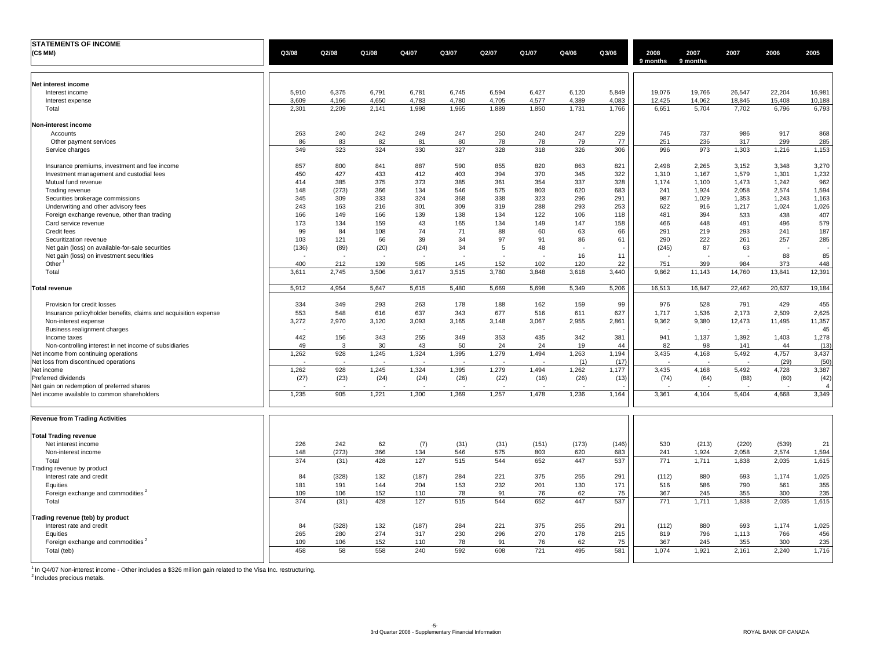| <b>STATEMENTS OF INCOME</b>                                     |              |              |              |              |              |              |              |              |             |                  |                  |               |               |                |
|-----------------------------------------------------------------|--------------|--------------|--------------|--------------|--------------|--------------|--------------|--------------|-------------|------------------|------------------|---------------|---------------|----------------|
| (C\$ MM)                                                        | Q3/08        | Q2/08        | Q1/08        | Q4/07        | Q3/07        | Q2/07        | Q1/07        | Q4/06        | Q3/06       | 2008<br>9 months | 2007<br>9 months | 2007          | 2006          | 2005           |
| Net interest income                                             |              |              |              |              |              |              |              |              |             |                  |                  |               |               |                |
| Interest income                                                 | 5,910        | 6,375        | 6,791        | 6,781        | 6,745        | 6,594        | 6,427        | 6,120        | 5,849       | 19,076           | 19,766           | 26,547        | 22,204        | 16,981         |
| Interest expense                                                | 3,609        | 4,166        | 4,650        | 4,783        | 4,780        | 4,705        | 4,577        | 4,389        | 4,083       | 12,425           | 14,062           | 18,845        | 15,408        | 10,188         |
| Total                                                           | 2,301        | 2,209        | 2,141        | 1,998        | 1,965        | 1,889        | 1,850        | 1,731        | 1,766       | 6.651            | 5,704            | 7,702         | 6,796         | 6,793          |
| Non-interest income                                             |              |              |              |              |              |              |              |              |             |                  |                  |               |               |                |
| Accounts                                                        | 263          | 240          | 242          | 249          | 247          | 250          | 240          | 247          | 229         | 745              | 737              | 986           | 917           | 868            |
| Other payment services                                          | 86           | 83           | 82           | 81           | 80           | 78           | 78           | 79           | 77          | 251              | 236              | 317           | 299           | 285            |
| Service charges                                                 | 349          | 323          | 324          | 330          | 327          | 328          | 318          | 326          | 306         | 996              | 973              | 1,303         | 1,216         | 1,153          |
| Insurance premiums, investment and fee income                   | 857          | 800          | 841          | 887          | 590          | 855          | 820          | 863          | 821         | 2,498            | 2,265            | 3,152         | 3,348         | 3,270          |
| Investment management and custodial fees                        | 450          | 427          | 433          | 412          | 403          | 394          | 370          | 345          | 322         | 1,310            | 1,167            | 1,579         | 1,301         | 1,232          |
| Mutual fund revenue                                             | 414          | 385          | 375          | 373          | 385          | 361          | 354          | 337          | 328         | 1,174            | 1,100            | 1,473         | 1,242         | 962            |
| Trading revenue                                                 | 148          | (273)        | 366          | 134          | 546          | 575          | 803          | 620          | 683         | 241              | 1,924            | 2,058         | 2,574         | 1,594          |
| Securities brokerage commissions                                | 345          | 309          | 333          | 324          | 368          | 338          | 323          | 296          | 291         | 987              | 1.029            | 1,353         | 1.243         | 1,163          |
| Underwriting and other advisory fees                            | 243          | 163          | 216          | 301          | 309          | 319          | 288          | 293          | 253         | 622              | 916              | 1,217         | 1,024         | 1,026          |
| Foreign exchange revenue, other than trading                    | 166          | 149          | 166          | 139          | 138          | 134          | 122          | 106          | 118         | 481              | 394              | 533           | 438           | 407            |
| Card service revenue                                            | 173          | 134          | 159          | 43           | 165          | 134          | 149          | 147          | 158         | 466              | 448              | 491           | 496           | 579            |
| Credit fees                                                     | 99           | 84           | 108          | 74           | 71           | 88           | 60           | 63           | 66          | 291              | 219              | 293           | 241           | 187            |
| Securitization revenue                                          | 103          | 121          | 66           | 39           | 34           | 97           | 91           | 86           | 61          | 290              | 222              | 261           | 257           | 285            |
| Net gain (loss) on available-for-sale securities                | (136)        | (89)         | (20)         | (24)         | 34           | 5            | 48           |              |             | (245)            | 87               | 63            |               |                |
| Net gain (loss) on investment securities                        |              |              |              |              |              |              |              | 16           | 11          |                  |                  |               | 88            | 85             |
| Other<br>Total                                                  | 400<br>3,611 | 212<br>2,745 | 139<br>3,506 | 585<br>3,617 | 145<br>3,515 | 152<br>3,780 | 102<br>3,848 | 120<br>3,618 | 22<br>3,440 | 751<br>9,862     | 399<br>11,143    | 984<br>14,760 | 373<br>13,841 | 448<br>12,391  |
|                                                                 |              |              |              |              |              |              |              |              |             |                  |                  |               |               |                |
| <b>Total revenue</b>                                            | 5,912        | 4.954        | 5,647        | 5,615        | 5,480        | 5,669        | 5.698        | 5,349        | 5,206       | 16,513           | 16.847           | 22.462        | 20,637        | 19,184         |
| Provision for credit losses                                     | 334          | 349          | 293          | 263          | 178          | 188          | 162          | 159          | 99          | 976              | 528              | 791           | 429           | 455            |
| Insurance policyholder benefits, claims and acquisition expense | 553          | 548          | 616          | 637          | 343          | 677          | 516          | 611          | 627         | 1,717            | 1,536            | 2,173         | 2,509         | 2,625          |
| Non-interest expense                                            | 3,272        | 2,970        | 3,120        | 3,093        | 3,165        | 3,148        | 3,067        | 2,955        | 2,861       | 9,362            | 9,380            | 12,473        | 11,495        | 11,357         |
| Business realignment charges                                    |              |              |              |              |              |              |              |              |             |                  |                  |               |               | 45             |
| Income taxes                                                    | 442          | 156          | 343          | 255          | 349          | 353          | 435          | 342          | 381         | 941              | 1,137            | 1,392         | 1,403         | 1,278          |
| Non-controlling interest in net income of subsidiaries          | 49           | 3            | 30           | 43           | 50           | 24           | 24           | 19           | 44          | 82               | 98               | 141           | 44            | (13)           |
| Net income from continuing operations                           | 1,262        | 928          | 1,245        | 1,324        | 1,395        | 1,279        | 1,494        | 1,263        | 1,194       | 3,435            | 4,168            | 5,492         | 4,757         | 3,437          |
| Net loss from discontinued operations                           |              |              |              |              |              |              |              | (1)          | (17)        |                  |                  |               | (29)          | (50)           |
| Net income                                                      | 1,262        | 928          | 1,245        | 1,324        | 1,395        | 1,279        | 1,494        | 1,262        | 1,177       | 3,435            | 4,168            | 5,492         | 4,728         | 3,387          |
| Preferred dividends                                             | (27)         | (23)         | (24)         | (24)         | (26)         | (22)         | (16)         | (26)         | (13)        | (74)             | (64)             | (88)          | (60)          | (42)           |
| Net gain on redemption of preferred shares                      |              |              |              |              |              |              |              |              |             |                  |                  |               |               | $\overline{4}$ |
| Net income available to common shareholders                     | 1,235        | 905          | 1,221        | 1,300        | 1,369        | 1,257        | 1,478        | 1,236        | 1,164       | 3,361            | 4,104            | 5,404         | 4,668         | 3,349          |
| <b>Revenue from Trading Activities</b>                          |              |              |              |              |              |              |              |              |             |                  |                  |               |               |                |
| <b>Total Trading revenue</b>                                    |              |              |              |              |              |              |              |              |             |                  |                  |               |               |                |
| Net interest income                                             | 226          | 242          | 62           | (7)          | (31)         | (31)         | (151)        | (173)        | (146)       | 530              | (213)            | (220)         | (539)         | 21             |
| Non-interest income                                             | 148          | (273)        | 366          | 134          | 546          | 575          | 803          | 620          | 683         | 241              | 1,924            | 2,058         | 2,574         | 1,594          |
| Total                                                           | 374          | (31)         | 428          | 127          | 515          | 544          | 652          | 447          | 537         | 771              | 1,711            | 1,838         | 2,035         | 1,615          |
| Frading revenue by product                                      |              |              |              |              |              |              |              |              |             |                  |                  |               |               |                |
| Interest rate and credit                                        | 84           | (328)        | 132          | (187)        | 284          | 221          | 375          | 255          | 291         | (112)            | 880              | 693           | 1,174         | 1,025          |
| Equities                                                        | 181          | 191          | 144          | 204          | 153          | 232          | 201          | 130          | 171         | 516              | 586              | 790           | 561           | 355            |
| Foreign exchange and commodities <sup>2</sup>                   | 109          | 106          | 152          | 110          | 78           | 91           | 76           | 62           | 75          | 367              | 245              | 355           | 300           | 235            |
| Total                                                           | 374          | (31)         | 428          | 127          | 515          | 544          | 652          | 447          | 537         | 771              | 1,711            | 1,838         | 2,035         | 1,615          |
| Trading revenue (teb) by product                                |              |              |              |              |              |              |              |              |             |                  |                  |               |               |                |
| Interest rate and credit                                        | 84           | (328)        | 132          | (187)        | 284          | 221          | 375          | 255          | 291         | (112)            | 880              | 693           | 1,174         | 1,025          |
| Equities                                                        | 265          | 280          | 274          | 317          | 230          | 296          | 270          | 178          | 215         | 819              | 796              | 1,113         | 766           | 456            |
| Foreign exchange and commodities <sup>2</sup>                   | 109          | 106          | 152          | 110          | 78           | 91           | 76           | 62           | 75          | 367              | 245              | 355           | 300           | 235            |
| Total (teb)                                                     | 458          | 58           | 558          | 240          | 592          | 608          | 721          | 495          | 581         | 1,074            | 1,921            | 2,161         | 2,240         | 1,716          |

<sup>1</sup> In Q4/07 Non-interest income - Other includes a \$326 million gain related to the Visa Inc. restructuring.<br><sup>2</sup> Includes precious metals.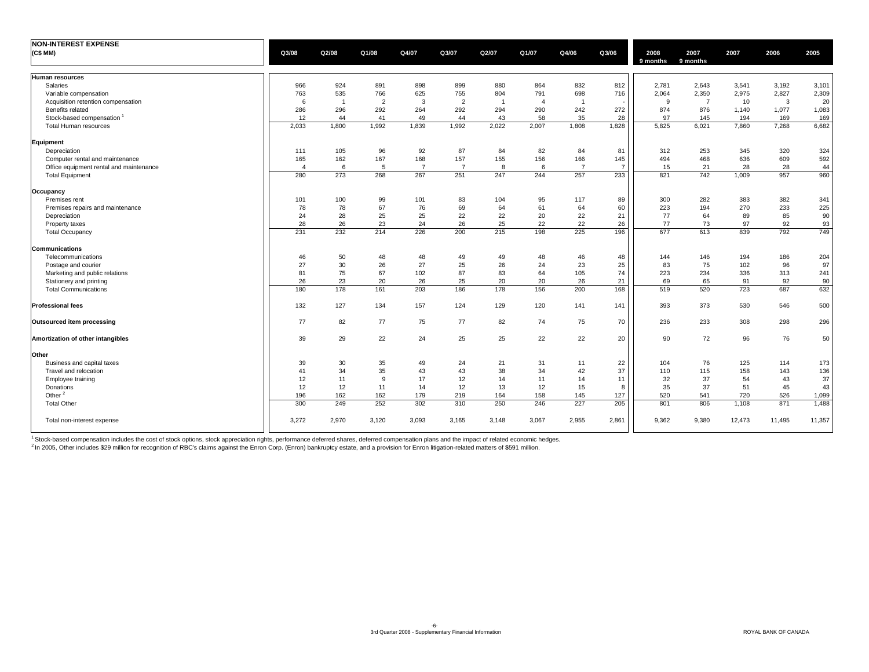| <b>NON-INTEREST EXPENSE</b>             |                |                |                |                |                |       |                     |                |                |                  |                  |        |        |        |
|-----------------------------------------|----------------|----------------|----------------|----------------|----------------|-------|---------------------|----------------|----------------|------------------|------------------|--------|--------|--------|
| (C\$ MM)                                | Q3/08          | Q2/08          | Q1/08          | Q4/07          | Q3/07          | Q2/07 | Q1/07               | Q4/06          | Q3/06          | 2008<br>9 months | 2007<br>9 months | 2007   | 2006   | 2005   |
| Human resources                         |                |                |                |                |                |       |                     |                |                |                  |                  |        |        |        |
| Salaries                                | 966            | 924            | 891            | 898            | 899            | 880   | 864                 | 832            | 812            | 2,781            | 2,643            | 3,541  | 3,192  | 3,101  |
| Variable compensation                   | 763            | 535            | 766            | 625            | 755            | 804   | 791                 | 698            | 716            | 2,064            | 2,350            | 2,975  | 2,827  | 2,309  |
| Acquisition retention compensation      | 6              | $\overline{1}$ | $\overline{2}$ | 3              | $\overline{2}$ |       | $\overline{\bf{4}}$ | $\overline{1}$ |                | 9                | $\overline{7}$   | 10     | 3      | 20     |
| Benefits related                        | 286            | 296            | 292            | 264            | 292            | 294   | 290                 | 242            | 272            | 874              | 876              | 1,140  | 1,077  | 1,083  |
| Stock-based compensation                | 12             | 44             | 41             | 49             | 44             | 43    | 58                  | 35             | 28             | 97               | 145              | 194    | 169    | 169    |
| Total Human resources                   | 2,033          | 1,800          | 1,992          | 1,839          | 1,992          | 2,022 | 2.007               | 1,808          | 1,828          | 5.825            | 6,021            | 7,860  | 7,268  | 6,682  |
| Equipment                               |                |                |                |                |                |       |                     |                |                |                  |                  |        |        |        |
| Depreciation                            | 111            | 105            | 96             | 92             | 87             | 84    | 82                  | 84             | 81             | 312              | 253              | 345    | 320    | 324    |
| Computer rental and maintenance         | 165            | 162            | 167            | 168            | 157            | 155   | 156                 | 166            | 145            | 494              | 468              | 636    | 609    | 592    |
| Office equipment rental and maintenance | $\overline{4}$ | 6              | -5             | $\overline{7}$ | $\overline{7}$ | 8     | -6                  | $\overline{7}$ | $\overline{7}$ | 15               | 21               | 28     | 28     | 44     |
| <b>Total Equipment</b>                  | 280            | 273            | 268            | 267            | 251            | 247   | 244                 | 257            | 233            | 821              | 742              | 1,009  | 957    | 960    |
| Occupancy                               |                |                |                |                |                |       |                     |                |                |                  |                  |        |        |        |
| Premises rent                           | 101            | 100            | 99             | 101            | 83             | 104   | 95                  | 117            | 89             | 300              | 282              | 383    | 382    | 341    |
| Premises repairs and maintenance        | 78             | 78             | 67             | 76             | 69             | 64    | 61                  | 64             | 60             | 223              | 194              | 270    | 233    | 225    |
| Depreciation                            | 24             | 28             | 25             | 25             | 22             | 22    | 20                  | 22             | 21             | 77               | 64               | 89     | 85     | 90     |
| Property taxes                          | 28             | 26             | 23             | 24             | 26             | 25    | 22                  | 22             | 26             | 77               | 73               | 97     | 92     | 93     |
| <b>Total Occupancy</b>                  | 231            | 232            | 214            | 226            | 200            | 215   | 198                 | 225            | 196            | 677              | 613              | 839    | 792    | 749    |
| <b>Communications</b>                   |                |                |                |                |                |       |                     |                |                |                  |                  |        |        |        |
| Telecommunications                      | 46             | 50             | 48             | 48             | 49             | 49    | 48                  | 46             | 48             | 144              | 146              | 194    | 186    | 204    |
| Postage and courier                     | 27             | 30             | 26             | 27             | 25             | 26    | 24                  | 23             | 25             | 83               | 75               | 102    | 96     | 97     |
| Marketing and public relations          | 81             | 75             | 67             | 102            | 87             | 83    | 64                  | 105            | 74             | 223              | 234              | 336    | 313    | 241    |
| Stationery and printing                 | 26             | 23             | 20             | 26             | 25             | 20    | 20                  | 26             | 21             | 69               | 65               | 91     | 92     | 90     |
| <b>Total Communications</b>             | 180            | 178            | 161            | 203            | 186            | 178   | 156                 | 200            | 168            | 519              | 520              | 723    | 687    | 632    |
| <b>Professional fees</b>                | 132            | 127            | 134            | 157            | 124            | 129   | 120                 | 141            | 141            | 393              | 373              | 530    | 546    | 500    |
| Outsourced item processing              | 77             | 82             | 77             | 75             | 77             | 82    | 74                  | 75             | 70             | 236              | 233              | 308    | 298    | 296    |
| Amortization of other intangibles       | 39             | 29             | 22             | 24             | 25             | 25    | 22                  | 22             | 20             | 90               | 72               | 96     | 76     | 50     |
| Other                                   |                |                |                |                |                |       |                     |                |                |                  |                  |        |        |        |
| Business and capital taxes              | 39             | 30             | 35             | 49             | 24             | 21    | 31                  | 11             | 22             | 104              | 76               | 125    | 114    | 173    |
| Travel and relocation                   | 41             | 34             | 35             | 43             | 43             | 38    | 34                  | 42             | 37             | 110              | 115              | 158    | 143    | 136    |
| Employee training                       | 12             | 11             | 9              | 17             | 12             | 14    | 11                  | 14             | 11             | 32               | 37               | 54     | 43     | 37     |
| Donations                               | 12             | 12             | 11             | 14             | 12             | 13    | 12                  | 15             | 8              | 35               | 37               | 51     | 45     | 43     |
| Other <sup>2</sup>                      | 196            | 162            | 162            | 179            | 219            | 164   | 158                 | 145            | 127            | 520              | 541              | 720    | 526    | 1,099  |
| <b>Total Other</b>                      | 300            | 249            | 252            | 302            | 310            | 250   | 246                 | 227            | 205            | 801              | 806              | 1,108  | 871    | 1,488  |
| Total non-interest expense              | 3,272          | 2,970          | 3,120          | 3,093          | 3,165          | 3,148 | 3,067               | 2,955          | 2,861          | 9,362            | 9,380            | 12,473 | 11,495 | 11,357 |

<sup>1</sup> Stock-based compensation includes the cost of stock options, stock appreciation rights, performance deferred shares, deferred compensation plans and the impact of related economic hedges.<br><sup>2</sup> In 2005, Other includes \$2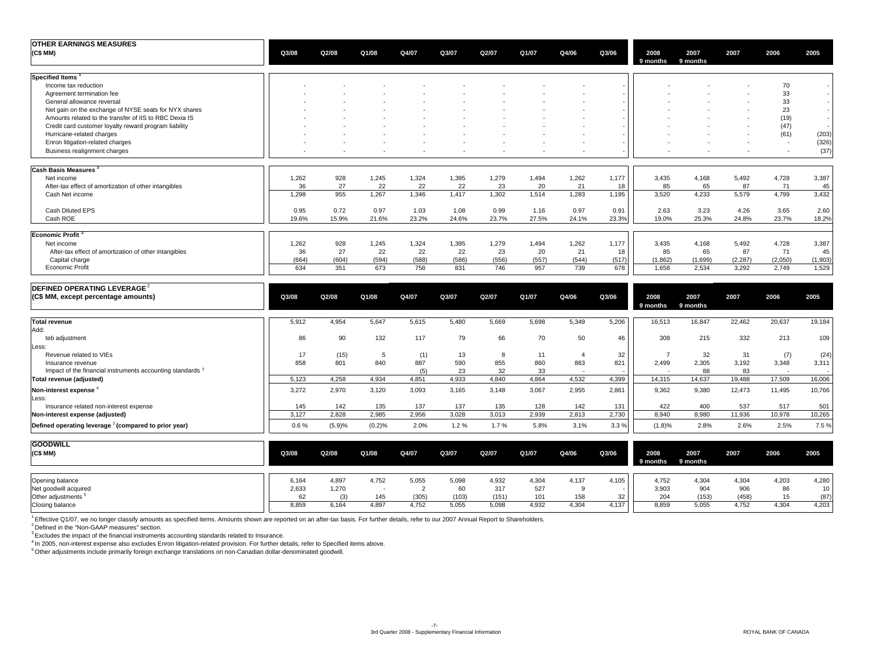| <b>OTHER EARNINGS MEASURES</b>                             |       |        |        |       |       |       |       |                |       |                  |                  |          |         |         |
|------------------------------------------------------------|-------|--------|--------|-------|-------|-------|-------|----------------|-------|------------------|------------------|----------|---------|---------|
| (C\$MM)                                                    | Q3/08 | Q2/08  | Q1/08  | Q4/07 | Q3/07 | Q2/07 | Q1/07 | Q4/06          | Q3/06 | 2008<br>9 months | 2007<br>9 months | 2007     | 2006    | 2005    |
| Specified Items <sup>1</sup>                               |       |        |        |       |       |       |       |                |       |                  |                  |          |         |         |
| Income tax reduction                                       |       |        |        |       |       |       |       |                |       |                  |                  |          | 70      |         |
| Agreement termination fee                                  |       |        |        |       |       |       |       |                |       |                  |                  |          | 33      |         |
| General allowance reversal                                 |       |        |        |       |       |       |       |                |       |                  |                  |          | 33      |         |
| Net gain on the exchange of NYSE seats for NYX shares      |       |        |        |       |       |       |       |                |       |                  |                  |          | 23      |         |
| Amounts related to the transfer of IIS to RBC Dexia IS     |       |        |        |       |       |       |       |                |       |                  |                  |          | (19)    | $\sim$  |
| Credit card customer loyalty reward program liability      |       |        |        |       |       |       |       |                |       |                  |                  |          | (47)    |         |
| Hurricane-related charges                                  |       |        |        |       |       |       |       |                |       |                  |                  |          | (61)    | (203)   |
| Enron litigation-related charges                           |       |        |        |       |       |       |       |                |       |                  |                  |          |         | (326)   |
| Business realignment charges                               |       |        |        |       |       |       |       |                |       |                  |                  |          |         | (37)    |
| Cash Basis Measures <sup>2</sup>                           |       |        |        |       |       |       |       |                |       |                  |                  |          |         |         |
| Net income                                                 | 1,262 | 928    | 1,245  | 1,324 | 1,395 | 1,279 | 1,494 | 1,262          | 1,177 | 3,435            | 4,168            | 5,492    | 4,728   | 3,387   |
| After-tax effect of amortization of other intangibles      | 36    | 27     | 22     | 22    | 22    | 23    | 20    | 21             | 18    | 85               | 65               | 87       | 71      | 45      |
| Cash Net income                                            | 1,298 | 955    | 1,267  | 1,346 | 1,417 | 1,302 | 1,514 | 1,283          | 1,195 | 3,520            | 4,233            | 5,579    | 4,799   | 3,432   |
| Cash Diluted EPS                                           | 0.95  | 0.72   | 0.97   | 1.03  | 1.08  | 0.99  | 1.16  | 0.97           | 0.91  | 2.63             | 3.23             | 4.26     | 3.65    | 2.60    |
| Cash ROE                                                   | 19.6% | 15.9%  | 21.6%  | 23.2% | 24.6% | 23.7% | 27.5% | 24.1%          | 23.3% | 19.0%            | 25.3%            | 24.8%    | 23.7%   | 18.2%   |
| Economic Profit <sup>2</sup>                               |       |        |        |       |       |       |       |                |       |                  |                  |          |         |         |
| Net income                                                 | 1,262 | 928    | 1,245  | 1,324 | 1,395 | 1,279 | 1,494 | 1,262          | 1,177 | 3,435            | 4,168            | 5,492    | 4,728   | 3,387   |
| After-tax effect of amortization of other intangibles      | 36    | 27     | 22     | 22    | 22    | 23    | 20    | 21             | 18    | 85               | 65               | 87       | 71      | 45      |
| Capital charge                                             | (664) | (604)  | (594)  | (588) | (586) | (556) | (557) | (544)          | (517) | (1,862)          | (1,699)          | (2, 287) | (2,050) | (1,903) |
| <b>Economic Profit</b>                                     | 634   | 351    | 673    | 758   | 831   | 746   | 957   | 739            | 678   | 1,658            | 2,534            | 3,292    | 2,749   | 1,529   |
| DEFINED OPERATING LEVERAGE <sup>2</sup>                    |       |        |        |       |       |       |       |                |       |                  |                  |          |         |         |
| (C\$ MM, except percentage amounts)                        | Q3/08 | Q2/08  | Q1/08  | Q4/07 | Q3/07 | Q2/07 | Q1/07 | Q4/06          | Q3/06 | 2008<br>9 months | 2007<br>9 months | 2007     | 2006    | 2005    |
| <b>Total revenue</b>                                       | 5,912 | 4,954  | 5,647  | 5,615 | 5,480 | 5,669 | 5,698 | 5,349          | 5,206 | 16,513           | 16,847           | 22,462   | 20,637  | 19,184  |
| Add:                                                       |       |        |        |       |       |       |       |                |       |                  |                  |          |         |         |
| teb adjustment                                             | 86    | 90     | 132    | 117   | 79    | 66    | 70    | 50             | 46    | 308              | 215              | 332      | 213     | 109     |
| Less:                                                      |       |        |        |       |       |       |       |                |       |                  |                  |          |         |         |
| Revenue related to VIEs                                    | 17    | (15)   | 5      | (1)   | 13    | 8     | 11    | $\overline{4}$ | 32    | $\overline{7}$   | 32               | 31       | (7)     | (24)    |
| Insurance revenue                                          | 858   | 801    | 840    | 887   | 590   | 855   | 860   | 863            | 821   | 2,499            | 2,305            | 3,192    | 3,348   | 3,311   |
| Impact of the financial instruments accounting standards 3 |       |        |        | (5)   | 23    | 32    | 33    |                |       |                  | 88               | 83       | $\sim$  |         |
| Total revenue (adjusted)                                   | 5,123 | 4,258  | 4,934  | 4,851 | 4,933 | 4,840 | 4,864 | 4,532          | 4,399 | 14,315           | 14,637           | 19,488   | 17,509  | 16,006  |
| Non-interest expense                                       | 3,272 | 2,970  | 3,120  | 3,093 | 3,165 | 3,148 | 3,067 | 2,955          | 2,861 | 9,362            | 9,380            | 12,473   | 11,495  | 10,766  |
| Less:                                                      |       |        |        |       |       |       |       |                |       |                  |                  |          |         |         |
| Insurance related non-interest expense                     | 145   | 142    | 135    | 137   | 137   | 135   | 128   | 142            | 131   | 422              | 400              | 537      | 517     | 501     |
| Non-interest expense (adjusted)                            | 3,127 | 2,828  | 2,985  | 2,956 | 3,028 | 3,013 | 2.939 | 2,813          | 2,730 | 8.940            | 8.980            | 11,936   | 10,978  | 10,265  |
| Defined operating leverage $2$ (compared to prior year)    | 0.6%  | (5.9)% | (0.2)% | 2.0%  | 1.2%  | 1.7%  | 5.8%  | 3.1%           | 3.3%  | (1.8)%           | 2.8%             | 2.6%     | 2.5%    | 7.5 %   |
| 000000000                                                  |       |        |        |       |       |       |       |                |       |                  |                  |          |         |         |

| <b>GOODWILL</b><br>(C\$MM) | Q3/08 | Q2/08 | Q1/08 | Q4/07 | Q3/07 | Q2/07 | Q1/07 | Q4/06 | Q3/06 | 2008<br>9 months | 2007<br>9 months | 2007  | 2006  | 2005  |
|----------------------------|-------|-------|-------|-------|-------|-------|-------|-------|-------|------------------|------------------|-------|-------|-------|
| Opening balance            | 6,164 | 4,897 | 4,752 | 5,055 | 5,098 | 4,932 | 4,304 | 4.137 | 4,105 | 4,752            | 4,304            | 4,304 | 4,203 | 4,280 |
| Net goodwill acquired      | 2,633 | 1,270 |       |       | 60    | 317   | 527   |       |       | 3,903            | 904              | 906   | 86    | 10    |
| Other adjustments          |       |       | 145   | (305) | (103) | (151) | 101   | 158   | 32    | 204              | (153)            | (458) | 15    | (87)  |
| Closing balance            | 8,859 | 6,164 | 4,897 | 4,752 | 5,055 | 5,098 | 4,932 | 4,304 | 4,137 | 8,859            | 5,055            | 4,752 | 4,304 | 4,203 |

<sup>1</sup> Effective Q1/07, we no longer classify amounts as specified items. Amounts shown are reported on an after-tax basis. For further details, refer to our 2007 Annual Report to Shareholders.

<sup>2</sup> Defined in the "Non-GAAP measures" section.

 $3$  Excludes the impact of the financial instruments accounting standards related to Insurance.

<sup>4</sup> In 2005, non-interest expense also excludes Enron litigation-related provision. For further details, refer to Specified items above.<br><sup>5</sup> Other adjustments include primarily foreign exchange translations on non-Canadian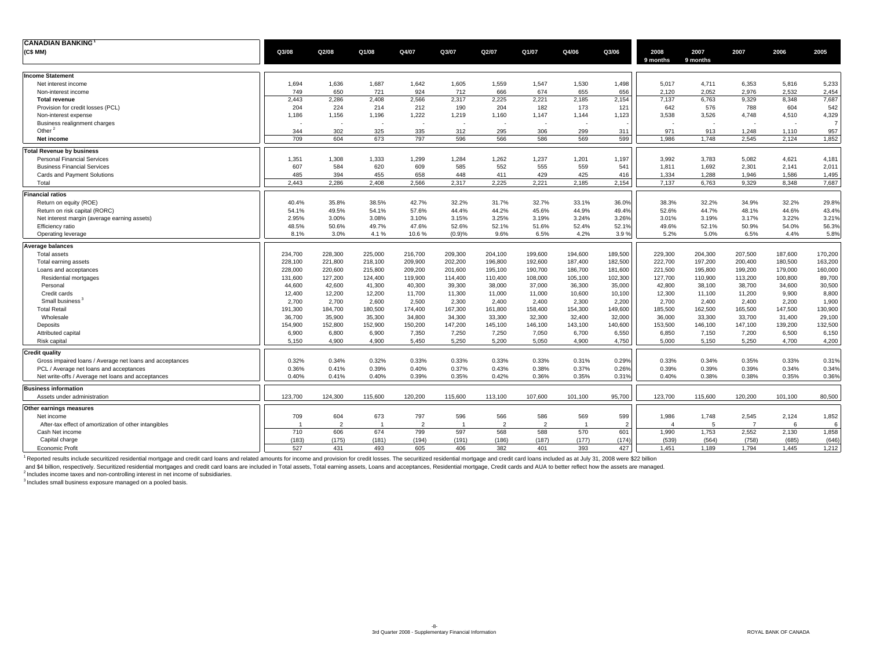| <b>CANADIAN BANKING</b>                                  |                |                |         |                          |                |                |                |                |                |                  |                  |                |         |         |
|----------------------------------------------------------|----------------|----------------|---------|--------------------------|----------------|----------------|----------------|----------------|----------------|------------------|------------------|----------------|---------|---------|
| (C\$ MM)                                                 | Q3/08          | Q2/08          | Q1/08   | Q4/07                    | Q3/07          | Q2/07          | Q1/07          | Q4/06          | Q3/06          | 2008<br>9 months | 2007<br>9 months | 2007           | 2006    | 2005    |
| <b>Income Statement</b>                                  |                |                |         |                          |                |                |                |                |                |                  |                  |                |         |         |
| Net interest income                                      | 1,694          | 1,636          | 1,687   | 1,642                    | 1,605          | 1,559          | 1,547          | 1,530          | 1,498          | 5,017            | 4,711            | 6,353          | 5,816   | 5,233   |
| Non-interest income                                      | 749            | 650            | 721     | 924                      | 712            | 666            | 674            | 655            | 656            | 2.120            | 2.052            | 2.976          | 2.532   | 2,454   |
| <b>Total revenue</b>                                     | 2,443          | 2,286          | 2,408   | 2,566                    | 2,317          | 2,225          | 2,221          | 2,185          | 2,154          | 7,137            | 6,763            | 9,329          | 8,348   | 7,687   |
| Provision for credit losses (PCL)                        | 204            | 224            | 214     | 212                      | 190            | 204            | 182            | 173            | 121            | 642              | 576              | 788            | 604     | 542     |
| Non-interest expense                                     | 1,186          | 1,156          | 1,196   | 1,222                    | 1,219          | 1,160          | 1,147          | 1,144          | 1,123          | 3,538            | 3,526            | 4,748          | 4,510   | 4,329   |
| Business realignment charges                             |                |                |         | $\overline{\phantom{a}}$ |                |                |                |                |                |                  |                  |                |         |         |
| Other $^2$                                               | 344            | 302            | 325     | 335                      | 312            | 295            | 306            | 299            | 311            | 971              | 913              | 1,248          | 1,110   | 957     |
| Net income                                               | 709            | 604            | 673     | 797                      | 596            | 566            | 586            | 569            | 599            | 1.986            | 1.748            | 2.545          | 2.124   | 1,852   |
| <b>Total Revenue by business</b>                         |                |                |         |                          |                |                |                |                |                |                  |                  |                |         |         |
| <b>Personal Financial Services</b>                       | 1,351          | 1,308          | 1,333   | 1,299                    | 1,284          | 1,262          | 1,237          | 1,201          | 1,197          | 3,992            | 3,783            | 5,082          | 4,621   | 4,181   |
| <b>Business Financial Services</b>                       | 607            | 584            | 620     | 609                      | 585            | 552            | 555            | 559            | 541            | 1,811            | 1,692            | 2,301          | 2.141   | 2,011   |
| Cards and Payment Solutions                              | 485            | 394            | 455     | 658                      | 448            | 411            | 429            | 425            | 416            | 1,334            | 1,288            | 1,946          | 1,586   | 1,495   |
| Total                                                    | 2.443          | 2.286          | 2.408   | 2.566                    | 2.317          | 2.225          | 2.221          | 2.185          | 2,154          | 7.137            | 6.763            | 9.329          | 8,348   | 7,687   |
| <b>Financial ratios</b>                                  |                |                |         |                          |                |                |                |                |                |                  |                  |                |         |         |
| Return on equity (ROE)                                   | 40.4%          | 35.8%          | 38.5%   | 42.7%                    | 32.2%          | 31.7%          | 32.7%          | 33.1%          | 36.0%          | 38.3%            | 32.2%            | 34.9%          | 32.2%   | 29.8%   |
| Return on risk capital (RORC)                            | 54.1%          | 49.5%          | 54.1%   | 57.6%                    | 44.4%          | 44.2%          | 45.6%          | 44.9%          | 49.4%          | 52.6%            | 44.7%            | 48.1%          | 44.6%   | 43.4%   |
| Net interest margin (average earning assets)             | 2.95%          | 3.00%          | 3.08%   | 3.10%                    | 3.15%          | 3.25%          | 3.19%          | 3.24%          | 3.26%          | 3.01%            | 3.19%            | 3.17%          | 3.22%   | 3.21%   |
| Efficiency ratio                                         | 48.5%          | 50.6%          | 49.7%   | 47.6%                    | 52.6%          | 52.1%          | 51.6%          | 52.4%          | 52.1%          | 49.6%            | 52.1%            | 50.9%          | 54.0%   | 56.3%   |
| Operating leverage                                       | 8.1%           | 3.0%           | 4.1%    | 10.6%                    | (0.9)%         | 9.6%           | 6.5%           | 4.2%           | 3.9%           | 5.2%             | 5.0%             | 6.5%           | 4.4%    | 5.8%    |
| <b>Average balances</b>                                  |                |                |         |                          |                |                |                |                |                |                  |                  |                |         |         |
| <b>Total assets</b>                                      | 234.700        | 228,300        | 225.000 | 216,700                  | 209.300        | 204.100        | 199,600        | 194,600        | 189,500        | 229.300          | 204.300          | 207.500        | 187,600 | 170,200 |
| Total earning assets                                     | 228,100        | 221,800        | 218,100 | 209,900                  | 202,200        | 196,800        | 192,600        | 187,400        | 182,500        | 222,700          | 197,200          | 200,400        | 180,500 | 163,200 |
| Loans and acceptances                                    | 228,000        | 220,600        | 215,800 | 209,200                  | 201,600        | 195,100        | 190,700        | 186,700        | 181,600        | 221,500          | 195,800          | 199,200        | 179,000 | 160,000 |
| Residential mortgages                                    | 131,600        | 127,200        | 124,400 | 119,900                  | 114,400        | 110,400        | 108,000        | 105,100        | 102,300        | 127,700          | 110,900          | 113,200        | 100,800 | 89,700  |
| Personal                                                 | 44,600         | 42,600         | 41,300  | 40,300                   | 39,300         | 38,000         | 37,000         | 36,300         | 35,000         | 42,800           | 38,100           | 38,700         | 34,600  | 30,500  |
| Credit cards                                             | 12,400         | 12,200         | 12,200  | 11,700                   | 11,300         | 11,000         | 11,000         | 10,600         | 10,100         | 12,300           | 11,100           | 11,200         | 9,900   | 8,800   |
| Small business <sup>3</sup>                              | 2,700          | 2,700          | 2,600   | 2,500                    | 2,300          | 2,400          | 2,400          | 2,300          | 2,200          | 2,700            | 2,400            | 2,400          | 2,200   | 1,900   |
| <b>Total Retail</b>                                      | 191,300        | 184,700        | 180,500 | 174,400                  | 167,300        | 161,800        | 158,400        | 154,300        | 149,600        | 185,500          | 162,500          | 165,500        | 147,500 | 130,900 |
| Wholesale                                                | 36,700         | 35,900         | 35,300  | 34,800                   | 34,300         | 33,300         | 32,300         | 32,400         | 32,000         | 36,000           | 33,300           | 33,700         | 31,400  | 29,100  |
| Deposits                                                 | 154,900        | 152,800        | 152,900 | 150,200                  | 147,200        | 145,100        | 146,100        | 143,100        | 140,600        | 153,500          | 146,100          | 147,100        | 139,200 | 132,500 |
| Attributed capital                                       | 6,900          | 6,800          | 6,900   | 7,350                    | 7,250          | 7,250          | 7,050          | 6,700          | 6,550          | 6,850            | 7,150            | 7,200          | 6,500   | 6,150   |
| Risk capital                                             | 5,150          | 4.900          | 4.900   | 5,450                    | 5,250          | 5.200          | 5.050          | 4.900          | 4,750          | 5.000            | 5.150            | 5,250          | 4,700   | 4,200   |
| <b>Credit quality</b>                                    |                |                |         |                          |                |                |                |                |                |                  |                  |                |         |         |
| Gross impaired loans / Average net loans and acceptances | 0.32%          | 0.34%          | 0.32%   | 0.33%                    | 0.33%          | 0.33%          | 0.33%          | 0.31%          | 0.29%          | 0.33%            | 0.34%            | 0.35%          | 0.33%   | 0.31%   |
| PCL / Average net loans and acceptances                  | 0.36%          | 0.41%          | 0.39%   | 0.40%                    | 0.37%          | 0.43%          | 0.38%          | 0.37%          | 0.26%          | 0.39%            | 0.39%            | 0.39%          | 0.34%   | 0.34%   |
| Net write-offs / Average net loans and acceptances       | 0.40%          | 0.41%          | 0.40%   | 0.39%                    | 0.35%          | 0.42%          | 0.36%          | 0.35%          | 0.31%          | 0.40%            | 0.38%            | 0.38%          | 0.35%   | 0.36%   |
| <b>Business information</b>                              |                |                |         |                          |                |                |                |                |                |                  |                  |                |         |         |
| Assets under administration                              | 123,700        | 124,300        | 115,600 | 120,200                  | 115,600        | 113,100        | 107,600        | 101,100        | 95,700         | 123,700          | 115,600          | 120,200        | 101,100 | 80,500  |
| Other earnings measures                                  |                |                |         |                          |                |                |                |                |                |                  |                  |                |         |         |
| Net income                                               | 709            | 604            | 673     | 797                      | 596            | 566            | 586            | 569            | 599            | 1,986            | 1,748            | 2,545          | 2,124   | 1,852   |
| After-tax effect of amortization of other intangibles    | $\overline{1}$ | $\overline{2}$ |         | $\overline{2}$           | $\overline{1}$ | $\overline{2}$ | $\overline{2}$ | $\overline{1}$ | $\overline{2}$ | $\overline{4}$   | 5                | $\overline{7}$ | 6       | 6       |
| Cash Net income                                          | 710            | 606            | 674     | 799                      | 597            | 568            | 588            | 570            | 601            | 1,990            | 1,753            | 2,552          | 2,130   | 1,858   |
| Capital charge                                           | (183)          | (175)          | (181)   | (194)                    | (191)          | (186)          | (187)          | (177)          | (174)          | (539)            | (564)            | (758)          | (685)   | (646)   |
| <b>Economic Profit</b>                                   | 527            | 431            | 493     | 605                      | 406            | 382            | 401            | 393            | 427            | 1,451            | 1,189            | 1,794          | 1,445   | 1,212   |
|                                                          |                |                |         |                          |                |                |                |                |                |                  |                  |                |         |         |

1 Reported results include securitized residential mortgage and credit card loans and related amounts for income and provision for credit losses. The securitized residential mortgage and credit card loans included as at Ju

and \$4 billion, respectively. Securitized residential mortgages and credit card loans are included in Total assets, Total earning assets, Loans and acceptances, Residential mortgage, Credit cards and AUA to better reflect

<sup>3</sup> Includes small business exposure managed on a pooled basis.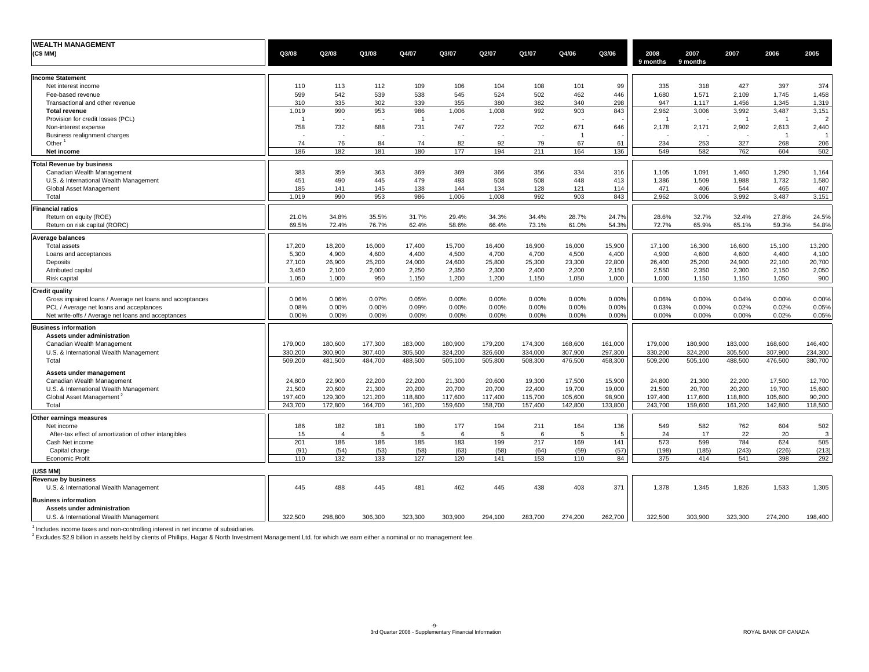| <b>WEALTH MANAGEMENT</b>                                 |          |                |             |                |             |         |         |          |            |          |          |                |                |         |
|----------------------------------------------------------|----------|----------------|-------------|----------------|-------------|---------|---------|----------|------------|----------|----------|----------------|----------------|---------|
| (C\$ MM)                                                 | Q3/08    | Q2/08          | Q1/08       | Q4/07          | Q3/07       | Q2/07   | Q1/07   | Q4/06    | Q3/06      | 2008     | 2007     | 2007           | 2006           | 2005    |
|                                                          |          |                |             |                |             |         |         |          |            | 9 months | 9 months |                |                |         |
|                                                          |          |                |             |                |             |         |         |          |            |          |          |                |                |         |
| <b>Income Statement</b>                                  |          |                |             |                |             |         |         |          |            |          |          |                |                |         |
| Net interest income                                      | 110      | 113            | 112         | 109            | 106         | 104     | 108     | 101      | 99         | 335      | 318      | 427            | 397            | 374     |
| Fee-based revenue                                        | 599      | 542            | 539         | 538            | 545         | 524     | 502     | 462      | 446        | 1,680    | 1,571    | 2,109          | 1,745          | 1,458   |
| Transactional and other revenue                          | 310      | 335            | 302         | 339            | 355         | 380     | 382     | 340      | 298        | 947      | 1,117    | 1,456          | 1,345          | 1,319   |
| <b>Total revenue</b>                                     | 1,019    | 990            | 953         | 986            | 1,006       | 1,008   | 992     | 903      | 843        | 2,962    | 3,006    | 3,992          | 3,487          | 3,151   |
| Provision for credit losses (PCL)                        |          |                |             | $\overline{1}$ |             |         |         |          |            | -1       |          | $\overline{1}$ | $\overline{1}$ | -2      |
| Non-interest expense                                     | 758      | 732            | 688         | 731            | 747         | 722     | 702     | 671      | 646        | 2.178    | 2,171    | 2,902          | 2,613          | 2,440   |
| Business realignment charges                             |          |                |             |                |             |         |         | -1       |            |          |          |                | $\overline{1}$ |         |
| Other $1$                                                | 74       | 76             | 84          | 74             | 82          | 92      | 79      | 67       | 61         | 234      | 253      | 327            | 268            | 206     |
| Net income                                               | 186      | 182            | 181         | 180            | 177         | 194     | 211     | 164      | 136        | 549      | 582      | 762            | 604            | 502     |
| <b>Total Revenue by business</b>                         |          |                |             |                |             |         |         |          |            |          |          |                |                |         |
| Canadian Wealth Management                               | 383      | 359            | 363         | 369            | 369         | 366     | 356     | 334      | 316        | 1,105    | 1,091    | 1,460          | 1,290          | 1,164   |
| U.S. & International Wealth Management                   | 451      | 490            | 445         | 479            | 493         | 508     | 508     | 448      | 413        | 1,386    | 1,509    | 1,988          | 1,732          | 1,580   |
| Global Asset Management                                  | 185      | 141            | 145         | 138            | 144         | 134     | 128     | 121      | 114        | 471      | 406      | 544            | 465            | 407     |
| Total                                                    | 1.019    | 990            | 953         | 986            | 1.006       | 1.008   | 992     | 903      | 843        | 2.962    | 3.006    | 3,992          | 3,487          | 3,151   |
|                                                          |          |                |             |                |             |         |         |          |            |          |          |                |                |         |
| <b>Financial ratios</b>                                  |          |                |             |                |             |         |         |          |            |          |          |                |                |         |
| Return on equity (ROE)                                   | 21.0%    | 34.8%          | 35.5%       | 31.7%          | 29.4%       | 34.3%   | 34.4%   | 28.7%    | 24.7%      | 28.6%    | 32.7%    | 32.4%          | 27.8%          | 24.5%   |
| Return on risk capital (RORC)                            | 69.5%    | 72.4%          | 76.7%       | 62.4%          | 58.6%       | 66.4%   | 73.1%   | 61.0%    | 54.3%      | 72.7%    | 65.9%    | 65.1%          | 59.3%          | 54.8%   |
| <b>Average balances</b>                                  |          |                |             |                |             |         |         |          |            |          |          |                |                |         |
| <b>Total assets</b>                                      | 17.200   | 18,200         | 16,000      | 17.400         | 15,700      | 16.400  | 16,900  | 16.000   | 15,900     | 17.100   | 16,300   | 16,600         | 15,100         | 13,200  |
| Loans and acceptances                                    | 5,300    | 4,900          | 4,600       | 4,400          | 4,500       | 4,700   | 4,700   | 4,500    | 4,400      | 4,900    | 4,600    | 4,600          | 4,400          | 4,100   |
| Deposits                                                 | 27,100   | 26,900         | 25,200      | 24,000         | 24,600      | 25,800  | 25,300  | 23,300   | 22,800     | 26,400   | 25,200   | 24,900         | 22,100         | 20,700  |
| Attributed capital                                       | 3,450    | 2,100          | 2,000       | 2,250          | 2,350       | 2,300   | 2,400   | 2,200    | 2,150      | 2,550    | 2,350    | 2,300          | 2,150          | 2,050   |
| Risk capital                                             | 1,050    | 1,000          | 950         | 1,150          | 1,200       | 1,200   | 1,150   | 1,050    | 1,000      | 1,000    | 1,150    | 1,150          | 1,050          | 900     |
|                                                          |          |                |             |                |             |         |         |          |            |          |          |                |                |         |
| <b>Credit quality</b>                                    |          |                |             |                |             |         |         |          |            |          |          |                |                |         |
| Gross impaired loans / Average net loans and acceptances | 0.06%    | 0.06%          | 0.07%       | 0.05%          | 0.00%       | 0.00%   | 0.00%   | 0.00%    | 0.00%      | 0.06%    | 0.00%    | 0.04%          | 0.00%          | 0.00%   |
| PCL / Average net loans and acceptances                  | 0.08%    | 0.00%          | 0.00%       | 0.09%          | 0.00%       | 0.00%   | 0.00%   | 0.00%    | 0.00%      | 0.03%    | 0.00%    | 0.02%          | 0.02%          | 0.05%   |
| Net write-offs / Average net loans and acceptances       | $0.00\%$ | 0.00%          | 0.00%       | 0.00%          | $0.00\%$    | 0.00%   | 0.00%   | $0.00\%$ | 0.00%      | 0.00%    | 0.00%    | $0.00\%$       | 0.02%          | 0.05%   |
| <b>Business information</b>                              |          |                |             |                |             |         |         |          |            |          |          |                |                |         |
| Assets under administration                              |          |                |             |                |             |         |         |          |            |          |          |                |                |         |
| Canadian Wealth Management                               | 179,000  | 180,600        | 177,300     | 183,000        | 180,900     | 179,200 | 174,300 | 168,600  | 161,000    | 179,000  | 180,900  | 183,000        | 168,600        | 146,400 |
| U.S. & International Wealth Management                   | 330,200  | 300,900        | 307,400     | 305,500        | 324,200     | 326,600 | 334,000 | 307,900  | 297,300    | 330,200  | 324,200  | 305,500        | 307,900        | 234,300 |
| Total                                                    | 509,200  | 481,500        | 484,700     | 488,500        | 505,100     | 505,800 | 508,300 | 476,500  | 458,300    | 509,200  | 505,100  | 488,500        | 476,500        | 380,700 |
|                                                          |          |                |             |                |             |         |         |          |            |          |          |                |                |         |
| Assets under management                                  |          |                |             |                |             |         |         |          |            |          |          |                |                |         |
| Canadian Wealth Management                               | 24,800   | 22,900         | 22,200      | 22,200         | 21,300      | 20,600  | 19,300  | 17,500   | 15,900     | 24,800   | 21,300   | 22,200         | 17,500         | 12,700  |
| U.S. & International Wealth Management                   | 21,500   | 20,600         | 21,300      | 20,200         | 20,700      | 20,700  | 22,400  | 19,700   | 19,000     | 21,500   | 20,700   | 20,200         | 19,700         | 15,600  |
| Global Asset Management <sup>4</sup>                     | 197,400  | 129,300        | 121,200     | 118,800        | 117,600     | 117,400 | 115,700 | 105,600  | 98,900     | 197,400  | 117,600  | 118,800        | 105,600        | 90,200  |
| Total                                                    | 243.700  | 172,800        | 164,700     | 161,200        | 159,600     | 158,700 | 157,400 | 142.800  | 133,800    | 243,700  | 159,600  | 161,200        | 142.800        | 118,500 |
| Other earnings measures                                  |          |                |             |                |             |         |         |          |            |          |          |                |                |         |
| Net income                                               | 186      | 182            | 181         | 180            | 177         | 194     | 211     | 164      | 136        | 549      | 582      | 762            | 604            | 502     |
| After-tax effect of amortization of other intangibles    | 15       | $\overline{4}$ | 5           | 5              | 6           | 5       | 6       | 5        | 5          | 24       | 17       | 22             | 20             | 3       |
| Cash Net income                                          | 201      | 186            | 186         | 185            | 183         | 199     | 217     | 169      | 141        | 573      | 599      | 784            | 624            | 505     |
|                                                          | (91)     | (54)           |             |                |             | (58)    | (64)    | (59)     |            | (198)    | (185)    | (243)          | (226)          | (213)   |
| Capital charge<br><b>Economic Profit</b>                 | 110      | 132            | (53)<br>133 | (58)<br>127    | (63)<br>120 | 141     | 153     | 110      | (57)<br>84 | 375      | 414      | 541            | 398            | 292     |
|                                                          |          |                |             |                |             |         |         |          |            |          |          |                |                |         |
| (US\$ MM)                                                |          |                |             |                |             |         |         |          |            |          |          |                |                |         |
| <b>Revenue by business</b>                               |          |                |             |                |             |         |         |          |            |          |          |                |                |         |
| U.S. & International Wealth Management                   | 445      | 488            | 445         | 481            | 462         | 445     | 438     | 403      | 371        | 1,378    | 1,345    | 1,826          | 1,533          | 1,305   |
| <b>Business information</b>                              |          |                |             |                |             |         |         |          |            |          |          |                |                |         |
|                                                          |          |                |             |                |             |         |         |          |            |          |          |                |                |         |
| Assets under administration                              |          |                |             |                |             |         |         |          |            |          |          |                |                |         |
| U.S. & International Wealth Management                   | 322,500  | 298,800        | 306,300     | 323,300        | 303,900     | 294,100 | 283,700 | 274,200  | 262,700    | 322,500  | 303,900  | 323,300        | 274,200        | 198,400 |

<sup>1</sup> Includes income taxes and non-controlling interest in net income of subsidiaries.<br><sup>2</sup> Excludes \$2.9 billion in assets held by clients of Phillips, Hagar & North Investment Management Ltd. for which we earn either a nom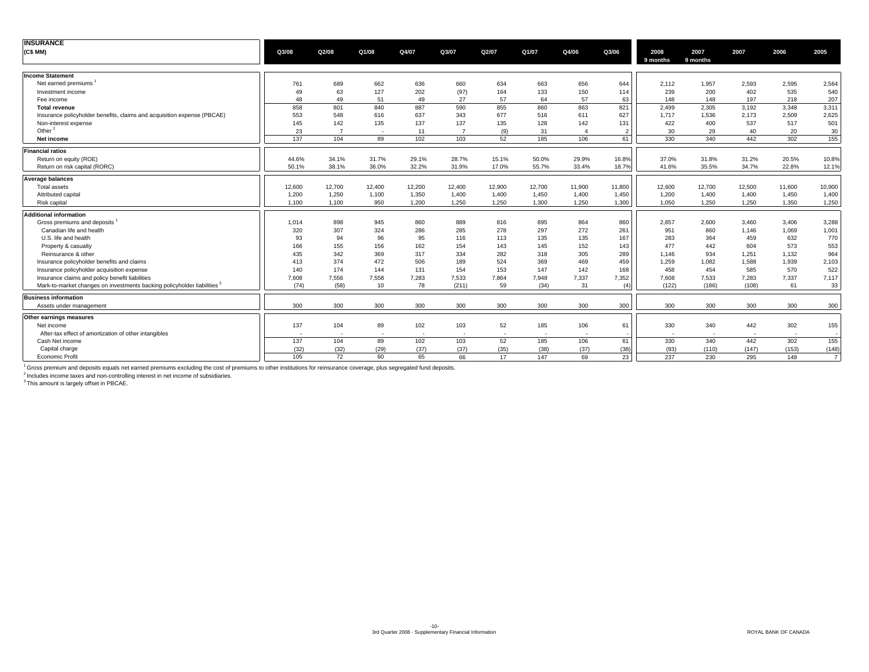| <b>INSURANCE</b>                                                        |        |        |        |        |                |        |        |              |                |          |          |            |                            |                |
|-------------------------------------------------------------------------|--------|--------|--------|--------|----------------|--------|--------|--------------|----------------|----------|----------|------------|----------------------------|----------------|
| (C\$ MM)                                                                | Q3/08  | Q2/08  | Q1/08  | Q4/07  | Q3/07          | Q2/07  | Q1/07  | Q4/06        | Q3/06          | 2008     | 2007     | 2007       | 2006                       | 2005           |
|                                                                         |        |        |        |        |                |        |        |              |                | 9 months | 9 months |            |                            |                |
| <b>Income Statement</b>                                                 |        |        |        |        |                |        |        |              |                |          |          |            |                            |                |
| Net earned premiums                                                     | 761    | 689    | 662    | 636    | 660            | 634    | 663    | 656          | 644            | 2,112    | 1,957    | 2,593      | 2,595                      | 2,564          |
| Investment income                                                       | 49     | 63     | 127    | 202    | (97)           | 164    | 133    | 150          | 114            | 239      | 200      | 402        | 535                        | 540            |
| Fee income                                                              | 48     | 49     | 51     | 49     | 27             | 57     | 64     | 57           | 63             | 148      | 148      | 197        | 218                        | 207            |
| <b>Total revenue</b>                                                    | 858    | 801    | 840    | 887    | 590            | 855    | 860    | 863          | 821            | 2.499    | 2,305    | 3,192      | 3,348                      | 3,311          |
| Insurance policyholder benefits, claims and acquisition expense (PBCAE) | 553    | 548    | 616    | 637    | 343            | 677    | 516    | 611          | 627            | 1.717    | 1,536    | 2,173      | 2,509                      | 2,625          |
| Non-interest expense                                                    | 145    | 142    | 135    | 137    | 137            | 135    | 128    | 142          | 131            | 422      | 400      | 537        | 517                        | 501            |
| Other $^2$                                                              | 23     | - 7    | ۰.     | 11     | $\overline{7}$ | (9)    | 31     | $\mathbf{4}$ | $\overline{2}$ | 30       | 29       | 40         | 20                         | 30             |
| Net income                                                              | 137    | 104    | 89     | 102    | 103            | 52     | 185    | 106          | 61             | 330      | 340      | 442        | 302                        | 155            |
| <b>Financial ratios</b>                                                 |        |        |        |        |                |        |        |              |                |          |          |            |                            |                |
| Return on equity (ROE)                                                  | 44.6%  | 34.1%  | 31.7%  | 29.1%  | 28.7%          | 15.1%  | 50.0%  | 29.9%        | 16.8%          | 37.0%    | 31.8%    | 31.2%      | 20.5%                      | 10.8%          |
| Return on risk capital (RORC)                                           | 50.1%  | 38.1%  | 36.0%  | 32.2%  | 31.9%          | 17.0%  | 55.7%  | 33.4%        | 18.7%          | 41.6%    | 35.5%    | 34.7%      | 22.8%                      | 12.1%          |
|                                                                         |        |        |        |        |                |        |        |              |                |          |          |            |                            |                |
| Average balances                                                        |        |        |        |        |                |        |        |              |                |          |          |            |                            |                |
| Total assets                                                            | 12,600 | 12,700 | 12,400 | 12,200 | 12,400         | 12,900 | 12,700 | 11,900       | 11,800         | 12,600   | 12,700   | 12,500     | 11,600                     | 10,900         |
| Attributed capital                                                      | 1,200  | 1,250  | 1,100  | 1,350  | 1,400          | 1,400  | 1,450  | 1,400        | 1,450          | 1,200    | 1,400    | 1,400      | 1,450                      | 1,400          |
| <b>Risk capital</b>                                                     | 1.100  | 1,100  | 950    | 1,200  | 1,250          | 1,250  | 1,300  | 1,250        | 1,300          | 1.050    | 1,250    | 1,250      | 1,350                      | 1,250          |
| <b>Additional information</b>                                           |        |        |        |        |                |        |        |              |                |          |          |            |                            |                |
| Gross premiums and deposits                                             | 1,014  | 898    | 945    | 860    | 889            | 816    | 895    | 864          | 860            | 2,857    | 2,600    | 3,460      | 3,406                      | 3,288          |
| Canadian life and health                                                | 320    | 307    | 324    | 286    | 285            | 278    | 297    | 272          | 261            | 951      | 860      | 1,146      | 1,069                      | 1,001          |
| U.S. life and health                                                    | 93     | 94     | 96     | 95     | 116            | 113    | 135    | 135          | 167            | 283      | 364      | 459        | 632                        | 770            |
| Property & casualty                                                     | 166    | 155    | 156    | 162    | 154            | 143    | 145    | 152          | 143            | 477      | 442      | 604        | 573                        | 553            |
| Reinsurance & other                                                     | 435    | 342    | 369    | 317    | 334            | 282    | 318    | 305          | 289            | 1,146    | 934      | 1,251      | 1,132                      | 964            |
| Insurance policyholder benefits and claims                              | 413    | 374    | 472    | 506    | 189            | 524    | 369    | 469          | 459            | 1,259    | 1,082    | 1,588      | 1,939                      | 2,103          |
| Insurance policyholder acquisition expense                              | 140    | 174    | 144    | 131    | 154            | 153    | 147    | 142          | 168            | 458      | 454      | 585        | 570                        | 522            |
| Insurance claims and policy benefit liabilities                         | 7,608  | 7,556  | 7,558  | 7,283  | 7,533          | 7,864  | 7,948  | 7,337        | 7,352          | 7.608    | 7.533    | 7,283      | 7,337                      | 7,117          |
| Mark-to-market changes on investments backing policyholder liabilities  | (74)   | (58)   | 10     | 78     | (211)          | 59     | (34)   | 31           | (4)            | (122)    | (186)    | (108)      | 61                         | 33             |
| <b>Business information</b>                                             |        |        |        |        |                |        |        |              |                |          |          |            |                            |                |
| Assets under management                                                 | 300    | 300    | 300    | 300    | 300            | 300    | 300    | 300          | 300            | 300      | 300      | 300        | 300                        | 300            |
| Other earnings measures                                                 |        |        |        |        |                |        |        |              |                |          |          |            |                            |                |
| Net income                                                              | 137    | 104    | 89     | 102    | 103            | 52     | 185    | 106          | 61             | 330      | 340      | 442        | 302                        | 155            |
| After-tax effect of amortization of other intangibles                   |        | $\sim$ |        | ٠.     | $\sim$         | $\sim$ |        | ۰.           |                | . .      | . .      | <b>COL</b> | <b><i><u>Parts</u></i></b> |                |
| Cash Net income                                                         | 137    | 104    | 89     | 102    | 103            | 52     | 185    | 106          | 61             | 330      | 340      | 442        | 302                        | 155            |
| Capital charge                                                          | (32)   | (32)   | (29)   | (37)   | (37)           | (35)   | (38)   | (37)         | (38)           | (93)     | (110)    | (147)      | (153)                      | (148)          |
| <b>Economic Profit</b>                                                  | 105    | 72     | 60     | 65     | 66             | 17     | 147    | 69           | 23             | 237      | 230      | 295        | 149                        | $\overline{7}$ |
|                                                                         |        |        |        |        |                |        |        |              |                |          |          |            |                            |                |

<sup>1</sup> Gross premium and deposits equals net earned premiums excluding the cost of premiums to other institutions for reinsurance coverage, plus segregated fund deposits.<br><sup>2</sup> Inis amount as exes and non-controlling interest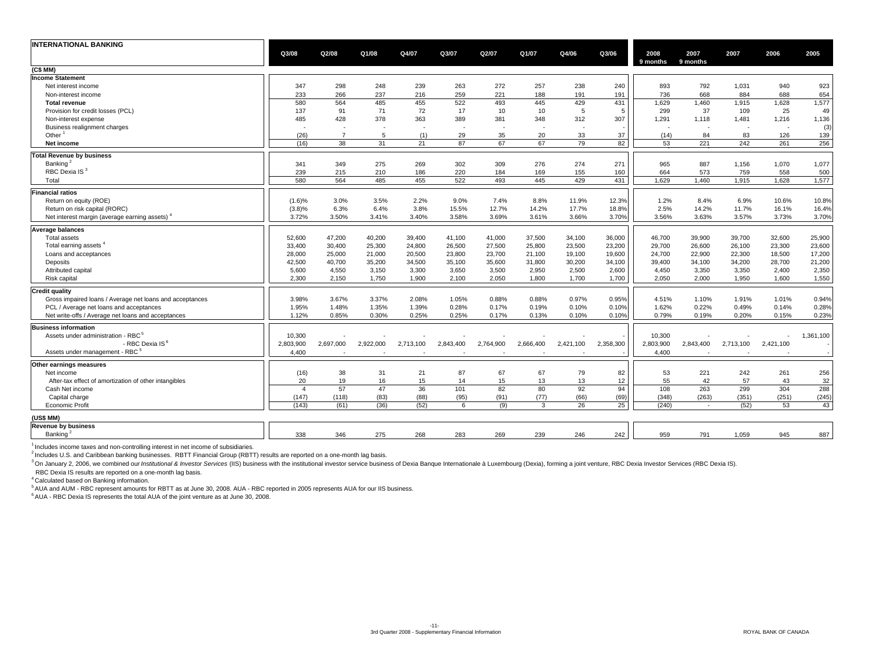| <b>INTERNATIONAL BANKING</b>                             |                          |                |           |           |           |           |           |           |           |                  |                          |           |                          |           |
|----------------------------------------------------------|--------------------------|----------------|-----------|-----------|-----------|-----------|-----------|-----------|-----------|------------------|--------------------------|-----------|--------------------------|-----------|
|                                                          | Q3/08                    | Q2/08          | Q1/08     | Q4/07     | Q3/07     | Q2/07     | Q1/07     | Q4/06     | Q3/06     | 2008<br>9 months | 2007<br>9 months         | 2007      | 2006                     | 2005      |
| (C\$ MM)                                                 |                          |                |           |           |           |           |           |           |           |                  |                          |           |                          |           |
| <b>Income Statement</b>                                  |                          |                |           |           |           |           |           |           |           |                  |                          |           |                          |           |
| Net interest income                                      | 347                      | 298            | 248       | 239       | 263       | 272       | 257       | 238       | 240       | 893              | 792                      | 1,031     | 940                      | 923       |
| Non-interest income                                      | 233                      | 266            | 237       | 216       | 259       | 221       | 188       | 191       | 191       | 736              | 668                      | 884       | 688                      | 654       |
| <b>Total revenue</b>                                     | 580                      | 564            | 485       | 455       | 522       | 493       | 445       | 429       | 431       | 1,629            | 1,460                    | 1,915     | 1,628                    | 1,577     |
| Provision for credit losses (PCL)                        | 137                      | 91             | 71        | 72        | 17        | 10        | 10        | 5         | 5         | 299              | 37                       | 109       | 25                       | 49        |
| Non-interest expense                                     | 485                      | 428            | 378       | 363       | 389       | 381       | 348       | 312       | 307       | 1,291            | 1,118                    | 1,481     | 1,216                    | 1,136     |
| Business realignment charges                             | $\overline{\phantom{a}}$ |                |           |           | $\sim$    |           |           | $\sim$    |           | $\sim$           |                          | $\sim$    | $\overline{\phantom{a}}$ | (3)       |
| Other                                                    | (26)                     | $\overline{7}$ | 5         | (1)       | 29        | 35        | 20        | 33        | 37        | (14)             | 84                       | 83        | 126                      | 139       |
| Net income                                               | (16)                     | 38             | 31        | 21        | 87        | 67        | 67        | 79        | 82        | 53               | 221                      | 242       | 261                      | 256       |
| <b>Total Revenue by business</b>                         |                          |                |           |           |           |           |           |           |           |                  |                          |           |                          |           |
|                                                          |                          |                |           |           |           |           |           |           |           |                  |                          |           |                          |           |
| Banking <sup>2</sup>                                     | 341                      | 349            | 275       | 269       | 302       | 309       | 276       | 274       | 271       | 965              | 887                      | 1,156     | 1,070                    | 1,077     |
| RBC Dexia IS <sup>3</sup>                                | 239                      | 215            | 210       | 186       | 220       | 184       | 169       | 155       | 160       | 664              | 573                      | 759       | 558                      | 500       |
| Total                                                    | 580                      | 564            | 485       | 455       | 522       | 493       | 445       | 429       | 431       | 1,629            | 1,460                    | 1,915     | 1,628                    | 1,577     |
| <b>Financial ratios</b>                                  |                          |                |           |           |           |           |           |           |           |                  |                          |           |                          |           |
| Return on equity (ROE)                                   | (1.6)%                   | 3.0%           | 3.5%      | 2.2%      | 9.0%      | 7.4%      | 8.8%      | 11.9%     | 12.3%     | 1.2%             | 8.4%                     | 6.9%      | 10.6%                    | 10.8%     |
| Return on risk capital (RORC)                            | $(3.8)\%$                | 6.3%           | 6.4%      | 3.8%      | 15.5%     | 12.7%     | 14.2%     | 17.7%     | 18.8%     | 2.5%             | 14.2%                    | 11.7%     | 16.1%                    | 16.4%     |
| Net interest margin (average earning assets)             | 3.72%                    | 3.50%          | 3.41%     | 3.40%     | 3.58%     | 3.69%     | 3.61%     | 3.66%     | 3.70%     | 3.56%            | 3.63%                    | 3.57%     | 3.73%                    | 3.70%     |
| <b>Average balances</b>                                  |                          |                |           |           |           |           |           |           |           |                  |                          |           |                          |           |
| <b>Total assets</b>                                      | 52,600                   | 47,200         | 40,200    | 39,400    | 41.100    | 41,000    | 37,500    | 34,100    | 36,000    | 46.700           | 39,900                   | 39,700    | 32,600                   | 25,900    |
| Total earning assets <sup>4</sup>                        | 33,400                   | 30,400         | 25,300    | 24,800    | 26,500    | 27,500    | 25,800    | 23,500    | 23,200    | 29.700           | 26,600                   | 26,100    | 23,300                   | 23,600    |
|                                                          |                          |                |           |           |           |           |           |           |           |                  |                          |           |                          |           |
| Loans and acceptances                                    | 28,000                   | 25,000         | 21,000    | 20,500    | 23,800    | 23,700    | 21,100    | 19,100    | 19,600    | 24,700           | 22,900                   | 22,300    | 18,500                   | 17,200    |
| Deposits                                                 | 42,500                   | 40,700         | 35,200    | 34,500    | 35,100    | 35,600    | 31,800    | 30,200    | 34,100    | 39,400           | 34,100                   | 34,200    | 28,700                   | 21,200    |
| Attributed capital                                       | 5,600                    | 4,550          | 3,150     | 3,300     | 3,650     | 3,500     | 2,950     | 2,500     | 2,600     | 4,450            | 3,350                    | 3,350     | 2,400                    | 2,350     |
| Risk capital                                             | 2,300                    | 2,150          | 1,750     | 1,900     | 2,100     | 2.050     | 1,800     | 1,700     | 1,700     | 2.050            | 2.000                    | 1,950     | 1,600                    | 1,550     |
| <b>Credit quality</b>                                    |                          |                |           |           |           |           |           |           |           |                  |                          |           |                          |           |
| Gross impaired loans / Average net loans and acceptances | 3.98%                    | 3.67%          | 3.37%     | 2.08%     | 1.05%     | 0.88%     | 0.88%     | 0.97%     | 0.95%     | 4.51%            | 1.10%                    | 1.91%     | 1.01%                    | 0.94%     |
| PCL / Average net loans and acceptances                  | 1.95%                    | 1.48%          | 1.35%     | 1.39%     | 0.28%     | 0.17%     | 0.19%     | 0.10%     | 0.10%     | 1.62%            | 0.22%                    | 0.49%     | 0.14%                    | 0.28%     |
| Net write-offs / Average net loans and acceptances       | 1.12%                    | 0.85%          | 0.30%     | 0.25%     | 0.25%     | 0.17%     | 0.13%     | 0.10%     | 0.10%     | 0.79%            | 0.19%                    | 0.20%     | 0.15%                    | 0.23%     |
| <b>Business information</b>                              |                          |                |           |           |           |           |           |           |           |                  |                          |           |                          |           |
| Assets under administration - RBC <sup>5</sup>           | 10,300                   |                |           |           |           |           |           |           |           | 10,300           |                          |           |                          | 1,361,100 |
| - RBC Dexia IS <sup>6</sup>                              | 2,803,900                | 2,697,000      | 2,922,000 | 2,713,100 | 2,843,400 | 2,764,900 | 2,666,400 | 2,421,100 | 2,358,300 | 2,803,900        | 2,843,400                | 2,713,100 | 2,421,100                |           |
| Assets under management - RBC <sup>5</sup>               | 4,400                    |                |           |           |           |           |           |           |           | 4,400            |                          |           |                          |           |
|                                                          |                          |                |           |           |           |           |           |           |           |                  |                          |           |                          |           |
| Other earnings measures                                  |                          |                |           |           |           |           |           |           |           |                  |                          |           |                          |           |
| Net income                                               | (16)                     | 38             | 31        | 21        | 87        | 67        | 67        | 79        | 82        | 53               | 221                      | 242       | 261                      | 256       |
| After-tax effect of amortization of other intangibles    | 20                       | 19             | 16        | 15        | 14        | 15        | 13        | 13        | 12        | 55               | 42                       | 57        | 43                       | 32        |
| Cash Net income                                          | $\overline{4}$           | 57             | 47        | 36        | 101       | 82        | 80        | 92        | 94        | 108              | 263                      | 299       | 304                      | 288       |
| Capital charge                                           | (147)                    | (118)          | (83)      | (88)      | (95)      | (91)      | (77)      | (66)      | (69)      | (348)            | (263)                    | (351)     | (251)                    | (245)     |
| Economic Profit                                          | (143)                    | (61)           | (36)      | (52)      | 6         | (9)       | 3         | 26        | 25        | (240)            | $\overline{\phantom{a}}$ | (52)      | 53                       | 43        |
| (US\$ MM)                                                |                          |                |           |           |           |           |           |           |           |                  |                          |           |                          |           |
| <b>Revenue by business</b>                               |                          |                |           |           |           |           |           |           |           |                  |                          |           |                          |           |
| Banking <sup>2</sup>                                     | 338                      | 346            | 275       | 268       | 283       | 269       | 239       | 246       | 242       | 959              | 791                      | 1,059     | 945                      | 887       |
|                                                          |                          |                |           |           |           |           |           |           |           |                  |                          |           |                          |           |

<sup>1</sup> Includes income taxes and non-controlling interest in net income of subsidiaries.

<sup>2</sup> Includes U.S. and Caribbean banking businesses. RBTT Financial Group (RBTT) results are reported on a one-month lag basis.

<sup>3</sup> On January 2, 2006, we combined our Institutional & Investor Services (IIS) business with the institutional investor service business of Dexia Banque Internationale à Luxembourg (Dexia), forming a joint venture, RBC De

RBC Dexia IS results are reported on a one-month lag basis.

4 Calculated based on Banking information.

5 AUA and AUM - RBC represent amounts for RBTT as at June 30, 2008. AUA - RBC reported in 2005 represents AUA for our IIS business.

 $6$  AUA - RBC Dexia IS represents the total AUA of the joint venture as at June 30, 2008.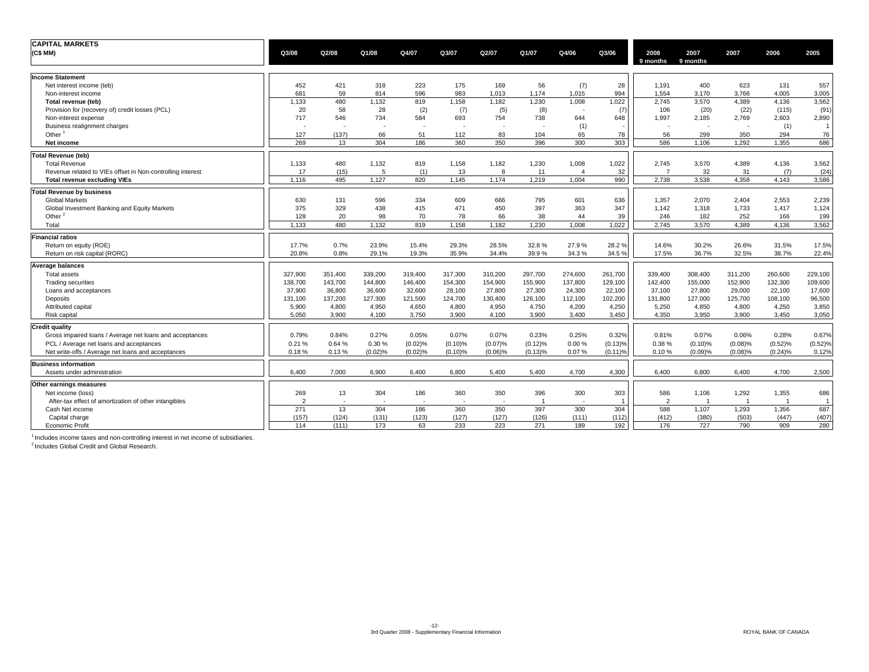| <b>CAPITAL MARKETS</b>                                     |                |         |         |         |                          |            |         |                |                |                  |                  |         |                |                |
|------------------------------------------------------------|----------------|---------|---------|---------|--------------------------|------------|---------|----------------|----------------|------------------|------------------|---------|----------------|----------------|
| (C\$MM)                                                    | Q3/08          | Q2/08   | Q1/08   | Q4/07   | Q3/07                    | Q2/07      | Q1/07   | Q4/06          | Q3/06          | 2008<br>9 months | 2007<br>9 months | 2007    | 2006           | 2005           |
| <b>Income Statement</b>                                    |                |         |         |         |                          |            |         |                |                |                  |                  |         |                |                |
| Net interest income (teb)                                  | 452            | 421     | 318     | 223     | 175                      | 169        | 56      | (7)            | 28             | 1,191            | 400              | 623     | 131            | 557            |
| Non-interest income                                        | 681            | 59      | 814     | 596     | 983                      | 1,013      | 1,174   | 1,015          | 994            | 1,554            | 3,170            | 3,766   | 4,005          | 3,005          |
| Total revenue (teb)                                        | 1,133          | 480     | 1,132   | 819     | 1,158                    | 1,182      | 1,230   | 1,008          | 1,022          | 2,745            | 3,570            | 4,389   | 4,136          | 3,562          |
| Provision for (recovery of) credit losses (PCL)            | 20             | 58      | 28      | (2)     | (7)                      | (5)        | (8)     |                | (7)            | 106              | (20)             | (22)    | (115)          | (91)           |
| Non-interest expense                                       | 717            | 546     | 734     | 584     | 693                      | 754        | 738     | 644            | 648            | 1,997            | 2,185            | 2,769   | 2,603          | 2,890          |
| Business realignment charges                               |                |         |         |         | $\overline{\phantom{a}}$ |            |         | (1)            |                |                  |                  |         | (1)            | $\overline{1}$ |
| Other $1$                                                  | 127            | (137)   | 66      | 51      | 112                      | 83         | 104     | 65             | 78             | 56               | 299              | 350     | 294            | 76             |
| Net income                                                 | 269            | 13      | 304     | 186     | 360                      | 350        | 396     | 300            | 303            | 586              | 1,106            | 1,292   | 1,355          | 686            |
| <b>Total Revenue (teb)</b>                                 |                |         |         |         |                          |            |         |                |                |                  |                  |         |                |                |
| <b>Total Revenue</b>                                       | 1,133          | 480     | 1,132   | 819     | 1,158                    | 1,182      | 1,230   | 1,008          | 1,022          | 2,745            | 3,570            | 4,389   | 4,136          | 3,562          |
| Revenue related to VIEs offset in Non-controlling interest | 17             | (15)    | 5       | (1)     | 13                       | 8          | 11      | $\overline{4}$ | 32             |                  | 32               | 31      | (7)            | (24)           |
| <b>Total revenue excluding VIEs</b>                        | 1.116          | 495     | 1,127   | 820     | 1,145                    | 1,174      | 1,219   | 1,004          | 990            | 2.738            | 3,538            | 4,358   | 4,143          | 3,586          |
| <b>Total Revenue by business</b>                           |                |         |         |         |                          |            |         |                |                |                  |                  |         |                |                |
| <b>Global Markets</b>                                      | 630            | 131     | 596     | 334     | 609                      | 666        | 795     | 601            | 636            | 1,357            | 2.070            | 2,404   | 2,553          | 2,239          |
| Global Investment Banking and Equity Markets               | 375            | 329     | 438     | 415     | 471                      | 450        | 397     | 363            | 347            | 1,142            | 1,318            | 1,733   | 1,417          | 1,124          |
| Other <sup>2</sup>                                         | 128            | 20      | 98      | 70      | 78                       | 66         | 38      | 44             | 39             | 246              | 182              | 252     | 166            | 199            |
| Total                                                      | 1.133          | 480     | 1,132   | 819     | 1.158                    | 1.182      | 1.230   | 1.008          | 1.022          | 2.745            | 3.570            | 4.389   | 4,136          | 3,562          |
| <b>Financial ratios</b>                                    |                |         |         |         |                          |            |         |                |                |                  |                  |         |                |                |
| Return on equity (ROE)                                     | 17.7%          | 0.7%    | 23.9%   | 15.4%   | 29.3%                    | 28.5%      | 32.8%   | 27.9%          | 28.2%          | 14.6%            | 30.2%            | 26.6%   | 31.5%          | 17.5%          |
| Return on risk capital (RORC)                              | 20.8%          | 0.8%    | 29.1%   | 19.3%   | 35.9%                    | 34.4%      | 39.9%   | 34.3%          | 34.5%          | 17.5%            | 36.7%            | 32.5%   | 38.7%          | 22.4%          |
| <b>Average balances</b>                                    |                |         |         |         |                          |            |         |                |                |                  |                  |         |                |                |
| <b>Total assets</b>                                        | 327.900        | 351,400 | 339,200 | 319,400 | 317,300                  | 310,200    | 297,700 | 274,600        | 261,700        | 339.400          | 308,400          | 311,200 | 260,600        | 229,100        |
| <b>Trading securities</b>                                  | 138,700        | 143,700 | 144,800 | 146,400 | 154,300                  | 154,900    | 155,900 | 137,800        | 129,100        | 142,400          | 155,000          | 152,900 | 132,300        | 109,600        |
| Loans and acceptances                                      | 37,900         | 36,800  | 36,600  | 32,600  | 28,100                   | 27,800     | 27,300  | 24,300         | 22,100         | 37,100           | 27,800           | 29,000  | 22,100         | 17,600         |
| Deposits                                                   | 131,100        | 137,200 | 127,300 | 121,500 | 124,700                  | 130,400    | 126,100 | 112,100        | 102,200        | 131,800          | 127,000          | 125,700 | 108,100        | 96,500         |
| Attributed capital                                         | 5,900          | 4,800   | 4,950   | 4,650   | 4,800                    | 4,950      | 4,750   | 4,200          | 4,250          | 5,250            | 4,850            | 4,800   | 4,250          | 3,850          |
| <b>Risk capital</b>                                        | 5,050          | 3,900   | 4,100   | 3,750   | 3,900                    | 4,100      | 3,900   | 3,400          | 3,450          | 4,350            | 3,950            | 3,900   | 3,450          | 3,050          |
| <b>Credit quality</b>                                      |                |         |         |         |                          |            |         |                |                |                  |                  |         |                |                |
| Gross impaired loans / Average net loans and acceptances   | 0.79%          | 0.84%   | 0.27%   | 0.05%   | 0.07%                    | 0.07%      | 0.23%   | 0.25%          | 0.32%          | 0.81%            | 0.07%            | 0.06%   | 0.28%          | 0.67%          |
| PCL / Average net loans and acceptances                    | 0.21%          | 0.64%   | 0.30%   | (0.02)% | (0.10)%                  | (0.07)%    | (0.12)% | 0.00%          | (0.13)%        | 0.38%            | (0.10)%          | (0.08)% | (0.52)%        | (0.52)%        |
| Net write-offs / Average net loans and acceptances         | 0.18%          | 0.13%   | (0.02)% | (0.02)% | (0.10)%                  | $(0.06)\%$ | (0.13)% | 0.07%          | $(0.11)$ %     | 0.10%            | (0.09)%          | (0.08)% | (0.24)%        | 0.12%          |
| <b>Business information</b>                                |                |         |         |         |                          |            |         |                |                |                  |                  |         |                |                |
| Assets under administration                                | 6.400          | 7,000   | 6,900   | 6,400   | 6,800                    | 5,400      | 5,400   | 4,700          | 4,300          | 6.400            | 6.800            | 6,400   | 4,700          | 2,500          |
| Other earnings measures                                    |                |         |         |         |                          |            |         |                |                |                  |                  |         |                |                |
| Net income (loss)                                          | 269            | 13      | 304     | 186     | 360                      | 350        | 396     | 300            | 303            | 586              | 1,106            | 1,292   | 1,355          | 686            |
| After-tax effect of amortization of other intangibles      | $\overline{2}$ |         |         |         | ٠                        |            |         |                | $\overline{1}$ | $\overline{2}$   |                  |         | $\overline{1}$ | $\overline{1}$ |
| Cash Net income                                            | 271            | 13      | 304     | 186     | 360                      | 350        | 397     | 300            | 304            | 588              | 1,107            | 1,293   | 1,356          | 687            |
| Capital charge                                             | (157)          | (124)   | (131)   | (123)   | (127)                    | (127)      | (126)   | (111)          | (112)          | (412)            | (380)            | (503)   | (447)          | (407)          |
| Economic Profit                                            | 114            | (111)   | 173     | 63      | 233                      | 223        | 271     | 189            | 192            | 176              | 727              | 790     | 909            | 280            |

 $<sup>1</sup>$  Includes income taxes and non-controlling interest in net income of subsidiaries.</sup>

<sup>2</sup> Includes Global Credit and Global Research.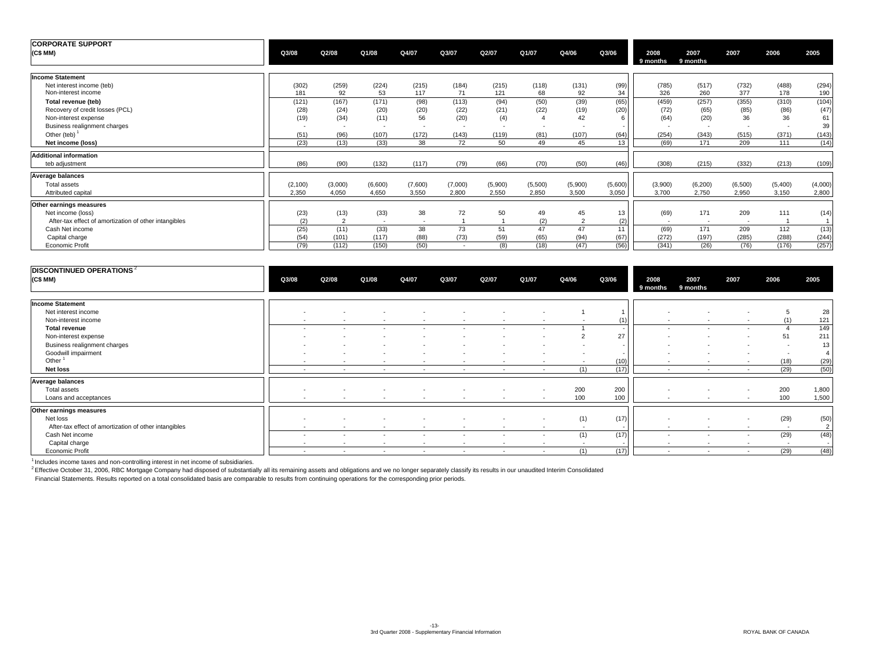| <b>CORPORATE SUPPORT</b>                                                   |                   |                  |                  |                      |                  |                       |                  |                  |                  |                        |                       |                                |                  |                  |
|----------------------------------------------------------------------------|-------------------|------------------|------------------|----------------------|------------------|-----------------------|------------------|------------------|------------------|------------------------|-----------------------|--------------------------------|------------------|------------------|
| (C\$ MM)                                                                   | Q3/08             | Q2/08            | Q1/08            | Q4/07                | Q3/07            | Q2/07                 | Q1/07            | Q4/06            | Q3/06            | 2008<br>9 months       | 2007<br>9 months      | 2007                           | 2006             | 2005             |
| <b>Income Statement</b>                                                    |                   |                  |                  |                      |                  |                       |                  |                  |                  |                        |                       |                                |                  |                  |
| Net interest income (teb)<br>Non-interest income                           | (302)<br>181      | (259)<br>92      | (224)<br>53      | (215)<br>117         | (184)<br>71      | (215)<br>121          | (118)<br>68      | (131)<br>92      | (99)<br>34       | (785)<br>326           | (517)<br>260          | (732)<br>377                   | (488)<br>178     | (294)<br>190     |
| Total revenue (teb)<br>Recovery of credit losses (PCL)                     | (121)<br>(28)     | (167)<br>(24)    | (171)<br>(20)    | (98)<br>(20)         | (113)<br>(22)    | (94)<br>(21)          | (50)<br>(22)     | (39)<br>(19)     | (65)<br>(20)     | (459)<br>(72)          | (257)<br>(65)         | (355)<br>(85)                  | (310)<br>(86)    | (104)<br>(47)    |
| Non-interest expense<br>Business realignment charges                       | (19)              | (34)             | (11)<br>$\sim$   | 56<br>$\overline{a}$ | (20)<br>$\sim$   | (4)<br>$\overline{a}$ | $\overline{a}$   | 42               |                  | (64)                   | (20)                  | 36<br>$\overline{\phantom{a}}$ | 36               | 61<br>39         |
| Other (teb) $1$<br>Net income (loss)                                       | (51)<br>(23)      | (96)<br>(13)     | (107)<br>(33)    | (172)<br>38          | (143)<br>72      | (119)<br>50           | (81)<br>49       | (107)<br>45      | (64)<br>13       | (254)<br>(69)          | (343)<br>171          | (515)<br>209                   | (371)<br>111     | (143)<br>(14)    |
| <b>Additional information</b>                                              |                   |                  |                  |                      |                  |                       |                  |                  |                  |                        |                       |                                |                  |                  |
| teb adjustment                                                             | (86)              | (90)             | (132)            | (117)                | (79)             | (66)                  | (70)             | (50)             | (46)             | (308)                  | (215)                 | (332)                          | (213)            | (109)            |
| Average balances                                                           |                   |                  |                  |                      |                  |                       |                  |                  |                  |                        |                       |                                |                  |                  |
| Total assets<br>Attributed capital                                         | (2, 100)<br>2.350 | (3,000)<br>4,050 | (6,600)<br>4,650 | (7,600)<br>3,550     | (7,000)<br>2,800 | (5,900)<br>2,550      | (5,500)<br>2.850 | (5,900)<br>3,500 | (5,600)<br>3,050 | (3,900)<br>3.700       | (6, 200)<br>2,750     | (6,500)<br>2,950               | (5,400)<br>3,150 | (4,000)<br>2,800 |
| Other earnings measures                                                    |                   |                  |                  |                      |                  |                       |                  |                  |                  |                        |                       |                                |                  |                  |
| Net income (loss)<br>After-tax effect of amortization of other intangibles | (23)<br>(2)       | (13)             | (33)<br>$\sim$   | 38<br>$\overline{a}$ | 72               | 50                    | 49<br>(2)        | 45               | 13<br>(2)        | (69)<br>$\overline{a}$ | 171<br>$\overline{a}$ | 209<br>$\overline{a}$          | 111              | (14)             |
| Cash Net income                                                            | (25)              | (11)             | (33)             | 38                   | 73               | 51                    | 47               | 47               | 11               | (69)                   | 171                   | 209                            | 112              | (13)             |
| Capital charge<br>Economic Profit                                          | (54)<br>(79)      | (101)<br>(112)   | (117)<br>(150)   | (88)<br>(50)         | (73)<br>$\sim$   | (59)<br>(8)           | (65)<br>(18)     | (94)<br>(47)     | (67)<br>(56)     | (272)<br>(341)         | (197)<br>(26)         | (285)<br>(76)                  | (288)<br>(176)   | (244)<br>(257)   |

| <b>DISCONTINUED OPERATIONS</b> <sup>2</sup><br>(C\$ MM) | Q3/08  | Q2/08                    | Q1/08  | Q4/07  | Q3/07                    | Q2/07  | Q1/07                    | Q4/06                    | Q3/06 | 2008<br>9 months         | 2007<br>9 months         | 2007                     | 2006   | 2005           |
|---------------------------------------------------------|--------|--------------------------|--------|--------|--------------------------|--------|--------------------------|--------------------------|-------|--------------------------|--------------------------|--------------------------|--------|----------------|
| <b>Income Statement</b>                                 |        |                          |        |        |                          |        |                          |                          |       |                          |                          |                          |        |                |
|                                                         |        |                          |        |        |                          |        |                          |                          |       |                          |                          |                          |        |                |
| Net interest income                                     | $\sim$ |                          |        |        |                          |        |                          |                          |       |                          |                          | $\overline{a}$           |        | 28             |
| Non-interest income                                     | $\sim$ | $\sim$                   | $\sim$ | $\sim$ | $\sim$                   | $\sim$ | $\sim$                   |                          | (1)   | $\sim$                   | $\sim$                   | $\sim$                   | (1)    | 121            |
| <b>Total revenue</b>                                    | $\sim$ | $\sim$                   | $\sim$ | $\sim$ | $\sim$                   | $\sim$ | $\sim$                   |                          |       | $\sim$                   | $\sim$                   | $\sim$                   |        | 149            |
| Non-interest expense                                    | ٠      | $\sim$                   |        |        | $\overline{a}$           | ٠      |                          |                          | 27    | $\sim$                   | $\overline{\phantom{a}}$ |                          | 51     | 211            |
| Business realignment charges                            |        | $\overline{\phantom{a}}$ |        |        |                          |        | $\overline{\phantom{a}}$ |                          |       | $\sim$                   | $\overline{\phantom{a}}$ | $\sim$                   |        | 13             |
| Goodwill impairment                                     | $\sim$ | $\overline{\phantom{a}}$ |        |        | $\sim$                   | $\sim$ | $\overline{\phantom{a}}$ | $\overline{\phantom{a}}$ |       | $\sim$                   | $\overline{\phantom{a}}$ | $\sim$                   | $\sim$ |                |
| Other                                                   | $\sim$ | $\sim$                   | $\sim$ | $\sim$ | $\sim$                   | $\sim$ | $\sim$                   | $\sim$                   | (10)  | $\sim$                   | $\sim$                   | $\sim$                   | (18)   | (29)           |
| Net loss                                                | $\sim$ | $\sim$                   | $\sim$ | $\sim$ | $\overline{\phantom{a}}$ | $\sim$ | $\sim$                   | (1)                      | (17)  | $\overline{\phantom{a}}$ | $\sim$                   | $\sim$                   | (29)   | (50)           |
| Average balances                                        |        |                          |        |        |                          |        |                          |                          |       |                          |                          |                          |        |                |
| Total assets                                            | $\sim$ | $\sim$                   | $\sim$ | $\sim$ | $\sim$                   | $\sim$ | $\sim$                   | 200                      | 200   | $\sim$                   | $\overline{\phantom{a}}$ | $\sim$                   | 200    | 1,800          |
| Loans and acceptances                                   | $\sim$ | $\overline{\phantom{a}}$ | $\sim$ | $\sim$ | $\overline{\phantom{a}}$ | $\sim$ | $\sim$                   | 100                      | 100   | $\sim$                   | $\sim$                   | $\overline{\phantom{a}}$ | 100    | 1,500          |
| Other earnings measures                                 |        |                          |        |        |                          |        |                          |                          |       |                          |                          |                          |        |                |
| Net loss                                                | $\sim$ |                          |        |        | $\sim$                   | $\sim$ | $\sim$                   | (1)                      | (17)  | $\sim$                   |                          | $\sim$                   | (29)   | (50)           |
| After-tax effect of amortization of other intangibles   |        |                          |        |        |                          | $\sim$ |                          |                          |       |                          |                          |                          |        | $\overline{2}$ |
| Cash Net income                                         |        | $\sim$                   |        |        | $\sim$                   | $\sim$ | $\sim$                   | (1)                      | (17)  | $\sim$                   | $\overline{\phantom{a}}$ | $\sim$                   | (29)   | (48)           |
| Capital charge                                          |        | $\sim$                   | $\sim$ | $\sim$ | $\sim$                   | $\sim$ | $\sim$                   | $\sim$                   |       | $\sim$                   | $\sim$                   | $\overline{\phantom{a}}$ | $\sim$ | $\sim$         |
| Economic Profit                                         | $\sim$ | $\sim$                   | $\sim$ | $\sim$ | $\sim$                   | $\sim$ | $\sim$                   | (1)                      | (17)  | $\sim$                   | $\sim$                   | $\sim$                   | (29)   | (48)           |

<sup>1</sup> Includes income taxes and non-controlling interest in net income of subsidiaries.<br><sup>2</sup> Effective October 31, 2006, RBC Mortgage Company had disposed of substantially all its remaining assets and obligations and we no lo

Financial Statements. Results reported on a total consolidated basis are comparable to results from continuing operations for the corresponding prior periods.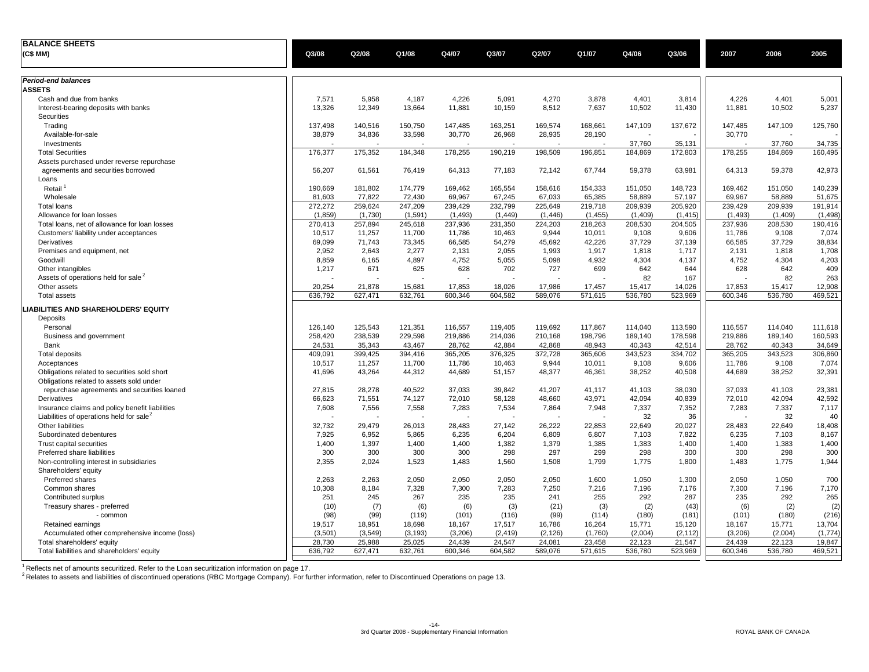| <b>BALANCE SHEETS</b>                                |         |                |          |          |          |          |          |         |          |          |         |          |
|------------------------------------------------------|---------|----------------|----------|----------|----------|----------|----------|---------|----------|----------|---------|----------|
| (C\$ MM)                                             | Q3/08   | Q2/08          | Q1/08    | Q4/07    | Q3/07    | Q2/07    | Q1/07    | Q4/06   | Q3/06    | 2007     | 2006    | 2005     |
| Period-end balances                                  |         |                |          |          |          |          |          |         |          |          |         |          |
| <b>ASSETS</b>                                        |         |                |          |          |          |          |          |         |          |          |         |          |
| Cash and due from banks                              | 7,571   | 5,958          | 4,187    | 4,226    | 5,091    | 4,270    | 3,878    | 4,401   | 3,814    | 4,226    | 4,401   | 5,001    |
| Interest-bearing deposits with banks                 | 13,326  | 12,349         | 13,664   | 11,881   | 10,159   | 8,512    | 7,637    | 10,502  | 11,430   | 11,881   | 10,502  | 5,237    |
| Securities                                           |         |                |          |          |          |          |          |         |          |          |         |          |
| Trading                                              | 137,498 | 140,516        | 150,750  | 147,485  | 163,251  | 169,574  | 168,661  | 147,109 | 137,672  | 147,485  | 147,109 | 125,760  |
| Available-for-sale                                   | 38,879  | 34,836         | 33,598   | 30,770   | 26,968   | 28,935   | 28,190   |         |          | 30,770   |         |          |
| Investments                                          |         |                |          |          |          |          |          | 37,760  | 35,131   |          | 37,760  | 34,735   |
| <b>Total Securities</b>                              | 176,377 | 175,352        | 184,348  | 178,255  | 190,219  | 198,509  | 196,851  | 184,869 | 172,803  | 178,255  | 184,869 | 160,495  |
| Assets purchased under reverse repurchase            |         |                |          |          |          |          |          |         |          |          |         |          |
| agreements and securities borrowed                   | 56,207  | 61,561         | 76,419   | 64,313   | 77.183   | 72,142   | 67,744   | 59,378  | 63,981   | 64,313   | 59,378  | 42,973   |
| Loans                                                |         |                |          |          |          |          |          |         |          |          |         |          |
| Retail                                               | 190,669 | 181,802        | 174,779  | 169,462  | 165,554  | 158,616  | 154,333  | 151,050 | 148,723  | 169,462  | 151,050 | 140,239  |
| Wholesale                                            | 81,603  | 77,822         | 72,430   | 69,967   | 67,245   | 67,033   | 65,385   | 58,889  | 57,197   | 69,967   | 58,889  | 51,675   |
| <b>Total loans</b>                                   | 272,272 | 259,624        | 247,209  | 239,429  | 232,799  | 225,649  | 219,718  | 209,939 | 205,920  | 239,429  | 209,939 | 191,914  |
| Allowance for loan losses                            | (1,859) | (1,730)        | (1,591)  | (1, 493) | (1, 449) | (1, 446) | (1, 455) | (1,409) | (1, 415) | (1, 493) | (1,409) | (1, 498) |
| Total loans, net of allowance for loan losses        | 270,413 | 257,894        | 245,618  | 237,936  | 231,350  | 224,203  | 218,263  | 208,530 | 204,505  | 237,936  | 208,530 | 190,416  |
| Customers' liability under acceptances               | 10,517  | 11,257         | 11,700   | 11,786   | 10,463   | 9,944    | 10,011   | 9,108   | 9,606    | 11,786   | 9,108   | 7,074    |
| Derivatives                                          | 69,099  | 71,743         | 73,345   | 66,585   | 54,279   | 45,692   | 42,226   | 37,729  | 37,139   | 66,585   | 37,729  | 38,834   |
| Premises and equipment, net                          | 2,952   | 2,643          | 2,277    | 2,131    | 2,055    | 1,993    | 1,917    | 1,818   | 1,717    | 2,131    | 1,818   | 1,708    |
| Goodwill                                             | 8,859   | 6,165          | 4,897    | 4,752    | 5,055    | 5,098    | 4,932    | 4,304   | 4,137    | 4,752    | 4,304   | 4,203    |
| Other intangibles                                    | 1,217   | 671            | 625      | 628      | 702      | 727      | 699      | 642     | 644      | 628      | 642     | 409      |
| Assets of operations held for sale <sup>2</sup>      |         |                |          |          |          |          |          | 82      | 167      |          | 82      | 263      |
| Other assets                                         | 20,254  | 21,878         | 15,681   | 17,853   | 18,026   | 17,986   | 17,457   | 15,417  | 14,026   | 17,853   | 15,417  | 12,908   |
| <b>Total assets</b>                                  | 636,792 | 627,471        | 632,761  | 600,346  | 604,582  | 589,076  | 571,615  | 536,780 | 523,969  | 600,346  | 536,780 | 469,521  |
| LIABILITIES AND SHAREHOLDERS' EQUITY                 |         |                |          |          |          |          |          |         |          |          |         |          |
| Deposits                                             |         |                |          |          |          |          |          |         |          |          |         |          |
| Personal                                             | 126,140 | 125,543        | 121,351  | 116,557  | 119,405  | 119,692  | 117,867  | 114,040 | 113,590  | 116,557  | 114,040 | 111,618  |
| Business and government                              | 258,420 | 238,539        | 229,598  | 219,886  | 214,036  | 210,168  | 198,796  | 189,140 | 178,598  | 219,886  | 189,140 | 160,593  |
| Bank                                                 | 24,531  | 35,343         | 43,467   | 28,762   | 42.884   | 42,868   | 48.943   | 40,343  | 42,514   | 28,762   | 40.343  | 34,649   |
| <b>Total deposits</b>                                | 409,091 | 399,425        | 394,416  | 365,205  | 376,325  | 372,728  | 365,606  | 343,523 | 334,702  | 365,205  | 343,523 | 306,860  |
| Acceptances                                          | 10,517  | 11,257         | 11,700   | 11,786   | 10,463   | 9,944    | 10,011   | 9,108   | 9,606    | 11,786   | 9,108   | 7,074    |
| Obligations related to securities sold short         | 41,696  | 43,264         | 44,312   | 44,689   | 51,157   | 48,377   | 46,361   | 38,252  | 40,508   | 44,689   | 38,252  | 32,391   |
| Obligations related to assets sold under             |         |                |          |          |          |          |          |         |          |          |         |          |
| repurchase agreements and securities loaned          | 27,815  | 28,278         | 40,522   | 37,033   | 39,842   | 41,207   | 41,117   | 41,103  | 38,030   | 37,033   | 41,103  | 23,381   |
| Derivatives                                          | 66,623  | 71,551         | 74,127   | 72,010   | 58,128   | 48,660   | 43,971   | 42,094  | 40,839   | 72,010   | 42,094  | 42,592   |
| Insurance claims and policy benefit liabilities      | 7,608   | 7,556          | 7,558    | 7,283    | 7,534    | 7,864    | 7,948    | 7,337   | 7,352    | 7,283    | 7,337   | 7,117    |
| Liabilities of operations held for sale <sup>2</sup> |         | $\blacksquare$ |          |          |          |          |          | 32      | 36       |          | 32      | 40       |
| Other liabilities                                    | 32,732  | 29,479         | 26.013   | 28.483   | 27.142   | 26,222   | 22.853   | 22,649  | 20,027   | 28,483   | 22,649  | 18,408   |
| Subordinated debentures                              | 7,925   | 6.952          | 5,865    | 6,235    | 6,204    | 6,809    | 6,807    | 7,103   | 7,822    | 6,235    | 7,103   | 8,167    |
| Trust capital securities                             | 1,400   | 1,397          | 1,400    | 1,400    | 1,382    | 1,379    | 1,385    | 1,383   | 1,400    | 1,400    | 1,383   | 1,400    |
| Preferred share liabilities                          | 300     | 300            | 300      | 300      | 298      | 297      | 299      | 298     | 300      | 300      | 298     | 300      |
| Non-controlling interest in subsidiaries             | 2,355   | 2,024          | 1,523    | 1,483    | 1,560    | 1,508    | 1,799    | 1,775   | 1,800    | 1,483    | 1,775   | 1,944    |
| Shareholders' equity                                 |         |                |          |          |          |          |          |         |          |          |         |          |
| <b>Preferred shares</b>                              | 2,263   | 2,263          | 2,050    | 2,050    | 2,050    | 2,050    | 1,600    | 1.050   | 1,300    | 2,050    | 1,050   | 700      |
| Common shares                                        | 10.308  | 8.184          | 7.328    | 7.300    | 7.283    | 7.250    | 7.216    | 7.196   | 7,176    | 7.300    | 7.196   | 7,170    |
| Contributed surplus                                  | 251     | 245            | 267      | 235      | 235      | 241      | 255      | 292     | 287      | 235      | 292     | 265      |
| Treasury shares - preferred                          | (10)    | (7)            | (6)      | (6)      | (3)      | (21)     | (3)      | (2)     | (43)     | (6)      | (2)     | (2)      |
| - common                                             | (98)    | (99)           | (119)    | (101)    | (116)    | (99)     | (114)    | (180)   | (181)    | (101)    | (180)   | (216)    |
| Retained earnings                                    | 19,517  | 18,951         | 18,698   | 18,167   | 17,517   | 16,786   | 16,264   | 15,771  | 15,120   | 18,167   | 15,771  | 13,704   |
| Accumulated other comprehensive income (loss)        | (3,501) | (3,549)        | (3, 193) | (3,206)  | (2, 419) | (2, 126) | (1,760)  | (2,004) | (2, 112) | (3,206)  | (2,004) | (1,774)  |
| Total shareholders' equity                           | 28,730  | 25,988         | 25,025   | 24,439   | 24,547   | 24,081   | 23,458   | 22,123  | 21,547   | 24,439   | 22,123  | 19,847   |
| Total liabilities and shareholders' equity           | 636,792 | 627,471        | 632,761  | 600,346  | 604,582  | 589,076  | 571,615  | 536,780 | 523,969  | 600,346  | 536,780 | 469,521  |

<sup>1</sup> Reflects net of amounts securitized. Refer to the Loan securitization information on page 17.<br><sup>2</sup> Relates to assets and liabilities of discontinued operations (RBC Mortgage Company). For further information, refer to D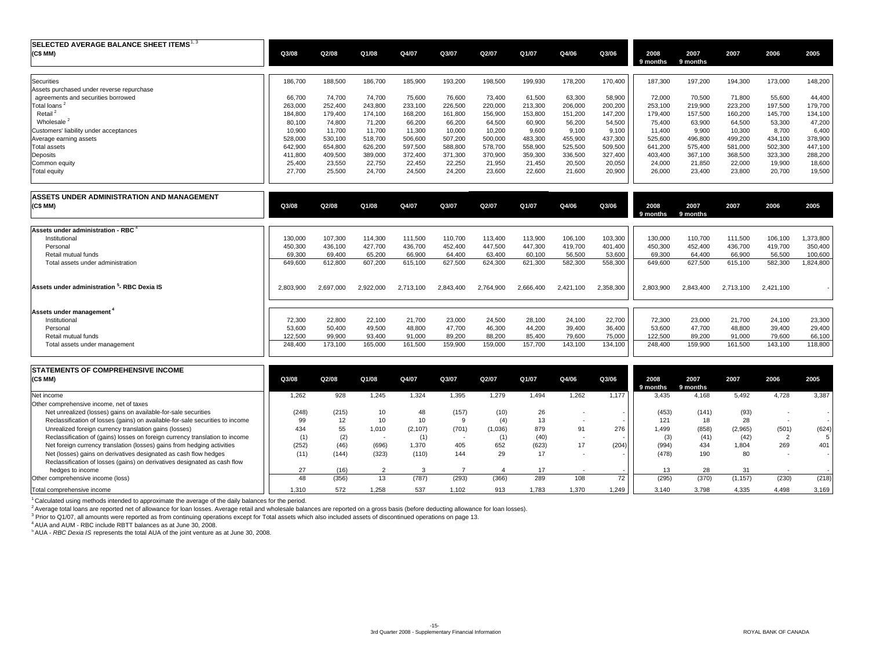| SELECTED AVERAGE BALANCE SHEET ITEMS <sup>1, 3</sup><br>(C\$ MM) | Q3/08   | Q2/08   | Q1/08   | Q4/07   | Q3/07   | Q2/07   | Q1/07   | Q4/06   | Q3/06   | 2008<br>9 months | 2007<br>9 months | 2007    | 2006    | 2005    |
|------------------------------------------------------------------|---------|---------|---------|---------|---------|---------|---------|---------|---------|------------------|------------------|---------|---------|---------|
| Securities                                                       | 186,700 | 188,500 | 186,700 | 185,900 | 193,200 | 198,500 | 199,930 | 178,200 | 170,400 | 187,300          | 197,200          | 194,300 | 173,000 | 148,200 |
| Assets purchased under reverse repurchase                        |         |         |         |         |         |         |         |         |         |                  |                  |         |         |         |
| agreements and securities borrowed                               | 66,700  | 74.700  | 74,700  | 75,600  | 76,600  | 73,400  | 61,500  | 63,300  | 58,900  | 72,000           | 70,500           | 71,800  | 55,600  | 44,400  |
| <b>Total loans</b>                                               | 263,000 | 252,400 | 243,800 | 233,100 | 226,500 | 220,000 | 213,300 | 206,000 | 200,200 | 253,100          | 219,900          | 223,200 | 197,500 | 179,700 |
| Retail <sup>2</sup>                                              | 184.800 | 179,400 | 174.100 | 168.200 | 161,800 | 156,900 | 153,800 | 151.200 | 147.200 | 179.400          | 157,500          | 160,200 | 145,700 | 134,100 |
| Wholesale                                                        | 80,100  | 74.800  | 71,200  | 66,200  | 66.200  | 64,500  | 60,900  | 56,200  | 54,500  | 75.400           | 63,900           | 64,500  | 53,300  | 47,200  |
| Customers' liability under acceptances                           | 10,900  | 11,700  | 11,700  | 11,300  | 10,000  | 10,200  | 9,600   | 9.100   | 9.100   | 11.400           | 9,900            | 10,300  | 8.700   | 6,400   |
| Average earning assets                                           | 528,000 | 530,100 | 518,700 | 506,600 | 507,200 | 500,000 | 483,300 | 455,900 | 437,300 | 525,600          | 496,800          | 499,200 | 434,100 | 378,900 |
| Total assets                                                     | 642,900 | 654,800 | 626,200 | 597,500 | 588,800 | 578,700 | 558,900 | 525,500 | 509,500 | 641.200          | 575,400          | 581,000 | 502,300 | 447,100 |
| Deposits                                                         | 411,800 | 409,500 | 389,000 | 372,400 | 371,300 | 370,900 | 359,300 | 336,500 | 327.400 | 403.400          | 367,100          | 368,500 | 323,300 | 288,200 |
| Common equity                                                    | 25,400  | 23,550  | 22,750  | 22.450  | 22,250  | 21,950  | 21,450  | 20,500  | 20,050  | 24.000           | 21,850           | 22,000  | 19,900  | 18,600  |
| Total equity                                                     | 27,700  | 25,500  | 24,700  | 24,500  | 24,200  | 23,600  | 22,600  | 21,600  | 20,900  | 26,000           | 23,400           | 23,800  | 20,700  | 19,500  |

| ASSETS UNDER ADMINISTRATION AND MANAGEMENT<br>(C\$MM)   | Q3/08     | Q2/08     | Q1/08     | Q4/07     | Q3/07     | Q2/07     | Q1/07     | Q4/06     | Q3/06     | 2008<br>9 months | 2007<br>9 months | 2007      | 2006      | 2005      |
|---------------------------------------------------------|-----------|-----------|-----------|-----------|-----------|-----------|-----------|-----------|-----------|------------------|------------------|-----------|-----------|-----------|
| Assets under administration - RBC                       |           |           |           |           |           |           |           |           |           |                  |                  |           |           |           |
| Institutional                                           | 130,000   | 107,300   | 114,300   | 111,500   | 110,700   | 113,400   | 113,900   | 106,100   | 103,300   | 130,000          | 110,700          | 111,500   | 106,100   | 1,373,800 |
| Personal                                                | 450,300   | 436,100   | 427,700   | 436,700   | 452,400   | 447,500   | 447,300   | 419,700   | 401,400   | 450,300          | 452,400          | 436,700   | 419,700   | 350,400   |
| Retail mutual funds                                     | 69,300    | 69,400    | 65,200    | 66,900    | 64.400    | 63,400    | 60,100    | 56,500    | 53,600    | 69,300           | 64,400           | 66,900    | 56,500    | 100,600   |
| Total assets under administration                       | 649,600   | 612,800   | 607,200   | 615,100   | 627,500   | 624,300   | 621,300   | 582,300   | 558,300   | 649,600          | 627,500          | 615,100   | 582,300   | 1,824,800 |
| Assets under administration <sup>5</sup> - RBC Dexia IS | 2,803,900 | 2,697,000 | 2,922,000 | 2,713,100 | 2.843.400 | 2,764,900 | 2,666,400 | 2,421,100 | 2,358,300 | 2,803,900        | 2,843,400        | 2,713,100 | 2,421,100 |           |
| Assets under management <sup>4</sup>                    |           |           |           |           |           |           |           |           |           |                  |                  |           |           |           |
| Institutional                                           | 72,300    | 22,800    | 22,100    | 21,700    | 23,000    | 24,500    | 28,100    | 24,100    | 22,700    | 72,300           | 23,000           | 21,700    | 24,100    | 23,300    |
| Personal                                                | 53,600    | 50,400    | 49,500    | 48,800    | 47,700    | 46,300    | 44,200    | 39,400    | 36,400    | 53,600           | 47,700           | 48,800    | 39,400    | 29,400    |
| Retail mutual funds                                     | 122,500   | 99,900    | 93,400    | 91,000    | 89,200    | 88,200    | 85,400    | 79,600    | 75,000    | 122,500          | 89,200           | 91,000    | 79,600    | 66,100    |
| Total assets under management                           | 248,400   | 173,100   | 165,000   | 161,500   | 159,900   | 159,000   | 157,700   | 143,100   | 134,100   | 248,400          | 159,900          | 161,500   | 143,100   | 118,800   |

| <b>STATEMENTS OF COMPREHENSIVE INCOME</b>                                     |       |       |       |          |        |         |       |       |       |                  |                  |          |       |       |
|-------------------------------------------------------------------------------|-------|-------|-------|----------|--------|---------|-------|-------|-------|------------------|------------------|----------|-------|-------|
| (C\$ MM)                                                                      | Q3/08 | Q2/08 | Q1/08 | Q4/07    | Q3/07  | Q2/07   | Q1/07 | Q4/06 | Q3/06 | 2008<br>9 months | 2007<br>9 months | 2007     | 2006  | 2005  |
| Net income                                                                    | 1.262 | 928   | 1.245 | 1.324    | 1,395  | 1.279   | 1.494 | 1.262 | 1.177 | 3.435            | 4.168            | 5,492    | 4,728 | 3,387 |
| Other comprehensive income, net of taxes                                      |       |       |       |          |        |         |       |       |       |                  |                  |          |       |       |
| Net unrealized (losses) gains on available-for-sale securities                | (248) | (215) | 10    | 48       | (157)  | (10)    | 26    |       |       | (453)            | (141)            | (93)     |       |       |
| Reclassification of losses (gains) on available-for-sale securities to income | 99    |       | 10    | 10       |        | (4)     | 13    |       |       | 121              |                  | 28       |       |       |
| Unrealized foreign currency translation gains (losses)                        | 434   | 55    | 1,010 | (2, 107) | (701)  | (1.036) | 879   | 91    | 276   | .499             | (858)            | (2,965)  | (501) | (624) |
| Reclassification of (gains) losses on foreign currency translation to income  | (1)   |       |       | (1)      | $\sim$ |         | (40)  |       |       |                  | (41)             | (42)     |       |       |
| Net foreign currency translation (losses) gains from hedging activities       | (252) | (46)  | (696) | 1,370    | 405    | 652     | (623) |       | (204) | (994)            | 434              | 1.804    | 269   | 401   |
| Net (losses) gains on derivatives designated as cash flow hedges              | (11)  | (144) | (323) | (110)    | 144    | 29      | 17    |       |       | (478)            | 190              | 80       |       |       |
| Reclassification of losses (gains) on derivatives designated as cash flow     |       |       |       |          |        |         |       |       |       |                  |                  |          |       |       |
| hedges to income                                                              | 27    | (16)  |       |          |        |         |       |       |       |                  |                  | 31       |       |       |
| Other comprehensive income (loss)                                             | 48    | (356) | 13    | (787)    | (293)  | (366)   | 289   | 108   | 72    | (295)            | (370)            | (1, 157) | (230) | (218) |
| Total comprehensive income                                                    | 1.310 | 572   | .258  | 537      | 1.102  | 913     | .783  | 1.370 | 1.249 | 3.140            | 3.798            | 4,335    | 4.498 | 3,169 |

 $1$  Calculated using methods intended to approximate the average of the daily balances for the period.

<sup>2</sup> Average total loans are reported net of allowance for loan losses. Average retail and wholesale balances are reported on a gross basis (before deducting allowance for loan losses).

3 Prior to Q1/07, all amounts were reported as from continuing operations except for Total assets which also included assets of discontinued operations on page 13.

4 AUA and AUM - RBC include RBTT balances as at June 30, 2008. 5 AUA - *RBC Dexia IS* represents the total AUA of the joint venture as at June 30, 2008.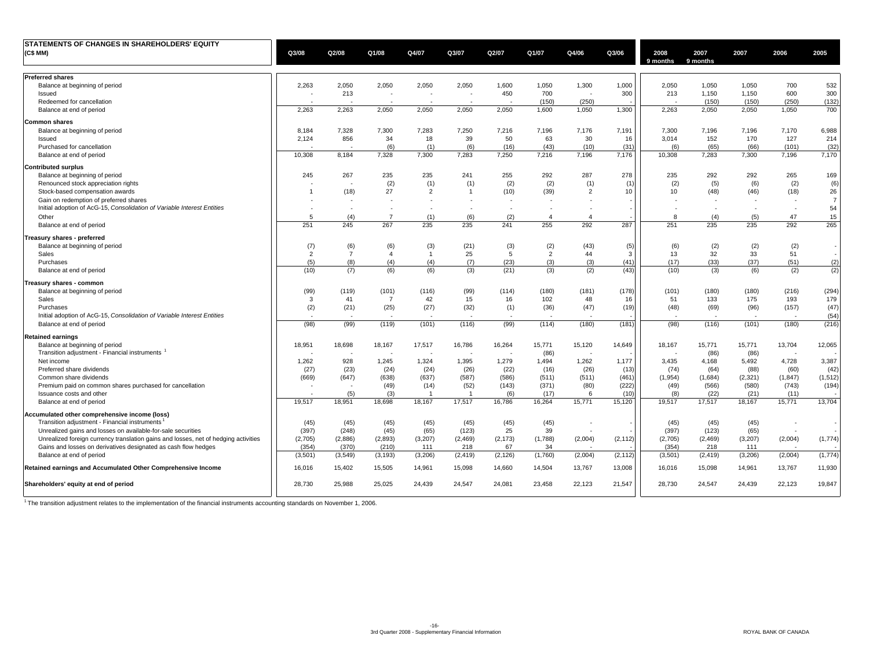| STATEMENTS OF CHANGES IN SHAREHOLDERS' EQUITY                                       |                |                |                |                |                |                |                          |                          |          |                  |                  |          |          |                |
|-------------------------------------------------------------------------------------|----------------|----------------|----------------|----------------|----------------|----------------|--------------------------|--------------------------|----------|------------------|------------------|----------|----------|----------------|
| (C\$ MM)                                                                            | Q3/08          | Q2/08          | Q1/08          | Q4/07          | Q3/07          | Q2/07          | Q1/07                    | Q4/06                    | Q3/06    | 2008<br>9 months | 2007<br>9 months | 2007     | 2006     | 2005           |
| <b>Preferred shares</b>                                                             |                |                |                |                |                |                |                          |                          |          |                  |                  |          |          |                |
| Balance at beginning of period                                                      | 2,263          | 2,050          | 2,050          | 2,050          | 2,050          | 1,600          | 1,050                    | 1,300                    | 1,000    | 2,050            | 1,050            | 1,050    | 700      | 532            |
| Issued                                                                              | $\sim$         | 213            | $\sim$         | $\sim$         | $\sim$         | 450            | 700                      | $\overline{\phantom{a}}$ | 300      | 213              | 1,150            | 1,150    | 600      | 300            |
| Redeemed for cancellation                                                           |                |                |                |                |                |                | (150)                    | (250)                    |          |                  | (150)            | (150)    | (250)    | (132)          |
| Balance at end of period                                                            | 2,263          | 2,263          | 2,050          | 2,050          | 2,050          | 2,050          | 1,600                    | 1,050                    | 1,300    | 2,263            | 2,050            | 2,050    | 1,050    | 700            |
| Common shares                                                                       |                |                |                |                |                |                |                          |                          |          |                  |                  |          |          |                |
| Balance at beginning of period                                                      | 8,184          | 7,328          | 7,300          | 7,283          | 7,250          | 7,216          | 7,196                    | 7,176                    | 7,191    | 7,300            | 7,196            | 7,196    | 7,170    | 6,988          |
| Issued                                                                              | 2,124          | 856            | 34             | 18             | 39             | 50             | 63                       | 30                       | 16       | 3,014            | 152              | 170      | 127      | 214            |
| Purchased for cancellation                                                          |                |                | (6)            | (1)            | (6)            | (16)           | (43)                     | (10)                     | (31)     | (6)              | (65)             | (66)     | (101)    | (32)           |
| Balance at end of period                                                            | 10,308         | 8,184          | 7,328          | 7,300          | 7,283          | 7,250          | 7,216                    | 7,196                    | 7,176    | 10,308           | 7,283            | 7,300    | 7,196    | 7,170          |
| <b>Contributed surplus</b>                                                          |                |                |                |                |                |                |                          |                          |          |                  |                  |          |          |                |
| Balance at beginning of period                                                      | 245            | 267            | 235            | 235            | 241            | 255            | 292                      | 287                      | 278      | 235              | 292              | 292      | 265      | 169            |
| Renounced stock appreciation rights                                                 |                |                | (2)            | (1)            | (1)            | (2)            | (2)                      | (1)                      | (1)      | (2)              | (5)              | (6)      | (2)      | (6)            |
| Stock-based compensation awards                                                     | $\overline{1}$ | (18)           | 27             | $\overline{2}$ | $\overline{1}$ | (10)           | (39)                     | $\overline{2}$           | 10       | 10               | (48)             | (46)     | (18)     | 26             |
| Gain on redemption of preferred shares                                              |                | $\sim$         |                |                |                | $\sim$         | $\overline{\phantom{a}}$ | $\overline{\phantom{a}}$ |          |                  |                  |          |          | $\overline{7}$ |
| Initial adoption of AcG-15, Consolidation of Variable Interest Entities             |                | $\overline{a}$ |                |                |                | $\overline{a}$ | . .                      | $\overline{\phantom{a}}$ |          |                  |                  |          |          | 54             |
| Other                                                                               | 5              | (4)            | $\overline{7}$ | (1)            | (6)            | (2)            | $\overline{4}$           | $\overline{4}$           |          | 8                | (4)              | (5)      | 47       | 15             |
| Balance at end of period                                                            | 251            | 245            | 267            | 235            | 235            | 241            | 255                      | 292                      | 287      | 251              | 235              | 235      | 292      | 265            |
| Treasury shares - preferred                                                         |                |                |                |                |                |                |                          |                          |          |                  |                  |          |          |                |
| Balance at beginning of period                                                      | (7)            | (6)            | (6)            | (3)            | (21)           | (3)            | (2)                      | (43)                     | (5)      | (6)              | (2)              | (2)      | (2)      |                |
| Sales                                                                               | $\overline{2}$ | $\overline{7}$ | $\overline{4}$ | $\overline{1}$ | 25             | 5              | $\overline{2}$           | 44                       | 3        | 13               | 32               | 33       | 51       |                |
| Purchases                                                                           | (5)            | (8)            | (4)            | (4)            | (7)            | (23)           | (3)                      | (3)                      | (41)     | (17)             | (33)             | (37)     | (51)     | (2)            |
| Balance at end of period                                                            | (10)           | (7)            | (6)            | (6)            | (3)            | (21)           | (3)                      | (2)                      | (43)     | (10)             | (3)              | (6)      | (2)      | (2)            |
| Treasury shares - common                                                            |                |                |                |                |                |                |                          |                          |          |                  |                  |          |          |                |
| Balance at beginning of period                                                      | (99)           | (119)          | (101)          | (116)          | (99)           | (114)          | (180)                    | (181)                    | (178)    | (101)            | (180)            | (180)    | (216)    | (294)          |
| Sales                                                                               | 3              | 41             | $\overline{7}$ | 42             | 15             | 16             | 102                      | 48                       | 16       | 51               | 133              | 175      | 193      | 179            |
| Purchases                                                                           | (2)            | (21)           | (25)           | (27)           | (32)           | (1)            | (36)                     | (47)                     | (19)     | (48)             | (69)             | (96)     | (157)    | (47)           |
| Initial adoption of AcG-15, Consolidation of Variable Interest Entities             |                |                |                |                |                |                | - 2                      |                          |          |                  |                  |          |          | (54)           |
| Balance at end of period                                                            | (98)           | (99)           | (119)          | (101)          | (116)          | (99)           | (114)                    | (180)                    | (181)    | (98)             | (116)            | (101)    | (180)    | (216)          |
| Retained earnings                                                                   |                |                |                |                |                |                |                          |                          |          |                  |                  |          |          |                |
| Balance at beginning of period                                                      | 18,951         | 18,698         | 18,167         | 17,517         | 16,786         | 16,264         | 15,771                   | 15,120                   | 14,649   | 18,167           | 15,771           | 15,771   | 13,704   | 12,065         |
| Transition adjustment - Financial instruments                                       |                |                |                | $\sim$         |                |                | (86)                     |                          |          |                  | (86)             | (86)     |          |                |
| Net income                                                                          | 1,262          | 928            | 1,245          | 1,324          | 1,395          | 1,279          | 1,494                    | 1,262                    | 1,177    | 3,435            | 4,168            | 5,492    | 4,728    | 3,387          |
| Preferred share dividends                                                           | (27)           | (23)           | (24)           | (24)           | (26)           | (22)           | (16)                     | (26)                     | (13)     | (74)             | (64)             | (88)     | (60)     | (42)           |
| Common share dividends                                                              | (669)          | (647)          | (638)          | (637)          | (587)          | (586)          | (511)                    | (511)                    | (461)    | (1, 954)         | (1,684)          | (2, 321) | (1, 847) | (1,512)        |
| Premium paid on common shares purchased for cancellation                            |                | $\sim$         | (49)           | (14)           | (52)           | (143)          | (371)                    | (80)                     | (222)    | (49)             | (566)            | (580)    | (743)    | (194)          |
| Issuance costs and other                                                            |                | (5)            | (3)            | -1             |                | (6)            | (17)                     | 6                        | (10)     | (8)              | (22)             | (21)     | (11)     |                |
| Balance at end of period                                                            | 19,517         | 18,951         | 18,698         | 18,167         | 17,517         | 16,786         | 16,264                   | 15,771                   | 15,120   | 19,517           | 17,517           | 18,167   | 15,771   | 13,704         |
| Accumulated other comprehensive income (loss)                                       |                |                |                |                |                |                |                          |                          |          |                  |                  |          |          |                |
| Transition adjustment - Financial instruments <sup>1</sup>                          | (45)           | (45)           | (45)           | (45)           | (45)           | (45)           | (45)                     |                          |          | (45)             | (45)             | (45)     |          | $\sim$         |
| Unrealized gains and losses on available-for-sale securities                        | (397)          | (248)          | (45)           | (65)           | (123)          | 25             | 39                       |                          |          | (397)            | (123)            | (65)     |          |                |
| Unrealized foreign currency translation gains and losses, net of hedging activities | (2,705)        | (2,886)        | (2,893)        | (3, 207)       | (2, 469)       | (2, 173)       | (1,788)                  | (2,004)                  | (2, 112) | (2,705)          | (2, 469)         | (3, 207) | (2,004)  | (1,774)        |
| Gains and losses on derivatives designated as cash flow hedges                      | (354)          | (370)          | (210)          | 111            | 218            | 67             | 34                       |                          |          | (354)            | 218              | 111      |          |                |
| Balance at end of period                                                            | (3,501)        | (3, 549)       | (3, 193)       | (3,206)        | (2, 419)       | (2, 126)       | (1,760)                  | (2,004)                  | (2, 112) | (3,501)          | (2, 419)         | (3,206)  | (2,004)  | (1,774)        |
| Retained earnings and Accumulated Other Comprehensive Income                        | 16,016         | 15,402         | 15,505         | 14,961         | 15,098         | 14,660         | 14,504                   | 13,767                   | 13,008   | 16,016           | 15,098           | 14,961   | 13,767   | 11,930         |
| Shareholders' equity at end of period                                               | 28.730         | 25,988         | 25,025         | 24,439         | 24,547         | 24,081         | 23,458                   | 22,123                   | 21,547   | 28.730           | 24,547           | 24,439   | 22,123   | 19,847         |
|                                                                                     |                |                |                |                |                |                |                          |                          |          |                  |                  |          |          |                |

1 The transition adjustment relates to the implementation of the financial instruments accounting standards on November 1, 2006.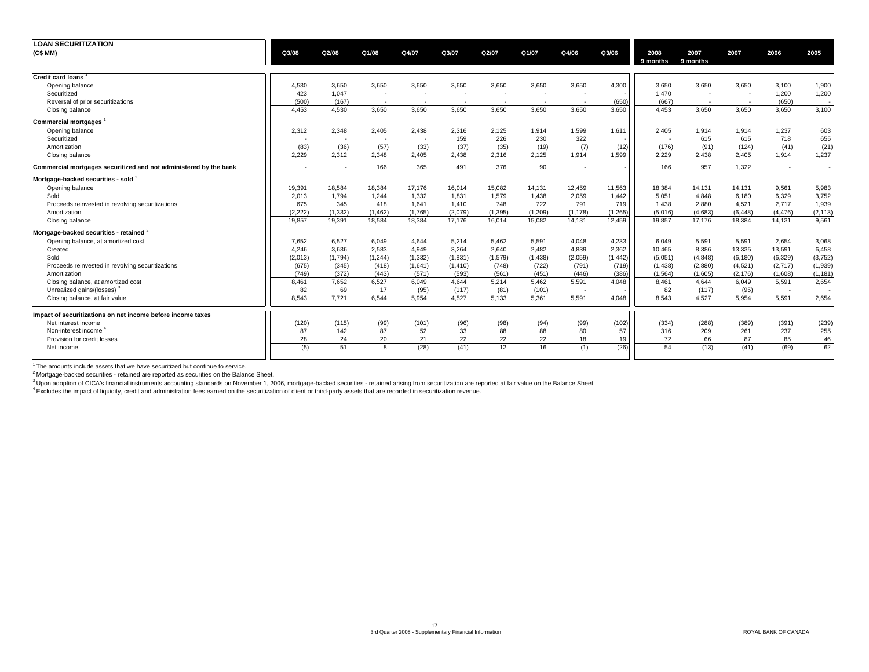| <b>LOAN SECURITIZATION</b>                                        |         |          |          |                          |                          |                          |          |          |          |          |                          |                          |          |          |
|-------------------------------------------------------------------|---------|----------|----------|--------------------------|--------------------------|--------------------------|----------|----------|----------|----------|--------------------------|--------------------------|----------|----------|
| (C\$ MM)                                                          | Q3/08   | Q2/08    | Q1/08    | Q4/07                    | Q3/07                    | Q2/07                    | Q1/07    | Q4/06    | Q3/06    | 2008     | 2007                     | 2007                     | 2006     | 2005     |
|                                                                   |         |          |          |                          |                          |                          |          |          |          | 9 months | 9 months                 |                          |          |          |
|                                                                   |         |          |          |                          |                          |                          |          |          |          |          |                          |                          |          |          |
| <b>Credit card loans</b>                                          |         |          |          |                          |                          |                          |          |          |          |          |                          |                          |          |          |
| Opening balance                                                   | 4,530   | 3,650    | 3,650    | 3,650                    | 3,650                    | 3,650                    | 3,650    | 3,650    | 4,300    | 3,650    | 3,650                    | 3,650                    | 3,100    | 1,900    |
| Securitized                                                       | 423     | 1,047    |          | $\overline{\phantom{a}}$ |                          |                          |          |          |          | 1,470    | ۰.                       | $\overline{\phantom{a}}$ | 1,200    | 1,200    |
| Reversal of prior securitizations                                 | (500)   | (167)    |          | ۰.                       | $\overline{\phantom{a}}$ | $\overline{\phantom{a}}$ |          |          | (650)    | (667)    | $\overline{\phantom{a}}$ | $\overline{\phantom{a}}$ | (650)    |          |
| Closing balance                                                   | 4.453   | 4,530    | 3,650    | 3,650                    | 3,650                    | 3,650                    | 3.650    | 3.650    | 3,650    | 4.453    | 3,650                    | 3,650                    | 3,650    | 3,100    |
| <b>Commercial mortgages</b>                                       |         |          |          |                          |                          |                          |          |          |          |          |                          |                          |          |          |
| Opening balance                                                   | 2,312   | 2,348    | 2,405    | 2,438                    | 2,316                    | 2,125                    | 1,914    | 1,599    | 1,611    | 2,405    | 1,914                    | 1,914                    | 1,237    | 603      |
| Securitized                                                       |         | . .      |          | $\overline{\phantom{a}}$ | 159                      | 226                      | 230      | 322      |          |          | 615                      | 615                      | 718      | 655      |
| Amortization                                                      | (83)    | (36)     | (57)     | (33)                     | (37)                     | (35)                     | (19)     | (7)      | (12)     | (176)    | (91)                     | (124)                    | (41)     | (21)     |
| Closing balance                                                   | 2,229   | 2,312    | 2,348    | 2,405                    | 2,438                    | 2,316                    | 2,125    | 1,914    | 1,599    | 2,229    | 2,438                    | 2,405                    | 1,914    | 1,237    |
| Commercial mortgages securitized and not administered by the bank |         |          | 166      | 365                      | 491                      | 376                      | 90       |          |          | 166      | 957                      | 1,322                    |          |          |
| Mortgage-backed securities - sold                                 |         |          |          |                          |                          |                          |          |          |          |          |                          |                          |          |          |
| Opening balance                                                   | 19,391  | 18,584   | 18,384   | 17,176                   | 16,014                   | 15,082                   | 14,131   | 12,459   | 11,563   | 18,384   | 14,131                   | 14,131                   | 9,561    | 5,983    |
| Sold                                                              | 2,013   | 1,794    | 1.244    | 1,332                    | 1,831                    | 1,579                    | 1.438    | 2,059    | 1,442    | 5,051    | 4.848                    | 6,180                    | 6,329    | 3,752    |
| Proceeds reinvested in revolving securitizations                  | 675     | 345      | 418      | 1,641                    | 1,410                    | 748                      | 722      | 791      | 719      | 1.438    | 2,880                    | 4,521                    | 2,717    | 1,939    |
| Amortization                                                      | (2.222) | (1, 332) | (1, 462) | (1,765)                  | (2,079)                  | (1, 395)                 | (1, 209) | (1, 178) | (1,265)  | (5,016)  | (4,683)                  | (6, 448)                 | (4, 476) | (2, 113) |
| Closing balance                                                   | 19,857  | 19,391   | 18,584   | 18,384                   | 17,176                   | 16,014                   | 15,082   | 14,131   | 12,459   | 19,857   | 17,176                   | 18,384                   | 14,131   | 9,561    |
| Mortgage-backed securities - retained <sup>2</sup>                |         |          |          |                          |                          |                          |          |          |          |          |                          |                          |          |          |
| Opening balance, at amortized cost                                | 7.652   | 6,527    | 6,049    | 4,644                    | 5,214                    | 5.462                    | 5,591    | 4.048    | 4,233    | 6.049    | 5,591                    | 5,591                    | 2,654    | 3,068    |
| Created                                                           | 4,246   | 3,636    | 2,583    | 4,949                    | 3,264                    | 2,640                    | 2,482    | 4,839    | 2,362    | 10,465   | 8,386                    | 13,335                   | 13,591   | 6,458    |
| Sold                                                              | (2,013) | (1,794)  | (1, 244) | (1, 332)                 | (1,831)                  | (1,579)                  | (1,438)  | (2,059)  | (1, 442) | (5,051)  | (4, 848)                 | (6, 180)                 | (6,329)  | (3,752)  |
| Proceeds reinvested in revolving securitizations                  | (675)   | (345)    | (418)    | (1,641)                  | (1, 410)                 | (748)                    | (722)    | (791)    | (719)    | (1, 438) | (2,880)                  | (4,521)                  | (2,717)  | (1,939)  |
| Amortization                                                      | (749)   | (372)    | (443)    | (571)                    | (593)                    | (561)                    | (451)    | (446)    | (386)    | (1, 564) | (1,605)                  | (2, 176)                 | (1,608)  | (1, 181) |
| Closing balance, at amortized cost                                | 8,461   | 7,652    | 6,527    | 6,049                    | 4,644                    | 5,214                    | 5,462    | 5,591    | 4,048    | 8,461    | 4.644                    | 6,049                    | 5,591    | 2,654    |
| Unrealized gains/(losses) <sup>3</sup>                            | 82      | 69       | 17       | (95)                     | (117)                    | (81)                     | (101)    |          |          | 82       | (117)                    | (95)                     |          |          |
| Closing balance, at fair value                                    | 8,543   | 7,721    | 6.544    | 5,954                    | 4,527                    | 5,133                    | 5,361    | 5,591    | 4,048    | 8.543    | 4,527                    | 5,954                    | 5,591    | 2,654    |
| Impact of securitizations on net income before income taxes       |         |          |          |                          |                          |                          |          |          |          |          |                          |                          |          |          |
| Net interest income                                               | (120)   | (115)    | (99)     | (101)                    | (96)                     | (98)                     | (94)     | (99)     | (102)    | (334)    | (288)                    | (389)                    | (391)    | (239)    |
| Non-interest income <sup>4</sup>                                  | 87      | 142      | 87       | 52                       | 33                       | 88                       | 88       | 80       | 57       | 316      | 209                      | 261                      | 237      | 255      |
| Provision for credit losses                                       | 28      | 24       | 20       | 21                       | 22                       | 22                       | 22       | 18       | 19       | 72       | 66                       | 87                       | 85       | 46       |
| Net income                                                        | (5)     | 51       | 8        | (28)                     | (41)                     | 12                       | 16       | (1)      | (26)     | 54       | (13)                     | (41)                     | (69)     | 62       |
|                                                                   |         |          |          |                          |                          |                          |          |          |          |          |                          |                          |          |          |

 $1$  The amounts include assets that we have securitized but continue to service.

<sup>2</sup> Mortgage-backed securities - retained are reported as securities on the Balance Sheet.<br><sup>3</sup> Upon adoption of CICA's financial instruments accounting standards on November 1, 2006, mortgage-backed securities - retained a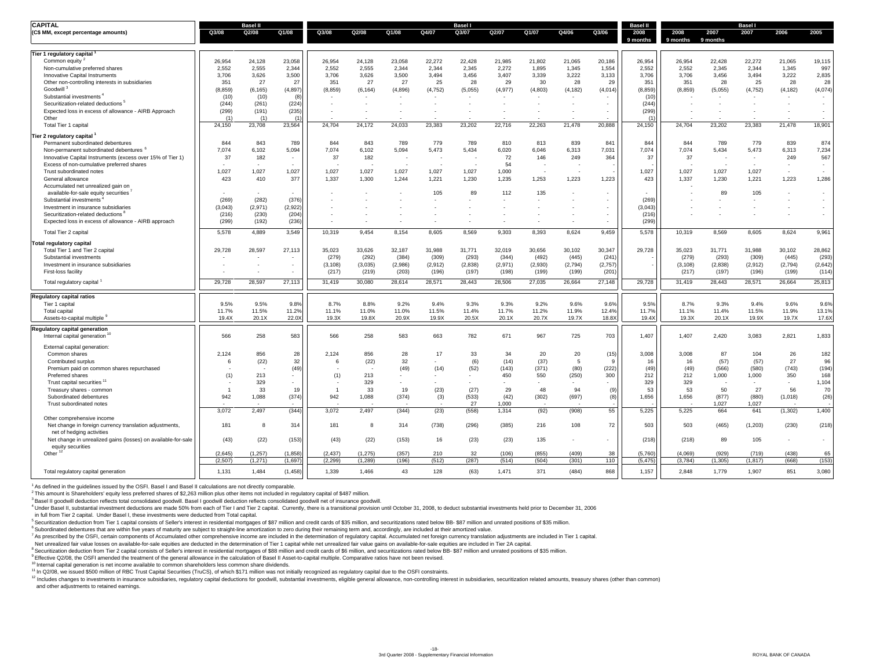| <b>CAPITAL</b>                                                                        |          | <b>Basel II</b> |                          |                |          |         |          | <b>Basel</b> |                          |         |                          |          | <b>Basel II</b>  |                  |                  | <b>Basel</b> |                          |                          |
|---------------------------------------------------------------------------------------|----------|-----------------|--------------------------|----------------|----------|---------|----------|--------------|--------------------------|---------|--------------------------|----------|------------------|------------------|------------------|--------------|--------------------------|--------------------------|
| (C\$ MM, except percentage amounts)                                                   | Q3/08    | Q2/08           | Q1/08                    | Q3/08          | Q2/08    | Q1/08   | Q4/07    | Q3/07        | Q2/07                    | Q1/07   | Q4/06                    | Q3/06    | 2008<br>9 months | 2008<br>9 months | 2007<br>9 months | 2007         | 2006                     | 2005                     |
| Tier 1 regulatory capital                                                             |          |                 |                          |                |          |         |          |              |                          |         |                          |          |                  |                  |                  |              |                          |                          |
| Common equity                                                                         | 26,954   | 24,128          | 23,058                   | 26,954         | 24,128   | 23,058  | 22,272   | 22,428       | 21,985                   | 21,802  | 21,065                   | 20,186   | 26,954           | 26,954           | 22,428           | 22,272       | 21,065                   | 19,115                   |
| Non-cumulative preferred shares                                                       | 2.552    | 2,555           | 2,344                    | 2,552          | 2,555    | 2,344   | 2.344    | 2,345        | 2,272                    | 1,895   | 1,345                    | 1,554    | 2,552            | 2,552            | 2,345            | 2,344        | 1,345                    | 997                      |
| Innovative Capital Instruments                                                        | 3,706    | 3,626           | 3,500                    | 3,706          | 3,626    | 3,500   | 3,494    | 3,456        | 3,407                    | 3,339   | 3,222                    | 3,133    | 3,706            | 3,706            | 3,456            | 3,494        | 3,222                    | 2,835                    |
| Other non-controlling interests in subsidiaries                                       | 351      | 27              | 27                       | 351            | 27       | 27      | 25       | 28           | 29                       | 30      | 28                       | 29       | 351              | 351              | 28               | 25           | 28                       | 28                       |
| Goodwill <sup>3</sup>                                                                 | (8.859)  | (6, 165)        | (4, 897)                 | (8, 859)       | (6, 164) | (4,896) | (4, 752) | (5,055)      | (4, 977)                 | (4,803) | (4, 182)                 | (4,014)  | (8, 859)         | (8.859)          | (5,055)          | (4, 752)     | (4, 182)                 | (4,074)                  |
| Substantial investments <sup>®</sup>                                                  | (10)     | (10)            | (8)                      |                |          |         |          |              |                          |         |                          |          | (10)             |                  |                  |              |                          | $\sim$                   |
| Securitization-related deductions <sup>5</sup>                                        | (244)    | (261)           | (224)                    |                |          |         |          |              |                          |         |                          |          | (244)            |                  |                  |              |                          | $\sim$                   |
| Expected loss in excess of allowance - AIRB Approach                                  | (299)    | (191)           | (235)                    |                |          |         |          |              |                          |         |                          |          | (299)            |                  |                  |              |                          | $\overline{\phantom{a}}$ |
| Other                                                                                 | (1)      | (1)             | (1)                      |                |          |         |          |              |                          |         |                          |          | (1)              |                  |                  |              |                          |                          |
| Total Tier 1 capital                                                                  | 24,150   | 23,708          | 23,564                   | 24,704         | 24,172   | 24,033  | 23,383   | 23,202       | 22,716                   | 22,263  | 21,478                   | 20,888   | 24,150           | 24,704           | 23,202           | 23,383       | 21,478                   | 18,901                   |
| Tier 2 regulatory capital 1                                                           |          |                 |                          |                |          |         |          |              |                          |         |                          |          |                  |                  |                  |              |                          |                          |
| Permanent subordinated debentures                                                     | 844      | 843             | 789                      | 844            | 843      | 789     | 779      | 789          | 810                      | 813     | 839                      | 841      | 844              | 844              | 789              | 779          | 839                      | 874                      |
| Non-permanent subordinated debentures <sup>6</sup>                                    | 7,074    | 6,102           | 5,094                    | 7,074          | 6,102    | 5,094   | 5,473    | 5,434        | 6,020                    | 6,046   | 6,313                    | 7,031    | 7,074            | 7,074            | 5,434            | 5,473        | 6,313                    | 7,234                    |
| Innovative Capital Instruments (excess over 15% of Tier 1)                            | 37       | 182             | $\overline{\phantom{a}}$ | 37             | 182      |         |          |              | 72                       | 146     | 249                      | 364      | 37               | 37               |                  |              | 249                      | 567                      |
| Excess of non-cumulative preferred shares                                             |          |                 |                          |                |          |         |          |              | 54                       |         |                          |          |                  |                  |                  |              | $\overline{\phantom{a}}$ | $\overline{\phantom{a}}$ |
| Trust subordinated notes                                                              | 1.027    | 1.027           | 1.027                    | 1.027          | 1.027    | 1.027   | 1.027    | 1.027        | 1.000                    |         |                          |          | 1,027            | 1.027            | 1.027            | 1.027        |                          | $\sim$                   |
| General allowance                                                                     | 423      | 410             | 377                      | 1,337          | 1,300    | 1,244   | 1,221    | 1,230        | 1,235                    | 1,253   | 1,223                    | 1,223    | 423              | 1,337            | 1,230            | 1,221        | 1,223                    | 1,286                    |
| Accumulated net unrealized gain on                                                    |          |                 |                          |                |          |         |          |              |                          |         |                          |          |                  |                  |                  |              |                          |                          |
| available-for-sale equity securities                                                  |          |                 |                          |                |          |         | 105      | 89           | 112                      | 135     |                          |          |                  |                  | 89               | 105          |                          | $\overline{\phantom{a}}$ |
| Substantial investments                                                               | (269)    | (282)           | (376)                    |                |          |         |          |              |                          |         |                          | $\sim$   | (269)            |                  |                  |              |                          | $\sim$                   |
| Investment in insurance subsidiaries                                                  | (3.043)  | (2,971)         | (2.922)                  |                |          |         |          |              |                          |         |                          |          | (3.043)          |                  |                  |              |                          | $\sim$                   |
| Securitization-related deductions <sup>8</sup>                                        | (216)    | (230)           | (204)                    |                |          |         |          |              |                          |         |                          |          | (216)            |                  |                  |              |                          | $\sim$                   |
| Expected loss in excess of allowance - AIRB approach                                  | (299)    | (192)           | (236)                    |                |          |         |          |              | $\overline{\phantom{a}}$ |         | $\overline{\phantom{a}}$ | $\sim$   | (299)            |                  |                  |              |                          |                          |
| Total Tier 2 capital                                                                  | 5,578    | 4,889           | 3,549                    | 10,319         | 9.454    | 8,154   | 8,605    | 8,569        | 9,303                    | 8,393   | 8,624                    | 9,459    | 5,578            | 10,319           | 8,569            | 8,605        | 8,624                    | 9,961                    |
| Total regulatory capital                                                              |          |                 |                          |                |          |         |          |              |                          |         |                          |          |                  |                  |                  |              |                          |                          |
| Total Tier 1 and Tier 2 capital                                                       | 29.728   | 28,597          | 27,113                   | 35.023         | 33.626   | 32.187  | 31.988   | 31.771       | 32,019                   | 30.656  | 30.102                   | 30.347   | 29,728           | 35.023           | 31.771           | 31.988       | 30.102                   | 28,862                   |
| Substantial investments                                                               |          |                 |                          | (279)          | (292)    | (384)   | (309)    | (293)        | (344)                    | (492)   | (445)                    | (241)    |                  | (279)            | (293)            | (309)        | (445)                    | (293)                    |
| Investment in insurance subsidiaries                                                  |          |                 | ٠                        | (3, 108)       | (3,035)  | (2,986) | (2, 912) | (2,838)      | (2,971)                  | (2,930) | (2,794)                  | (2,757)  |                  | (3, 108)         | (2,838)          | (2, 912)     | (2,794)                  | (2,642)                  |
| First-loss facility                                                                   |          |                 |                          | (217)          | (219)    | (203)   | (196)    | (197)        | (198)                    | (199)   | (199)                    | (201)    |                  | (217)            | (197)            | (196)        | (199)                    | (114)                    |
|                                                                                       |          |                 |                          |                |          |         |          |              |                          |         |                          |          |                  |                  |                  |              |                          |                          |
| Total regulatory capital                                                              | 29,728   | 28,597          | 27,113                   | 31,419         | 30,080   | 28,614  | 28,571   | 28,443       | 28,506                   | 27,035  | 26,664                   | 27,148   | 29,728           | 31,419           | 28,443           | 28,571       | 26,664                   | 25,813                   |
| <b>Regulatory capital ratios</b>                                                      |          |                 |                          |                |          |         |          |              |                          |         |                          |          |                  |                  |                  |              |                          |                          |
| Tier 1 capital                                                                        | 9.5%     | 9.5%            | 9.8%                     | 8.7%           | 8.8%     | 9.2%    | 9.4%     | 9.3%         | 9.3%                     | 9.2%    | 9.6%                     | 9.6%     | 9.5%             | 8.7%             | 9.3%             | 9.4%         | 9.6%                     | 9.6%                     |
| Total capital                                                                         | 11.7%    | 11.5%           | 11.2%                    | 11.1%          | 11.0%    | 11.0%   | 11.5%    | 11.4%        | 11.7%                    | 11.2%   | 11.9%                    | 12.4%    | 11.7%            | 11.1%            | 11.4%            | 11.5%        | 11.9%                    | 13.1%                    |
| Assets-to-capital multiple <sup>9</sup>                                               | 19.4X    | 20.1X           | 22.0X                    | 19.3X          | 19.8X    | 20.9X   | 19.9X    | 20.5X        | 20.1X                    | 20.7X   | 19.7X                    | 18.8X    | 19.4X            | 19.3X            | 20.1X            | 19.9X        | 19.7X                    | 17.6X                    |
| Regulatory capital generation<br>Internal capital generation <sup>1</sup>             | 566      | 258             | 583                      | 566            | 258      | 583     | 663      | 782          | 671                      | 967     | 725                      | 703      | 1,407            | 1,407            | 2,420            | 3,083        | 2,821                    | 1,833                    |
|                                                                                       |          |                 |                          |                |          |         |          |              |                          |         |                          |          |                  |                  |                  |              |                          |                          |
| External capital generation:                                                          |          |                 |                          |                |          |         |          |              |                          |         |                          |          |                  |                  |                  |              |                          |                          |
| Common shares                                                                         | 2,124    | 856             | 28                       | 2,124          | 856      | 28      | 17       | 33           | 34                       | 20      | 20                       | (15)     | 3,008            | 3,008            | 87               | 104          | 26                       | 182                      |
| Contributed surplus                                                                   | 6        | (22)            | 32                       | 6              | (22)     | 32      |          | (6)          | (14)                     | (37)    | -5                       | <b>g</b> | 16               | 16               | (57)             | (57)         | 27                       | 96                       |
| Premium paid on common shares repurchased                                             |          |                 | (49)                     |                |          | (49)    | (14)     | (52)         | (143)                    | (371)   | (80)                     | (222)    | (49)             | (49)             | (566)            | (580)        | (743)                    | (194)                    |
| Preferred shares                                                                      | (1)      | 213             |                          | (1)            | 213      |         |          |              | 450                      | 550     | (250)                    | 300      | 212              | 212              | 1,000            | 1,000        | 350                      | 168                      |
| Trust capital securities <sup>11</sup>                                                |          | 329             |                          |                | 329      |         |          |              |                          |         |                          |          | 329              | 329              |                  |              | $\overline{a}$           | 1,104                    |
| Treasury shares - common                                                              | -1       | 33              | 19                       | $\overline{1}$ | 33       | 19      | (23)     | (27)         | 29                       | 48      | 94                       | (9)      | 53               | 53               | 50               | 27           | 56                       | 70                       |
| Subordinated debentures                                                               | 942      | 1,088           | (374)                    | 942            | 1,088    | (374)   | (3)      | (533)        | (42)                     | (302)   | (697)                    | (8)      | 1,656            | 1,656            | (877)            | (880)        | (1,018)                  | (26)                     |
| Trust subordinated notes                                                              |          |                 |                          |                |          |         |          | 27           | 1,000                    |         |                          |          |                  |                  | 1,027            | 1,027        |                          |                          |
|                                                                                       | 3,072    | 2,497           | (344)                    | 3,072          | 2,497    | (344)   | (23)     | (558)        | 1,314                    | (92)    | (908)                    | 55       | 5,225            | 5,225            | 664              | 641          | (1, 302)                 | 1,400                    |
| Other comprehensive income<br>Net change in foreign currency translation adjustments, | 181      | -8              | 314                      | 181            | 8        | 314     | (738)    | (296)        | (385)                    | 216     | 108                      | 72       | 503              | 503              | (465)            | (1, 203)     | (230)                    | (218)                    |
| net of hedging activities                                                             |          |                 |                          |                |          |         |          |              |                          |         |                          |          |                  |                  |                  |              |                          |                          |
| Net change in unrealized gains (losses) on available-for-sale                         | (43)     | (22)            | (153)                    | (43)           | (22)     | (153)   | 16       | (23)         | (23)                     | 135     |                          | $\sim$   | (218)            | (218)            | 89               | 105          |                          | $\sim$                   |
| equity securities                                                                     |          |                 |                          |                |          |         |          |              |                          |         |                          |          |                  |                  |                  |              |                          |                          |
| Other <sup>12</sup>                                                                   | (2.645)  | (1.257)         | (1.858)                  | (2.437)        | (1.275)  | (357)   | 210      | 32           | (106)                    | (855)   | (409)                    | 38       | (5.760)          | (4.069)          | (929)            | (719)        | (438)                    | 65                       |
|                                                                                       | (2, 507) | (1, 271)        | (1,697)                  | (2, 299)       | (1,289)  | (196)   | (512)    | (287)        | (514)                    | (504)   | (301)                    | 110      | (5, 475)         | (3,784)          | (1, 305)         | (1, 817)     | (668)                    | (153)                    |
| Total regulatory capital generation                                                   | 1,131    | 1,484           | (1, 458)                 | 1,339          | 1,466    | 43      | 128      | (63)         | 1,471                    | 371     | (484)                    | 868      | 1,157            | 2,848            | 1,779            | 1,907        | 851                      | 3,080                    |

<sup>1</sup> As defined in the guidelines issued by the OSFI. Basel I and Basel II calculations are not directly comparable.

2 This amount is Shareholders' equity less preferred shares of \$2,263 million plus other items not included in regulatory capital of \$487 million.

3 Basel II goodwill deduction reflects total consolidated goodwill. Basel I goodwill deduction reflects consolidated goodwill net of insurance goodwill.

<sup>4</sup> Under Basel II, substantial investment deductions are made 50% from each of Tier I and Tier 2 capital. Currently, there is a transitional provision until October 31, 2008, to deduct substantial investments held prior t

in full from Tier 2 capital. Under Basel I, these investments were deducted from Total capital.

<sup>5</sup> Securitization deduction from Tier 1 capital consists of Seller's interest in residential mortgages of \$87 million and credit cards of \$35 million, and securitizations rated below BB-\$87 million and unrated positions o

<sup>6</sup> Subordinated debentures that are within five years of maturity are subject to straight-line amortization to zero during their remaining term and, accordingly, are included at their amortized value.

7 As prescribed by the OSFI, certain components of Accumulated other comprehensive income are included in the determination of regulatory capital. Accumulated net foreign currency translation adjustments are included in Ti

Net unrealized fair value losses on available-for-sale equities are deducted in the determination of Tier 1 capital while net unrealized fair value gains on available-for-sale equities are included in Tier 2A capital.

8 Securitization deduction from Tier 2 capital consists of Seller's interest in residential mortgages of \$88 million and credit cards of \$6 million, and securitizations rated below BB-\$87 million and unrated positions of \$

<sup>9</sup> Effective Q2/08, the OSFI amended the treatment of the general allowance in the calculation of Basel II Asset-to-capital multiple. Comparative ratios have not been revised.

<sup>10</sup> Internal capital generation is net income available to common shareholders less common share dividends.

<sup>11</sup> In Q2/08, we issued \$500 million of RBC Trust Capital Securities (TruCS), of which \$171 million was not initially recognized as regulatory capital due to the OSFI constraints.<br><sup>12</sup> Includes changes to investments in i

and other adjustments to retained earnings.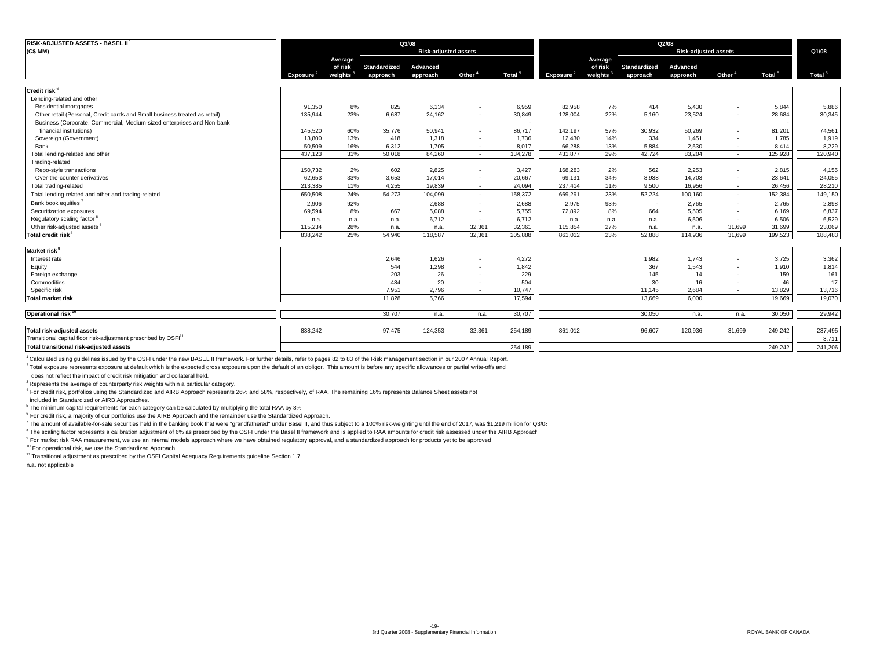| RISK-ADJUSTED ASSETS - BASEL II                                             |              |                      |                          | Q3/08                       |                    |                    |                       |                      |                     | Q2/08                       |                    |                    |                    |
|-----------------------------------------------------------------------------|--------------|----------------------|--------------------------|-----------------------------|--------------------|--------------------|-----------------------|----------------------|---------------------|-----------------------------|--------------------|--------------------|--------------------|
| (C\$ MM)                                                                    |              |                      |                          | <b>Risk-adjusted assets</b> |                    |                    |                       |                      |                     | <b>Risk-adjusted assets</b> |                    |                    | Q1/08              |
|                                                                             |              | Average              |                          |                             |                    |                    |                       | Average              |                     |                             |                    |                    |                    |
|                                                                             |              | of risk              | Standardized             | Advanced                    |                    |                    |                       | of risk              | <b>Standardized</b> | Advanced                    |                    |                    |                    |
|                                                                             | Exposure $2$ | weights <sup>3</sup> | approach                 | approach                    | Other <sup>4</sup> | Total <sup>5</sup> | Exposure <sup>2</sup> | weights <sup>3</sup> | approach            | approach                    | Other <sup>4</sup> | Total <sup>5</sup> | Total <sup>5</sup> |
| Credit risk <sup>6</sup>                                                    |              |                      |                          |                             |                    |                    |                       |                      |                     |                             |                    |                    |                    |
| Lending-related and other                                                   |              |                      |                          |                             |                    |                    |                       |                      |                     |                             |                    |                    |                    |
| Residential mortgages                                                       | 91,350       | 8%                   | 825                      | 6,134                       |                    | 6,959              | 82,958                | 7%                   | 414                 | 5,430                       |                    | 5,844              | 5,886              |
| Other retail (Personal, Credit cards and Small business treated as retail)  | 135,944      | 23%                  | 6,687                    | 24,162                      |                    | 30,849             | 128,004               | 22%                  | 5,160               | 23,524                      | $\sim$             | 28,684             | 30,345             |
| Business (Corporate, Commercial, Medium-sized enterprises and Non-bank      |              |                      |                          |                             |                    |                    |                       |                      |                     |                             |                    |                    |                    |
| financial institutions)                                                     | 145,520      | 60%                  | 35,776                   | 50,941                      |                    | 86,717             | 142,197               | 57%                  | 30,932              | 50,269                      | $\sim$             | 81,201             | 74,561             |
| Sovereign (Government)                                                      | 13,800       | 13%                  | 418                      | 1,318                       |                    | 1,736              | 12,430                | 14%                  | 334                 | 1,451                       | $\sim$             | 1,785              | 1,919              |
| Bank                                                                        | 50,509       | 16%                  | 6,312                    | 1,705                       | $\sim$             | 8,017              | 66,288                | 13%                  | 5,884               | 2,530                       |                    | 8,414              | 8,229              |
| Total lending-related and other                                             | 437.123      | 31%                  | 50.018                   | 84,260                      | $\sim$             | 134,278            | 431.877               | 29%                  | 42.724              | 83.204                      | $\sim$             | 125.928            | 120,940            |
| Trading-related                                                             |              |                      |                          |                             |                    |                    |                       |                      |                     |                             |                    |                    |                    |
| Repo-style transactions                                                     | 150,732      | 2%                   | 602                      | 2,825                       |                    | 3,427              | 168,283               | 2%                   | 562                 | 2,253                       | . н.               | 2,815              | 4,155              |
| Over-the-counter derivatives                                                | 62,653       | 33%                  | 3,653                    | 17,014                      | $\sim$             | 20,667             | 69,131                | 34%                  | 8,938               | 14,703                      | ۰.                 | 23,641             | 24,055             |
| Total trading-related                                                       | 213,385      | 11%                  | 4,255                    | 19.839                      | $\sim$             | 24.094             | 237,414               | 11%                  | 9.500               | 16.956                      | $\sim$             | 26,456             | 28,210             |
| Total lending-related and other and trading-related                         | 650,508      | 24%                  | 54,273                   | 104,099                     | $\sim$             | 158,372            | 669.291               | 23%                  | 52,224              | 100.160                     | $\sim$             | 152,384            | 149,150            |
| Bank book equities <sup>7</sup>                                             | 2.906        | 92%                  | $\overline{\phantom{a}}$ | 2.688                       |                    | 2,688              | 2,975                 | 93%                  | $\sim$              | 2.765                       | $\sim$             | 2,765              | 2,898              |
| Securitization exposures                                                    | 69,594       | 8%                   | 667                      | 5.088                       |                    | 5.755              | 72,892                | 8%                   | 664                 | 5,505                       | $\sim$             | 6,169              | 6,837              |
| Regulatory scaling factor <sup>8</sup>                                      | n.a.         | n.a.                 | n.a.                     | 6,712                       |                    | 6,712              | n.a.                  | n.a.                 | n.a.                | 6,506                       |                    | 6,506              | 6,529              |
| Other risk-adjusted assets <sup>4</sup>                                     | 115,234      | 28%                  | n.a.                     | n.a.                        | 32,361             | 32,361             | 115,854               | 27%                  | n.a.                | n.a.                        | 31.699             | 31,699             | 23,069             |
| Total credit risk <sup>4</sup>                                              | 838,242      | 25%                  | 54.940                   | 118,587                     | 32.361             | 205,888            | 861,012               | 23%                  | 52.888              | 114,936                     | 31.699             | 199,523            | 188,483            |
|                                                                             |              |                      |                          |                             |                    |                    |                       |                      |                     |                             |                    |                    |                    |
| Market risk <sup>9</sup>                                                    |              |                      |                          |                             |                    |                    |                       |                      |                     |                             |                    |                    |                    |
| Interest rate                                                               |              |                      | 2,646                    | 1,626                       |                    | 4,272              |                       |                      | 1.982               | 1.743                       |                    | 3,725              | 3,362              |
| Equity                                                                      |              |                      | 544                      | 1,298                       |                    | 1,842              |                       |                      | 367                 | 1,543                       | $\sim$             | 1,910              | 1,814              |
| Foreign exchange                                                            |              |                      | 203                      | 26                          |                    | 229                |                       |                      | 145                 | 14                          | $\sim$             | 159                | 161                |
| Commodities                                                                 |              |                      | 484                      | 20                          |                    | 504                |                       |                      | 30                  | 16                          |                    | 46                 | 17                 |
| Specific risk                                                               |              |                      | 7,951                    | 2,796                       | $\sim$             | 10,747             |                       |                      | 11,145              | 2,684                       | $\sim$             | 13,829             | 13,716             |
| <b>Total market risk</b>                                                    |              |                      | 11.828                   | 5.766                       |                    | 17,594             |                       |                      | 13.669              | 6,000                       |                    | 19.669             | 19,070             |
| Operational risk <sup>10</sup>                                              |              |                      | 30.707                   | n.a.                        | n.a.               | 30,707             |                       |                      | 30,050              | n.a.                        | n.a.               | 30,050             | 29,942             |
| Total risk-adjusted assets                                                  | 838,242      |                      | 97,475                   | 124,353                     | 32,361             | 254,189            | 861,012               |                      | 96,607              | 120,936                     | 31,699             | 249,242            | 237,495            |
| Transitional capital floor risk-adjustment prescribed by OSFI <sup>11</sup> |              |                      |                          |                             |                    |                    |                       |                      |                     |                             |                    |                    | 3,711              |
| Total transitional risk-adjusted assets                                     |              |                      |                          |                             |                    | 254,189            |                       |                      |                     |                             |                    | 249,242            | 241,206            |
|                                                                             |              |                      |                          |                             |                    |                    |                       |                      |                     |                             |                    |                    |                    |

<sup>1</sup> Calculated using guidelines issued by the OSFI under the new BASEL II framework. For further details, refer to pages 82 to 83 of the Risk management section in our 2007 Annual Report.

<sup>2</sup> Total exposure represents exposure at default which is the expected gross exposure upon the default of an obligor. This amount is before any specific allowances or partial write-offs and

does not reflect the impact of credit risk mitigation and collateral held.

<sup>3</sup> Represents the average of counterparty risk weights within a particular category.

4 For credit risk, portfolios using the Standardized and AIRB Approach represents 26% and 58%, respectively, of RAA. The remaining 16% represents Balance Sheet assets not

included in Standardized or AIRB Approaches.

 $^{\circ}$  The minimum capital requirements for each category can be calculated by multiplying the total RAA by 8%

<sup>6</sup> For credit risk, a majority of our portfolios use the AIRB Approach and the remainder use the Standardized Approach.

The amount of available-for-sale securities held in the banking book that were "grandfathered" under Basel II, and thus subject to a 100% risk-weighting until the end of 2017, was \$1,219 million for Q3/08

<sup>8</sup> The scaling factor represents a calibration adjustment of 6% as prescribed by the OSFI under the Basel II framework and is applied to RAA amounts for credit risk assessed under the AIRB Approach

<sup>9</sup> For market risk RAA measurement, we use an internal models approach where we have obtained regulatory approval, and a standardized approach for products yet to be approved

<sup>10</sup> For operational risk, we use the Standardized Approach

<sup>11</sup> Transitional adjustment as prescribed by the OSFI Capital Adequacy Requirements guideline Section 1.7

n.a. not applicable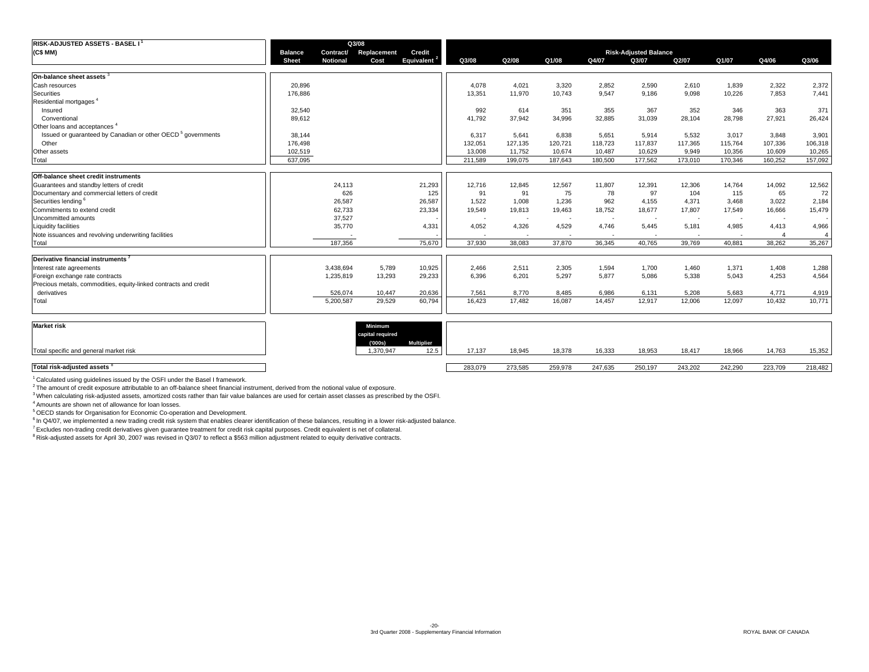| <b>RISK-ADJUSTED ASSETS - BASEL I<sup>1</sup></b>                       |                |                 | Q3/08       |                   |         |         |         |         |                              |                          |         |                          |                |
|-------------------------------------------------------------------------|----------------|-----------------|-------------|-------------------|---------|---------|---------|---------|------------------------------|--------------------------|---------|--------------------------|----------------|
| (C\$ MM)                                                                | <b>Balance</b> | Contract/       | Replacement | Credit            |         |         |         |         | <b>Risk-Adjusted Balance</b> |                          |         |                          |                |
|                                                                         | <b>Sheet</b>   | <b>Notional</b> | Cost        | <b>Equivalent</b> | Q3/08   | Q2/08   | Q1/08   | Q4/07   | Q3/07                        | Q2/07                    | Q1/07   | Q4/06                    | Q3/06          |
|                                                                         |                |                 |             |                   |         |         |         |         |                              |                          |         |                          |                |
| On-balance sheet assets                                                 |                |                 |             |                   |         |         |         |         |                              |                          |         |                          |                |
| Cash resources                                                          | 20,896         |                 |             |                   | 4.078   | 4.021   | 3.320   | 2,852   | 2,590                        | 2,610                    | 1.839   | 2,322                    | 2,372          |
| Securities                                                              | 176.886        |                 |             |                   | 13,351  | 11.970  | 10.743  | 9.547   | 9.186                        | 9,098                    | 10,226  | 7,853                    | 7,441          |
| Residential mortgages <sup>4</sup>                                      |                |                 |             |                   |         |         |         |         |                              |                          |         |                          |                |
| Insured                                                                 | 32,540         |                 |             |                   | 992     | 614     | 351     | 355     | 367                          | 352                      | 346     | 363                      | 371            |
| Conventional                                                            | 89,612         |                 |             |                   | 41,792  | 37,942  | 34,996  | 32,885  | 31,039                       | 28,104                   | 28,798  | 27,921                   | 26,424         |
| Other loans and acceptances <sup>4</sup>                                |                |                 |             |                   |         |         |         |         |                              |                          |         |                          |                |
| Issued or quaranteed by Canadian or other OECD <sup>5</sup> governments | 38,144         |                 |             |                   | 6,317   | 5,641   | 6,838   | 5,651   | 5,914                        | 5,532                    | 3,017   | 3,848                    | 3,901          |
| Other                                                                   | 176,498        |                 |             |                   | 132,051 | 127,135 | 120,721 | 118,723 | 117,837                      | 117,365                  | 115,764 | 107,336                  | 106,318        |
| Other assets                                                            | 102,519        |                 |             |                   | 13,008  | 11,752  | 10,674  | 10,487  | 10,629                       | 9,949                    | 10,356  | 10,609                   | 10,265         |
| Total                                                                   | 637.095        |                 |             |                   | 211.589 | 199.075 | 187.643 | 180.500 | 177.562                      | 173,010                  | 170.346 | 160,252                  | 157,092        |
| <b>Off-balance sheet credit instruments</b>                             |                |                 |             |                   |         |         |         |         |                              |                          |         |                          |                |
| Guarantees and standby letters of credit                                |                | 24,113          |             | 21,293            | 12,716  | 12,845  | 12,567  | 11,807  | 12,391                       | 12,306                   | 14,764  | 14,092                   | 12,562         |
| Documentary and commercial letters of credit                            |                | 626             |             | 125               | 91      | 91      | 75      | 78      | 97                           | 104                      | 115     | 65                       | 72             |
| Securities lending <sup>6</sup>                                         |                | 26,587          |             | 26,587            | 1.522   | 1.008   | 1.236   | 962     | 4.155                        | 4.371                    | 3.468   | 3,022                    | 2,184          |
| Commitments to extend credit                                            |                | 62,733          |             | 23,334            | 19,549  | 19,813  | 19,463  | 18,752  | 18,677                       | 17,807                   | 17,549  | 16,666                   | 15,479         |
| Uncommitted amounts                                                     |                | 37,527          |             |                   |         |         |         |         | $\overline{\phantom{a}}$     | $\overline{\phantom{a}}$ |         | $\overline{\phantom{a}}$ |                |
| <b>Liquidity facilities</b>                                             |                | 35,770          |             | 4,331             | 4,052   | 4,326   | 4,529   | 4,746   | 5,445                        | 5,181                    | 4,985   | 4,413                    | 4,966          |
| Note issuances and revolving underwriting facilities                    |                |                 |             |                   |         |         |         |         |                              | $\overline{\phantom{a}}$ |         |                          | $\overline{4}$ |
| Total                                                                   |                | 187.356         |             | 75.670            | 37.930  | 38,083  | 37,870  | 36,345  | 40.765                       | 39,769                   | 40,881  | 38,262                   | 35,267         |
|                                                                         |                |                 |             |                   |         |         |         |         |                              |                          |         |                          |                |
| Derivative financial instruments                                        |                |                 |             |                   |         |         |         |         |                              |                          |         |                          |                |
| Interest rate agreements                                                |                | 3,438,694       | 5,789       | 10,925            | 2,466   | 2,511   | 2,305   | 1,594   | 1,700                        | 1,460                    | 1,371   | 1,408                    | 1,288          |
| Foreign exchange rate contracts                                         |                | 1,235,819       | 13,293      | 29,233            | 6,396   | 6,201   | 5,297   | 5,877   | 5,086                        | 5,338                    | 5,043   | 4,253                    | 4,564          |
| Precious metals, commodities, equity-linked contracts and credit        |                |                 |             |                   |         |         |         |         |                              |                          |         |                          |                |
| derivatives                                                             |                | 526,074         | 10,447      | 20,636            | 7,561   | 8,770   | 8,485   | 6,986   | 6,131                        | 5,208                    | 5,683   | 4,771                    | 4,919          |
| Total                                                                   |                | 5,200,587       | 29,529      | 60,794            | 16,423  | 17,482  | 16,087  | 14,457  | 12,917                       | 12,006                   | 12,097  | 10,432                   | 10,771         |
|                                                                         |                |                 |             |                   |         |         |         |         |                              |                          |         |                          |                |

| <b>Market risk</b>                      | <b>Minimum</b><br>capital required<br>(000s) | Multiplier |         |         |         |         |         |         |         |         |         |
|-----------------------------------------|----------------------------------------------|------------|---------|---------|---------|---------|---------|---------|---------|---------|---------|
| Total specific and general market risk  | ,370,947                                     | 12.5       | 17,137  | 18,945  | 18,378  | 16,333  | 18,953  | 18,417  | 18,966  | 14,763  | 15,352  |
| Total risk-adjusted assets <sup>8</sup> |                                              |            | 283,079 | 273,585 | 259,978 | 247,635 | 250,197 | 243,202 | 242,290 | 223,709 | 218,482 |

1 Calculated using guidelines issued by the OSFI under the Basel I framework.

<sup>2</sup> The amount of credit exposure attributable to an off-balance sheet financial instrument, derived from the notional value of exposure.

3 When calculating risk-adjusted assets, amortized costs rather than fair value balances are used for certain asset classes as prescribed by the OSFI.

4 Amounts are shown net of allowance for loan losses.

5 OECD stands for Organisation for Economic Co-operation and Development.

<sup>6</sup> In Q4/07, we implemented a new trading credit risk system that enables clearer identification of these balances, resulting in a lower risk-adjusted balance.

7 Excludes non-trading credit derivatives given guarantee treatment for credit risk capital purposes. Credit equivalent is net of collateral.

8 Risk-adjusted assets for April 30, 2007 was revised in Q3/07 to reflect a \$563 million adjustment related to equity derivative contracts.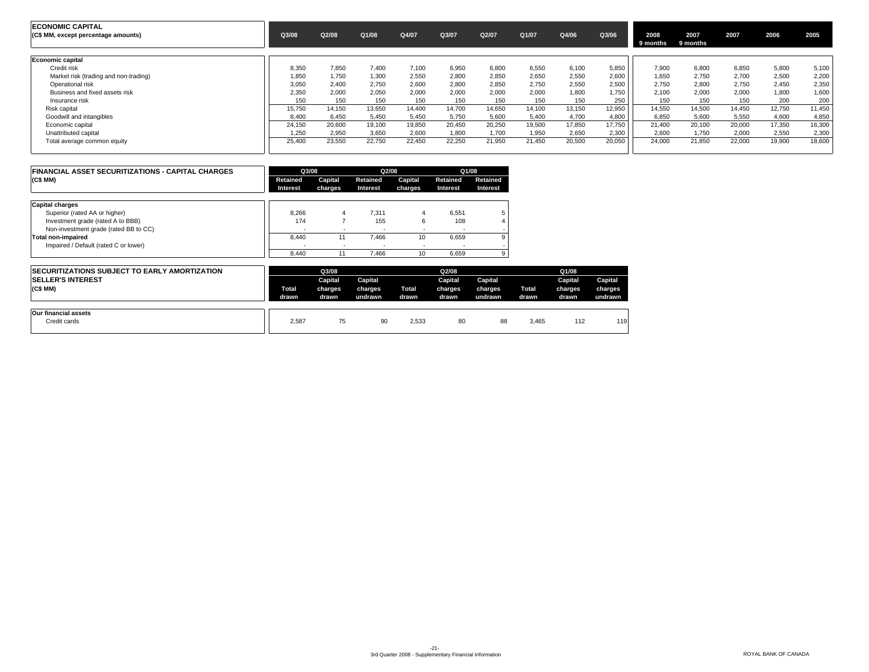| <b>ECONOMIC CAPITAL</b><br>(C\$ MM, except percentage amounts) | Q3/08  | Q2/08  | Q1/08  | Q4/07  | Q3/07  | Q2/07  | Q1/07  | Q4/06  | Q3/06  | 2008<br>9 months | 2007<br>9 months | 2007   | 2006   | 2005   |
|----------------------------------------------------------------|--------|--------|--------|--------|--------|--------|--------|--------|--------|------------------|------------------|--------|--------|--------|
| Economic capital                                               |        |        |        |        |        |        |        |        |        |                  |                  |        |        |        |
| Credit risk                                                    | 8.350  | 7.850  | 7.400  | 7.100  | 6,950  | 6.800  | 6.550  | 6.100  | 5.850  | 7.900            | 6.800            | 6.850  | 5,800  | 5,100  |
| Market risk (trading and non-trading)                          | 1,850  | 1.750  | 1,300  | 2,550  | 2,800  | 2,850  | 2,650  | 2,550  | 2,600  | 1.650            | 2.750            | 2,700  | 2,500  | 2,200  |
| Operational risk                                               | 3.050  | 2.400  | 2,750  | 2.600  | 2.800  | 2.850  | 2.750  | 2.550  | 2.500  | 2.750            | 2.800            | 2,750  | 2.450  | 2,350  |
| Business and fixed assets risk                                 | 2.350  | 2.000  | 2,050  | 2.000  | 2.000  | 2.000  | 2.000  | 1.800  | 1.750  | 2.100            | 2.000            | 2,000  | 1,800  | 1,600  |
| Insurance risk                                                 | 150    | 150    | 150    | 150    | 150    | 150    | 150    | 150    | 250    | 150              | 150              | 150    | 200    | 200    |
| Risk capital                                                   | 15,750 | 14,150 | 13,650 | 14,400 | 14,700 | 14,650 | 14,100 | 13.150 | 12,950 | 14.550           | 14.500           | 14,450 | 12,750 | 11,450 |
| Goodwill and intangibles                                       | 8.400  | 6.450  | 5.450  | 5.450  | 5.750  | 5.600  | 5.400  | 4.700  | 4.800  | 6.850            | 5.600            | 5.550  | 4.600  | 4,850  |
| Economic capital                                               | 24,150 | 20,600 | 19,100 | 19,850 | 20,450 | 20,250 | 19,500 | 17,850 | 17,750 | 21,400           | 20,100           | 20,000 | 17,350 | 16,300 |
| Unattributed capital                                           | .250   | 2.950  | 3.650  | 2.600  | 1,800  | 1.700  | 1.950  | 2.650  | 2.300  | 2.600            | 1.750            | 2.000  | 2.550  | 2,300  |
| Total average common equity                                    | 25,400 | 23,550 | 22,750 | 22,450 | 22,250 | 21,950 | 21,450 | 20,500 | 20,050 | 24,000           | 21,850           | 22,000 | 19,900 | 18,600 |

| <b>FINANCIAL ASSET SECURITIZATIONS - CAPITAL CHARGES</b> | Q3/08                    |         | Q2/08    |         | Q1/08           |          |
|----------------------------------------------------------|--------------------------|---------|----------|---------|-----------------|----------|
| (C\$ MM)                                                 | Retained                 | Capital | Retained | Capital | Retained        | Retained |
|                                                          | Interest                 | charges | Interest | charges | <b>Interest</b> | Interest |
| <b>Capital charges</b>                                   |                          |         |          |         |                 |          |
| Superior (rated AA or higher)                            | 8.266                    | 4       | 7.311    | 4       | 6.551           | 5        |
| Investment grade (rated A to BBB)                        | 174                      |         | 155      | 6       | 108             |          |
| Non-investment grade (rated BB to CC)                    | $\overline{\phantom{a}}$ |         |          |         |                 |          |
| Total non-impaired                                       | 8.440                    | 11      | 7.466    | 10      | 6.659           | 9        |
| Impaired / Default (rated C or lower)                    |                          |         |          |         |                 |          |
|                                                          | 8.440                    | 11      | 7.466    | 10      | 6.659           | 9        |

| <b>ISECURITIZATIONS SUBJECT TO EARLY AMORTIZATION</b><br><b>SELLER'S INTEREST</b><br>(C\$ MM) | Total<br>drawn | Q3/08<br>Capital<br>charges<br>drawn | Capital<br>charges<br>undrawn | Total<br>drawn | Q2/08<br>Capital<br>charges<br>drawn | Capital<br>charges<br>undrawn | <b>Total</b><br>drawn | Q1/08<br>Capital<br>charges<br>drawn | Capital<br>charges<br>undrawn |
|-----------------------------------------------------------------------------------------------|----------------|--------------------------------------|-------------------------------|----------------|--------------------------------------|-------------------------------|-----------------------|--------------------------------------|-------------------------------|
| Our financial assets<br>Credit cards                                                          | 2,587          | 75                                   | 90                            | 2,533          | 80                                   | 88                            | 3,465                 | 112                                  | 119                           |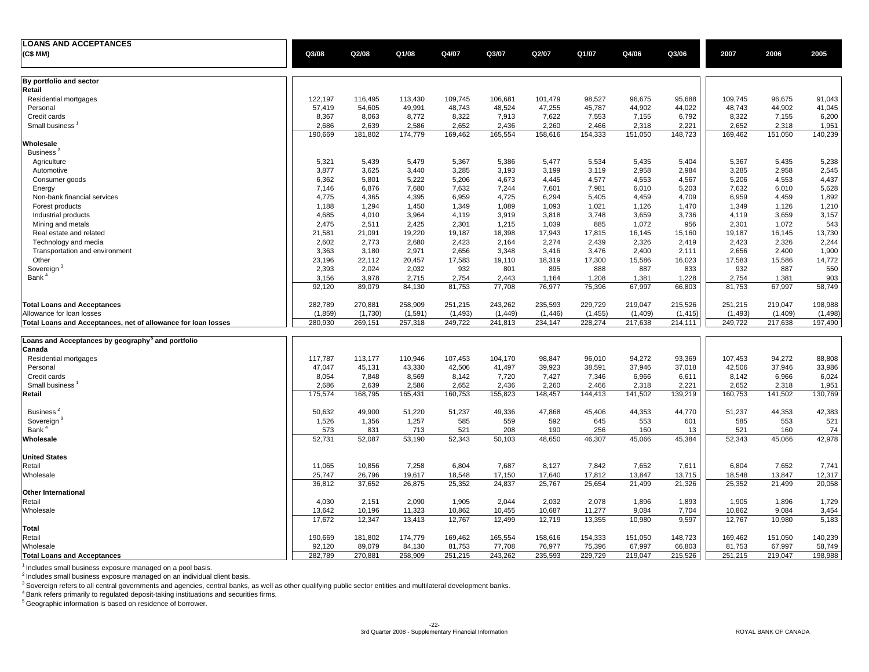| <b>LOANS AND ACCEPTANCES</b>                                  |         |         |         |          |          |         |          |         |          |          |         |          |
|---------------------------------------------------------------|---------|---------|---------|----------|----------|---------|----------|---------|----------|----------|---------|----------|
| (C\$ MM)                                                      | Q3/08   | Q2/08   | Q1/08   | Q4/07    | Q3/07    | Q2/07   | Q1/07    | Q4/06   | Q3/06    | 2007     | 2006    | 2005     |
|                                                               |         |         |         |          |          |         |          |         |          |          |         |          |
| By portfolio and sector<br>Retail                             |         |         |         |          |          |         |          |         |          |          |         |          |
| Residential mortgages                                         | 122,197 | 116,495 | 113,430 | 109,745  | 106,681  | 101,479 | 98,527   | 96,675  | 95,688   | 109,745  | 96,675  | 91,043   |
| Personal                                                      | 57,419  | 54,605  | 49,991  | 48,743   | 48,524   | 47,255  | 45,787   | 44,902  | 44,022   | 48,743   | 44,902  | 41,045   |
| Credit cards                                                  | 8,367   | 8,063   | 8,772   | 8,322    | 7,913    | 7,622   | 7,553    | 7,155   | 6,792    | 8,322    | 7,155   | 6,200    |
| Small business                                                | 2,686   | 2,639   | 2,586   | 2,652    | 2,436    | 2,260   | 2,466    | 2,318   | 2,221    | 2,652    | 2,318   | 1,951    |
|                                                               | 190,669 | 181,802 | 174,779 | 169,462  | 165,554  | 158,616 | 154,333  | 151,050 | 148,723  | 169,462  | 151,050 | 140,239  |
| Wholesale                                                     |         |         |         |          |          |         |          |         |          |          |         |          |
| Business <sup>4</sup>                                         |         |         |         |          |          |         |          |         |          |          |         |          |
| Agriculture                                                   | 5,321   | 5,439   | 5,479   | 5,367    | 5,386    | 5,477   | 5,534    | 5,435   | 5,404    | 5,367    | 5,435   | 5,238    |
| Automotive                                                    | 3,877   | 3,625   | 3,440   | 3,285    | 3,193    | 3,199   | 3,119    | 2,958   | 2,984    | 3,285    | 2,958   | 2,545    |
| Consumer goods                                                | 6,362   | 5,801   | 5,222   | 5,206    | 4,673    | 4,445   | 4,577    | 4,553   | 4,567    | 5,206    | 4,553   | 4,437    |
| Energy                                                        | 7,146   | 6,876   | 7,680   | 7,632    | 7,244    | 7,601   | 7,981    | 6,010   | 5,203    | 7,632    | 6,010   | 5,628    |
| Non-bank financial services                                   | 4,775   | 4,365   | 4,395   | 6,959    | 4,725    | 6,294   | 5,405    | 4,459   | 4,709    | 6,959    | 4,459   | 1,892    |
| Forest products                                               | 1,188   | 1,294   | 1,450   | 1,349    | 1,089    | 1,093   | 1,021    | 1,126   | 1,470    | 1,349    | 1,126   | 1,210    |
| Industrial products                                           | 4,685   | 4,010   | 3,964   | 4,119    | 3,919    | 3,818   | 3,748    | 3,659   | 3,736    | 4,119    | 3,659   | 3,157    |
| Mining and metals                                             | 2,475   | 2,511   | 2,425   | 2,301    | 1,215    | 1,039   | 885      | 1,072   | 956      | 2,301    | 1,072   | 543      |
| Real estate and related                                       | 21,581  | 21,091  | 19,220  | 19,187   | 18,398   | 17,943  | 17,815   | 16,145  | 15,160   | 19,187   | 16,145  | 13,730   |
| Technology and media                                          | 2,602   | 2,773   | 2,680   | 2,423    | 2,164    | 2,274   | 2,439    | 2,326   | 2,419    | 2,423    | 2,326   | 2,244    |
| Transportation and environment                                | 3,363   | 3,180   | 2,971   | 2,656    | 3,348    | 3,416   | 3,476    | 2,400   | 2,111    | 2,656    | 2,400   | 1,900    |
| Other                                                         | 23,196  | 22,112  | 20,457  | 17,583   | 19,110   | 18,319  | 17,300   | 15,586  | 16,023   | 17,583   | 15,586  | 14,772   |
| Sovereign <sup>3</sup>                                        | 2,393   | 2,024   | 2,032   | 932      | 801      | 895     | 888      | 887     | 833      | 932      | 887     | 550      |
| Bank <sup>4</sup>                                             | 3,156   | 3,978   | 2,715   | 2,754    | 2,443    | 1,164   | 1,208    | 1,381   | 1,228    | 2,754    | 1,381   | 903      |
|                                                               | 92,120  | 89,079  | 84,130  | 81,753   | 77,708   | 76,977  | 75,396   | 67,997  | 66,803   | 81,753   | 67,997  | 58,749   |
| <b>Total Loans and Acceptances</b>                            | 282,789 | 270,881 | 258,909 | 251,215  | 243,262  | 235,593 | 229,729  | 219,047 | 215,526  | 251,215  | 219,047 | 198,988  |
| Allowance for loan losses                                     | (1,859) | (1,730) | (1,591) | (1, 493) | (1, 449) | (1,446) | (1, 455) | (1,409) | (1, 415) | (1, 493) | (1,409) | (1, 498) |
| Total Loans and Acceptances, net of allowance for loan losses | 280,930 | 269,151 | 257,318 | 249,722  | 241,813  | 234,147 | 228,274  | 217,638 | 214,111  | 249,722  | 217,638 | 197,490  |
| Loans and Acceptances by geography <sup>5</sup> and portfolio |         |         |         |          |          |         |          |         |          |          |         |          |
| Canada                                                        |         |         |         |          |          |         |          |         |          |          |         |          |
| Residential mortgages                                         | 117,787 | 113,177 | 110,946 | 107,453  | 104,170  | 98,847  | 96,010   | 94,272  | 93,369   | 107,453  | 94,272  | 88,808   |
| Personal                                                      | 47,047  | 45,131  | 43,330  | 42,506   | 41,497   | 39,923  | 38,591   | 37,946  | 37,018   | 42,506   | 37,946  | 33,986   |
| Credit cards                                                  | 8,054   | 7,848   | 8,569   | 8,142    | 7,720    | 7,427   | 7,346    | 6,966   | 6,611    | 8,142    | 6,966   | 6,024    |
| Small business                                                | 2,686   | 2,639   | 2,586   | 2,652    | 2,436    | 2,260   | 2,466    | 2,318   | 2,221    | 2,652    | 2,318   | 1,951    |
| Retail                                                        | 175,574 | 168,795 | 165,431 | 160,753  | 155,823  | 148,457 | 144,413  | 141,502 | 139,219  | 160,753  | 141,502 | 130,769  |
|                                                               |         |         |         |          |          |         |          |         |          |          |         |          |
| Business <sup>2</sup>                                         | 50,632  | 49,900  | 51,220  | 51,237   | 49,336   | 47,868  | 45,406   | 44,353  | 44,770   | 51,237   | 44,353  | 42,383   |
| Sovereign <sup>3</sup>                                        | 1,526   | 1,356   | 1,257   | 585      | 559      | 592     | 645      | 553     | 601      | 585      | 553     | 521      |
| Bank <sup>4</sup>                                             | 573     | 831     | 713     | 521      | 208      | 190     | 256      | 160     | 13       | 521      | 160     | 74       |
| Wholesale                                                     | 52,731  | 52,087  | 53,190  | 52,343   | 50,103   | 48,650  | 46,307   | 45,066  | 45,384   | 52,343   | 45,066  | 42,978   |
| <b>United States</b>                                          |         |         |         |          |          |         |          |         |          |          |         |          |
| Retail                                                        | 11,065  | 10,856  | 7,258   | 6,804    | 7,687    | 8,127   | 7,842    | 7,652   | 7.611    | 6,804    | 7,652   | 7,741    |
| Wholesale                                                     | 25,747  | 26,796  | 19,617  | 18,548   | 17,150   | 17,640  | 17,812   | 13,847  | 13,715   | 18,548   | 13,847  | 12,317   |
|                                                               | 36,812  | 37,652  | 26,875  | 25,352   | 24,837   | 25,767  | 25,654   | 21,499  | 21,326   | 25,352   | 21,499  | 20,058   |
| <b>Other International</b>                                    |         |         |         |          |          |         |          |         |          |          |         |          |
| Retail                                                        | 4,030   | 2,151   | 2,090   | 1,905    | 2,044    | 2,032   | 2,078    | 1,896   | 1,893    | 1,905    | 1,896   | 1,729    |
| Wholesale                                                     | 13,642  | 10,196  | 11,323  | 10,862   | 10,455   | 10,687  | 11,277   | 9,084   | 7,704    | 10,862   | 9,084   | 3,454    |
|                                                               | 17,672  | 12,347  | 13,413  | 12,767   | 12,499   | 12,719  | 13,355   | 10,980  | 9,597    | 12,767   | 10,980  | 5,183    |
| <b>Total</b>                                                  |         |         |         |          |          |         |          |         |          |          |         |          |
| Retail                                                        | 190,669 | 181,802 | 174,779 | 169,462  | 165,554  | 158,616 | 154,333  | 151,050 | 148,723  | 169,462  | 151,050 | 140,239  |
| Wholesale                                                     | 92,120  | 89,079  | 84,130  | 81,753   | 77,708   | 76,977  | 75,396   | 67,997  | 66,803   | 81,753   | 67,997  | 58,749   |
| <b>Total Loans and Acceptances</b>                            | 282,789 | 270,881 | 258,909 | 251,215  | 243,262  | 235,593 | 229,729  | 219,047 | 215,526  | 251,215  | 219,047 | 198,988  |

<sup>1</sup> Includes small business exposure managed on a pool basis.<br><sup>2</sup> Includes small business exposure managed on an individual client basis.<br><sup>3</sup> Sovereign refers to all central governments and agencies, central banks, as well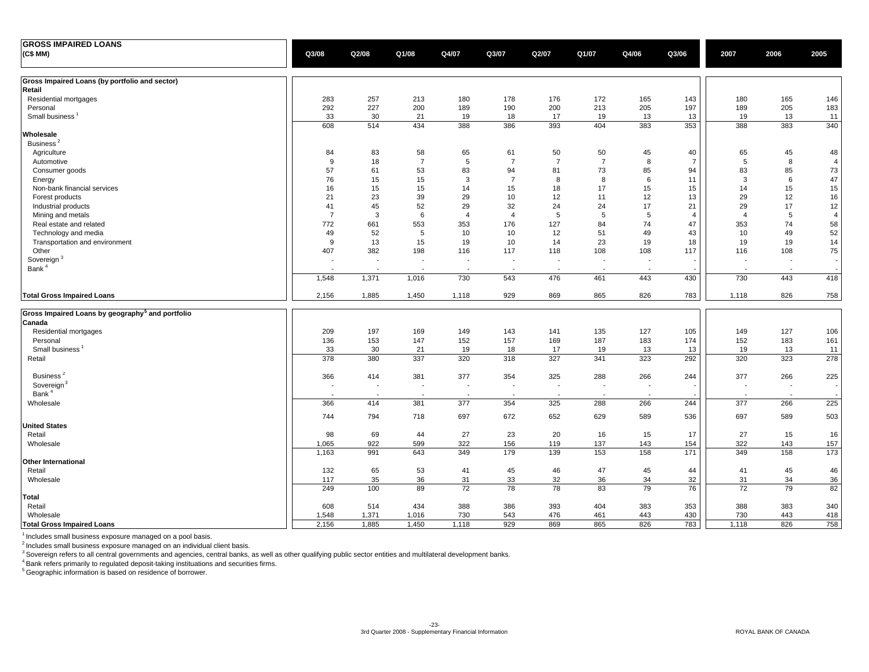| <b>GROSS IMPAIRED LOANS</b>                                            |                          |                          |                          |                          |                          |                |                          |                |                |                          |                          |                |
|------------------------------------------------------------------------|--------------------------|--------------------------|--------------------------|--------------------------|--------------------------|----------------|--------------------------|----------------|----------------|--------------------------|--------------------------|----------------|
| (C\$ MM)                                                               | Q3/08                    | Q2/08                    | Q1/08                    | Q4/07                    | Q3/07                    | Q2/07          | Q1/07                    | Q4/06          | Q3/06          | 2007                     | 2006                     | 2005           |
| Gross Impaired Loans (by portfolio and sector)                         |                          |                          |                          |                          |                          |                |                          |                |                |                          |                          |                |
| Retail                                                                 |                          |                          |                          |                          |                          |                |                          |                |                |                          |                          |                |
| Residential mortgages                                                  | 283                      | 257                      | 213                      | 180                      | 178                      | 176            | 172                      | 165            | 143            | 180                      | 165                      | 146            |
| Personal                                                               | 292                      | 227                      | 200                      | 189                      | 190                      | 200            | 213                      | 205            | 197            | 189                      | 205                      | 183            |
| Small business <sup>1</sup>                                            | 33                       | 30                       | 21                       | 19                       | 18                       | 17             | 19                       | 13             | 13             | 19                       | 13                       | 11             |
| Wholesale                                                              | 608                      | 514                      | 434                      | 388                      | 386                      | 393            | 404                      | 383            | 353            | 388                      | 383                      | 340            |
| Business <sup>2</sup>                                                  |                          |                          |                          |                          |                          |                |                          |                |                |                          |                          |                |
| Agriculture                                                            | 84                       | 83                       | 58                       | 65                       | 61                       | 50             | 50                       | 45             | 40             | 65                       | 45                       | 48             |
| Automotive                                                             | 9                        | 18                       | $\overline{7}$           | 5                        | $\overline{7}$           | $\overline{7}$ | $\overline{7}$           | 8              | $\overline{7}$ | 5                        | 8                        | $\overline{4}$ |
| Consumer goods                                                         | 57                       | 61                       | 53                       | 83                       | 94                       | 81             | 73                       | 85             | 94             | 83                       | 85                       | $73\,$         |
| Energy                                                                 | 76                       | 15                       | 15                       | 3                        | $\overline{7}$           | 8              | 8                        | 6              | 11             | 3                        | 6                        | 47             |
| Non-bank financial services                                            | 16                       | 15                       | 15                       | 14                       | 15                       | 18             | 17                       | 15             | 15             | 14                       | 15                       | 15             |
| Forest products                                                        | 21                       | 23                       | 39                       | 29                       | 10                       | 12             | 11                       | 12             | 13             | 29                       | 12                       | 16             |
| Industrial products                                                    | 41                       | 45                       | 52                       | 29                       | 32                       | 24             | 24                       | 17             | 21             | 29                       | 17                       | 12             |
| Mining and metals                                                      | $\overline{7}$           | 3                        | 6                        | $\overline{4}$           | $\overline{4}$           | 5              | 5                        | 5              | $\overline{4}$ | $\overline{4}$           | 5                        | $\overline{4}$ |
| Real estate and related                                                | 772                      | 661                      | 553                      | 353                      | 176                      | 127            | 84                       | 74             | 47             | 353                      | 74                       | 58             |
| Technology and media                                                   | 49                       | 52                       | 5                        | 10                       | 10                       | 12             | 51                       | 49             | 43             | 10                       | 49                       | 52             |
| Transportation and environment                                         | 9                        | 13                       | 15                       | 19                       | 10                       | 14             | 23                       | 19             | 18             | 19                       | 19                       | 14             |
| Other                                                                  | 407                      | 382                      | 198                      | 116                      | 117                      | 118            | 108                      | 108            | 117            | 116                      | 108                      | 75             |
| Sovereign <sup>3</sup>                                                 | $\overline{\phantom{a}}$ | $\overline{\phantom{a}}$ | $\blacksquare$           | $\overline{\phantom{a}}$ | $\blacksquare$           | $\blacksquare$ | $\blacksquare$           | $\blacksquare$ |                | $\blacksquare$           | $\overline{\phantom{a}}$ |                |
| Bank <sup>4</sup>                                                      |                          |                          | $\overline{\phantom{a}}$ | $\overline{\phantom{a}}$ | $\overline{\phantom{a}}$ |                | $\overline{\phantom{a}}$ | $\sim$         |                |                          | $\overline{\phantom{a}}$ |                |
|                                                                        | 1,548                    | 1,371                    | 1,016                    | 730                      | 543                      | 476            | 461                      | 443            | 430            | 730                      | 443                      | 418            |
| <b>Total Gross Impaired Loans</b>                                      | 2,156                    | 1,885                    | 1,450                    | 1,118                    | 929                      | 869            | 865                      | 826            | 783            | 1,118                    | 826                      | 758            |
|                                                                        |                          |                          |                          |                          |                          |                |                          |                |                |                          |                          |                |
| Gross Impaired Loans by geography <sup>5</sup> and portfolio<br>Canada |                          |                          |                          |                          |                          |                |                          |                |                |                          |                          |                |
| Residential mortgages                                                  | 209                      | 197                      | 169                      | 149                      | 143                      | 141            | 135                      | 127            | 105            | 149                      | 127                      | 106            |
| Personal                                                               | 136                      | 153                      | 147                      | 152                      | 157                      | 169            | 187                      | 183            | 174            | 152                      | 183                      | 161            |
| Small business                                                         | 33                       | 30                       | 21                       | 19                       | 18                       | 17             | 19                       | 13             | 13             | 19                       | 13                       | 11             |
| Retail                                                                 | 378                      | 380                      | 337                      | 320                      | 318                      | 327            | 341                      | 323            | 292            | 320                      | 323                      | 278            |
| Business <sup>2</sup>                                                  | 366                      | 414                      | 381                      | 377                      | 354                      | 325            | 288                      | 266            | 244            | 377                      | 266                      | 225            |
| Sovereign <sup>3</sup>                                                 | $\sim$                   | $\overline{\phantom{a}}$ | $\blacksquare$           | $\sim$                   | $\sim$                   | $\blacksquare$ | $\blacksquare$           | $\sim$         |                | $\overline{\phantom{a}}$ | $\sim$                   |                |
| Bank <sup>4</sup>                                                      | $\overline{\phantom{a}}$ | $\overline{a}$           | $\sim$                   | $\overline{\phantom{a}}$ | $\overline{\phantom{a}}$ | $\overline{a}$ | $\sim$                   | $\sim$         |                |                          | $\sim$                   |                |
| Wholesale                                                              | 366                      | 414                      | 381                      | 377                      | 354                      | 325            | 288                      | 266            | 244            | 377                      | 266                      | 225            |
|                                                                        | 744                      | 794                      | 718                      | 697                      | 672                      | 652            | 629                      | 589            | 536            | 697                      | 589                      | 503            |
| <b>United States</b>                                                   |                          |                          |                          |                          |                          |                |                          |                |                |                          |                          |                |
| Retail                                                                 | 98                       | 69                       | 44                       | 27                       | 23                       | 20             | 16                       | 15             | 17             | 27                       | 15                       | 16             |
| Wholesale                                                              | 1,065                    | 922                      | 599                      | 322                      | 156                      | 119            | 137                      | 143            | 154            | 322                      | 143                      | 157            |
|                                                                        | 1,163                    | 991                      | 643                      | 349                      | 179                      | 139            | 153                      | 158            | 171            | 349                      | 158                      | 173            |
| Other International                                                    |                          |                          |                          |                          |                          |                |                          |                |                |                          |                          |                |
| Retail                                                                 | 132                      | 65                       | 53                       | 41                       | 45                       | 46             | 47                       | 45             | 44             | 41                       | 45                       | 46             |
| Wholesale                                                              | 117                      | 35                       | 36                       | 31                       | 33                       | 32             | 36                       | 34             | 32             | 31                       | 34                       | 36             |
|                                                                        | 249                      | 100                      | 89                       | 72                       | 78                       | 78             | 83                       | 79             | 76             | 72                       | 79                       | 82             |
| ⊺otal                                                                  |                          |                          |                          |                          |                          |                |                          |                |                |                          |                          |                |
| Retail                                                                 | 608                      | 514                      | 434                      | 388                      | 386                      | 393            | 404                      | 383            | 353            | 388                      | 383                      | 340            |
| Wholesale                                                              | 1,548                    | 1,371                    | 1,016                    | 730                      | 543                      | 476            | 461                      | 443            | 430            | 730                      | 443                      | 418            |
| <b>Total Gross Impaired Loans</b>                                      | 2,156                    | 1,885                    | 1,450                    | 1,118                    | 929                      | 869            | 865                      | 826            | 783            | 1,118                    | 826                      | 758            |

<sup>1</sup> Includes small business exposure managed on a pool basis.<br><sup>2</sup> Includes small business exposure managed on an individual client basis.

<sup>3</sup> Sovereign refers to all central governments and agencies, central banks, as well as other qualifying public sector entities and multilateral development banks.

<sup>4</sup> Bank refers primarily to regulated deposit-taking instituations and securities firms.<br><sup>5</sup> Geographic information is based on residence of borrower.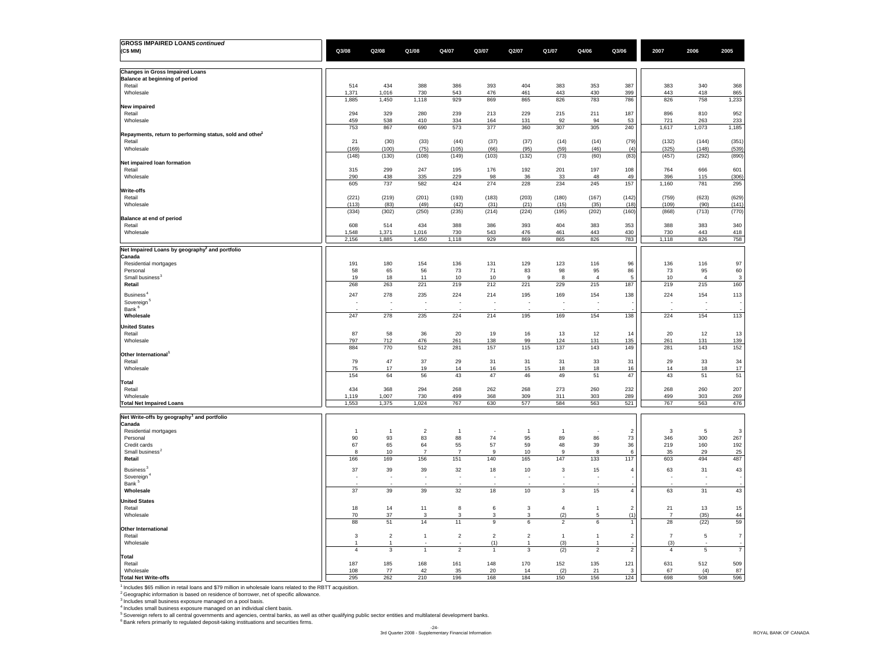| <b>GROSS IMPAIRED LOANS continued</b>                                |                                |                          |                       |                       |                                |                |                               |                          |                |                |                |                |
|----------------------------------------------------------------------|--------------------------------|--------------------------|-----------------------|-----------------------|--------------------------------|----------------|-------------------------------|--------------------------|----------------|----------------|----------------|----------------|
| (C\$ MM)                                                             | Q3/08                          | Q2/08                    | Q1/08                 | Q4/07                 | Q3/07                          | Q2/07          | Q1/07                         | Q4/06                    | Q3/06          | 2007           | 2006           | 2005           |
|                                                                      |                                |                          |                       |                       |                                |                |                               |                          |                |                |                |                |
| <b>Changes in Gross Impaired Loans</b>                               |                                |                          |                       |                       |                                |                |                               |                          |                |                |                |                |
| Balance at beginning of period                                       |                                |                          |                       |                       |                                |                |                               |                          |                |                |                |                |
| Retail                                                               | 514                            | 434                      | 388<br>730            | 386                   | 393                            | 404            | 383                           | 353                      | 387<br>399     | 383            | 340            | 368            |
| Wholesale                                                            | 1,371<br>1,885                 | 1,016<br>1,450           | 1,118                 | 543<br>929            | 476<br>869                     | 461<br>865     | 443<br>826                    | 430<br>783               | 786            | 443<br>826     | 418<br>758     | 865<br>1,233   |
| <b>New impaired</b>                                                  |                                |                          |                       |                       |                                |                |                               |                          |                |                |                |                |
| Retail                                                               | 294                            | 329                      | 280                   | 239                   | 213                            | 229            | 215                           | 211                      | 187            | 896            | 810            | 952            |
| Wholesale                                                            | 459                            | 538                      | 410                   | 334                   | 164                            | 131            | 92                            | 94                       | 53             | 721            | 263            | 233            |
| Repayments, return to performing status, sold and other <sup>1</sup> | 753                            | 867                      | 690                   | 573                   | 377                            | 360            | 307                           | 305                      | 240            | 1,617          | 1,073          | 1,185          |
| Retail                                                               | 21                             | (30)                     | (33)                  | (44)                  | (37)                           | (37)           | (14)                          | (14)                     | (79)           | (132)          | (144)          | (351)          |
| Wholesale                                                            | (169)                          | (100)                    | (75)                  | (105)                 | (66)                           | (95)           | (59)                          | (46)                     | (4)            | (325)          | (148)          | (539)          |
|                                                                      | (148)                          | (130)                    | (108)                 | (149)                 | (103)                          | (132)          | (73)                          | (60)                     | (83)           | (457)          | (292)          | (890)          |
| Net impaired loan formation<br>Retail                                | 315                            | 299                      | 247                   | 195                   | 176                            | 192            | 201                           | 197                      | 108            | 764            | 666            | 601            |
| Wholesale                                                            | 290                            | 438                      | 335                   | 229                   | 98                             | 36             | 33                            | 48                       | 49             | 396            | 115            | (306)          |
|                                                                      | 605                            | 737                      | 582                   | 424                   | 274                            | 228            | 234                           | 245                      | 157            | 1,160          | 781            | 295            |
| Write-offs                                                           |                                |                          |                       |                       |                                |                |                               |                          |                |                |                |                |
| Retail<br>Wholesale                                                  | (221)<br>(113)                 | (219)<br>(83)            | (201)<br>(49)         | (193)<br>(42)         | (183)<br>(31)                  | (203)<br>(21)  | (180)<br>(15)                 | (167)<br>(35)            | (142)<br>(18)  | (759)<br>(109) | (623)<br>(90)  | (629)<br>(141) |
|                                                                      | (334)                          | (302)                    | (250)                 | (235)                 | (214)                          | (224)          | (195)                         | (202)                    | (160)          | (868)          | (713)          | (770)          |
| Balance at end of period                                             |                                |                          |                       |                       |                                |                |                               |                          |                |                |                |                |
| Retail                                                               | 608                            | 514                      | 434                   | 388                   | 386                            | 393            | 404                           | 383                      | 353            | 388            | 383            | 340            |
| Wholesale                                                            | 1,548<br>2,156                 | 1,371<br>1,885           | 1,016<br>1,450        | 730<br>1,118          | 543<br>929                     | 476<br>869     | 461<br>865                    | 443<br>826               | 430<br>783     | 730<br>1,118   | 443<br>826     | 418<br>758     |
|                                                                      |                                |                          |                       |                       |                                |                |                               |                          |                |                |                |                |
| Net Impaired Loans by geography <sup>2</sup> and portfolio<br>Canada |                                |                          |                       |                       |                                |                |                               |                          |                |                |                |                |
| Residential mortgages                                                | 191                            | 180                      | 154                   | 136                   | 131                            | 129            | 123                           | 116                      | 96             | 136            | 116            | 97             |
| Personal                                                             | 58                             | 65                       | 56                    | 73                    | 71                             | 83             | 98                            | 95                       | 86             | 73             | 95             | 60             |
| Small business <sup>3</sup>                                          | 19                             | 18                       | 11                    | 10                    | 10                             | 9              | 8                             | $\overline{4}$           | 5              | 10             | $\overline{4}$ | 3              |
| Retail                                                               | 268                            | 263                      | 221                   | 219                   | 212                            | 221            | 229                           | 215                      | 187            | 219            | 215            | 160            |
| Business <sup>4</sup>                                                | 247                            | 278                      | 235                   | 224                   | 214                            | 195            | 169                           | 154                      | 138            | 224            | 154            | 113            |
| Sovereign <sup>®</sup><br>Bank <sup>6</sup>                          | $\overline{\phantom{a}}$       | $\overline{\phantom{a}}$ | ÷.                    | $\sim$                | $\overline{\phantom{a}}$       | $\sim$         | ٠.                            | $\overline{\phantom{a}}$ |                | $\sim$         | ٠.             |                |
| Wholesale                                                            | 247                            | 278                      | 235                   | 224                   | 214                            | 195            | 169                           | 154                      | 138            | 224            | 154            | 113            |
| <b>United States</b>                                                 |                                |                          |                       |                       |                                |                |                               |                          |                |                |                |                |
| Retail                                                               | 87                             | 58                       | 36                    | 20                    | 19                             | 16             | 13                            | 12                       | 14             | 20             | 12             | 13             |
| Wholesale                                                            | 797                            | 712                      | 476                   | 261                   | 138                            | 99             | 124                           | 131                      | 135            | 261            | 131            | 139            |
|                                                                      | 884                            | 770                      | 512                   | 281                   | 157                            | 115            | 137                           | 143                      | 149            | 281            | 143            | 152            |
| Other International <sup>1</sup><br>Retail                           | 79                             | 47                       | 37                    | 29                    | 31                             | 31             | 31                            | 33                       | 31             | 29             | 33             | 34             |
| Wholesale                                                            | 75                             | 17                       | 19                    | 14                    | 16                             | 15             | 18                            | 18                       | 16             | 14             | 18             | 17             |
|                                                                      | 154                            | 64                       | 56                    | 43                    | 47                             | 46             | 49                            | 51                       | 47             | 43             | 51             | 51             |
| <b>Total</b>                                                         |                                |                          |                       |                       |                                |                |                               |                          |                |                |                | 207            |
| Retail<br>Wholesale                                                  | 434<br>1,119                   | 368<br>1,007             | 294<br>730            | 268<br>499            | 262<br>368                     | 268<br>309     | 273<br>311                    | 260<br>303               | 232<br>289     | 268<br>499     | 260<br>303     | 269            |
| <b>Total Net Impaired Loans</b>                                      | 1,553                          | 1,375                    | 1,024                 | 767                   | 630                            | 577            | 584                           | 563                      | 521            | 767            | 563            | 476            |
|                                                                      |                                |                          |                       |                       |                                |                |                               |                          |                |                |                |                |
| Net Write-offs by geography <sup>1</sup> and portfolio               |                                |                          |                       |                       |                                |                |                               |                          |                |                |                |                |
| Canada<br>Residential mortgages                                      | $\overline{1}$                 | $\overline{1}$           | $\overline{2}$        | $\overline{1}$        |                                | $\mathbf{1}$   | $\overline{1}$                |                          | $\overline{2}$ | 3              | 5              | $\mathbf{3}$   |
| Personal                                                             | 90                             | 93                       | 83                    | 88                    | 74                             | 95             | 89                            | 86                       | 73             | 346            | 300            | 267            |
| Credit cards                                                         | 67                             | 65                       | 64                    | 55                    | 57                             | 59             | 48                            | 39                       | 36             | 219            | 160            | 192            |
| Small business <sup>2</sup><br>Retail                                | 8<br>166                       | 10<br>169                | $\overline{7}$<br>156 | $\overline{7}$<br>151 | 9<br>140                       | 10<br>165      | 9<br>147                      | 8<br>133                 | 6<br>117       | 35<br>603      | 29<br>494      | 25<br>487      |
|                                                                      |                                |                          |                       |                       |                                |                |                               |                          |                |                |                |                |
| Business <sup>3</sup><br>Sovereign <sup>4</sup>                      | 37<br>$\overline{\phantom{a}}$ | 39<br>÷.                 | 39<br>÷.              | 32<br>÷.              | 18<br>$\overline{\phantom{a}}$ | 10             | 3<br>$\overline{\phantom{a}}$ | 15<br>۰.                 | $\overline{4}$ | 63<br>÷.       | 31<br>٠.       | 43             |
| Bank <sup>5</sup>                                                    |                                |                          |                       |                       |                                |                |                               |                          |                |                |                |                |
| Wholesale                                                            | 37                             | 39                       | 39                    | 32                    | 18                             | 10             | 3                             | 15                       | $\overline{4}$ | 63             | 31             | 43             |
| <b>United States</b>                                                 |                                |                          |                       |                       |                                |                |                               |                          |                |                |                |                |
| Retail                                                               | 18                             | 14                       | 11                    | 8                     | 6                              | 3              | $\overline{4}$                | $\overline{1}$           | $\overline{2}$ | 21             | 13             | 15             |
| Wholesale                                                            | 70                             | 37                       | 3                     | 3                     | 3                              | 3              | (2)                           | 5                        | (1)            | $\overline{7}$ | (35)           | 44             |
|                                                                      | 88                             | 51                       | 14                    | 11                    | $\mathsf g$                    | 6              | $\overline{2}$                | 6                        | 1              | 28             | (22)           | 59             |
| Other International<br>Retail                                        | $\overline{3}$                 | $\overline{2}$           | $\overline{1}$        | $\overline{2}$        | $\overline{2}$                 | $\overline{2}$ | $\overline{1}$                | $\overline{1}$           | $\overline{2}$ | $\overline{7}$ | $\,$ 5 $\,$    | $\overline{7}$ |
| Wholesale                                                            | 1                              |                          |                       |                       | (1)                            |                | (3)                           |                          |                | (3)            |                |                |
|                                                                      | $\overline{4}$                 | $\mathbf 3$              | $\overline{1}$        | $\overline{c}$        | $\overline{1}$                 | 3              | (2)                           | $\overline{c}$           | $\overline{2}$ | $\overline{4}$ | $\,$ 5 $\,$    | $\overline{7}$ |
| <b>Total</b><br>Retail                                               | 187                            | 185                      | 168                   | 161                   | 148                            | 170            | 152                           | 135                      | 121            | 631            | 512            | 509            |
| Wholesale                                                            | 108                            | 77                       | 42                    | 35                    | 20                             | 14             | (2)                           | 21                       | 3              | 67             | (4)            | 87             |
| <b>Total Net Write-offs</b>                                          | 295                            | 262                      | 210                   | 196                   | 168                            | 184            | 150                           | 156                      | 124            | 698            | 508            | 596            |

<sup>1</sup> Includes \$65 million in retail loans and \$79 million in wholesale loans related to the RBTT acquisition.

<sup>2</sup> Geographic information is based on residence of borrower, net of specific allowance.<br><sup>3</sup> Includes small business exposure managed on a pool basis.<br><sup>4</sup> Includes small business exposure managed on an individual client ba

-24- 3rd Quarter 2008 - Supplementary Financial Information ROYAL BANK OF CANADA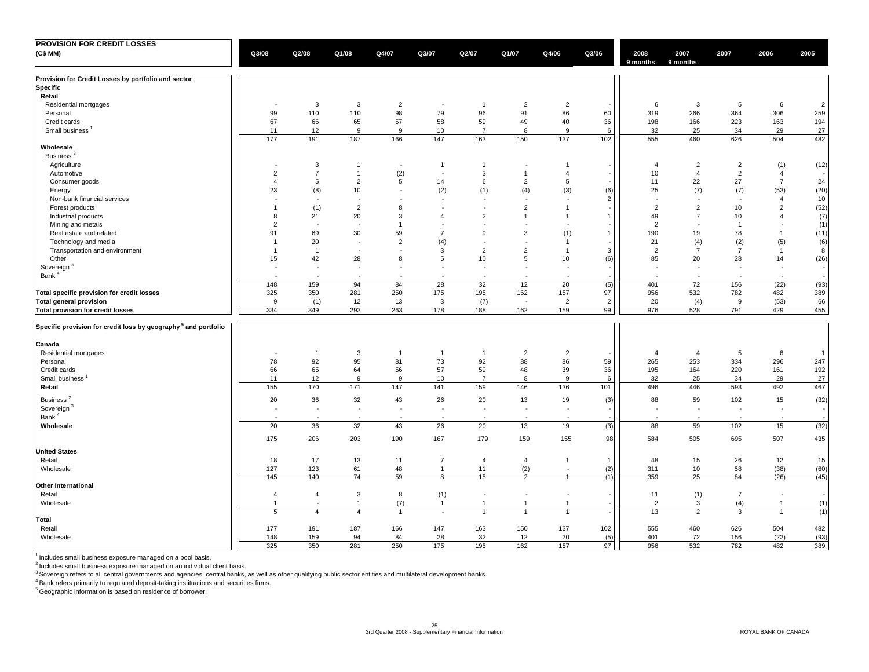| PROVISION FOR CREDIT LOSSES                                                |                          |                          |                          |                          |                          |                          |                          |                          |                |                          |                          |                          |                          |                |
|----------------------------------------------------------------------------|--------------------------|--------------------------|--------------------------|--------------------------|--------------------------|--------------------------|--------------------------|--------------------------|----------------|--------------------------|--------------------------|--------------------------|--------------------------|----------------|
| (C\$MM)                                                                    | Q3/08                    | Q2/08                    | Q1/08                    | Q4/07                    | Q3/07                    | Q2/07                    | Q1/07                    | Q4/06                    | Q3/06          | 2008<br>9 months         | 2007<br>9 months         | 2007                     | 2006                     | 2005           |
| Provision for Credit Losses by portfolio and sector                        |                          |                          |                          |                          |                          |                          |                          |                          |                |                          |                          |                          |                          |                |
| <b>Specific</b>                                                            |                          |                          |                          |                          |                          |                          |                          |                          |                |                          |                          |                          |                          |                |
| Retail                                                                     |                          |                          |                          |                          |                          |                          |                          |                          |                |                          |                          |                          |                          |                |
| Residential mortgages                                                      | $\overline{\phantom{a}}$ | 3                        | 3                        | $\overline{2}$           | $\overline{\phantom{a}}$ | $\overline{1}$           | $\overline{2}$           | $\overline{2}$           |                | 6                        | 3                        | 5                        | 6                        | $\overline{2}$ |
| Personal                                                                   | 99                       | 110                      | 110                      | 98                       | 79                       | 96                       | 91                       | 86                       | 60             | 319                      | 266                      | 364                      | 306                      | 259            |
| Credit cards                                                               | 67                       | 66                       | 65                       | 57                       | 58                       | 59                       | 49                       | 40                       | 36             | 198                      | 166                      | 223                      | 163                      | 194            |
| Small business <sup>1</sup>                                                | 11                       | 12                       | 9                        | 9                        | 10                       | $\overline{7}$           | 8                        | 9                        | 6              | 32                       | 25                       | 34                       | 29                       | 27             |
|                                                                            | 177                      | 191                      | 187                      | 166                      | 147                      | 163                      | 150                      | 137                      | 102            | 555                      | 460                      | 626                      | 504                      | 482            |
| Wholesale                                                                  |                          |                          |                          |                          |                          |                          |                          |                          |                |                          |                          |                          |                          |                |
| Business <sup>2</sup>                                                      |                          |                          |                          |                          |                          |                          |                          |                          |                |                          |                          |                          |                          |                |
| Agriculture                                                                | $\sim$                   | $\mathbf{3}$             | $\mathbf{1}$             | $\sim$                   | $\mathbf{1}$             | $\overline{1}$           | $\sim$                   | $\mathbf{1}$             |                | $\overline{4}$           | $\overline{2}$           | $\overline{2}$           | (1)                      | (12)           |
| Automotive                                                                 | $\overline{2}$           | $\overline{7}$           | $\mathbf{1}$             | (2)                      | ÷.                       | 3                        | $\overline{1}$           | $\overline{4}$           |                | 10                       | $\overline{4}$           | $\overline{2}$           | $\overline{4}$           |                |
| Consumer goods                                                             | $\overline{4}$           | 5                        | $\overline{2}$           | 5                        | 14                       | 6                        | $\overline{2}$           | $\,$ 5                   |                | 11                       | 22                       | 27                       | $\overline{7}$           | 24             |
| Energy                                                                     | 23                       | (8)                      | 10                       | $\sim$                   | (2)                      | (1)                      | (4)                      | (3)                      | (6)            | 25                       | (7)                      | (7)                      | (53)                     | (20)           |
| Non-bank financial services                                                | ÷.                       | $\sim$                   |                          | $\overline{\phantom{a}}$ | $\sim$                   | $\sim$                   | $\sim$                   | $\sim$                   | $\overline{2}$ | ۰.                       | $\overline{\phantom{a}}$ | $\sim$                   | $\overline{4}$           | $10\,$         |
| Forest products                                                            | $\overline{1}$           | (1)                      | $\overline{2}$           | 8                        | $\overline{\phantom{a}}$ | <b>College</b>           | $\overline{2}$           | $\overline{1}$           |                | $\overline{2}$           | $\overline{2}$           | 10                       | 2                        | (52)           |
| Industrial products                                                        | 8                        | 21                       | 20                       | 3                        | $\overline{4}$           | $\overline{2}$           | $\overline{1}$           | $\mathbf{1}$             | $\mathbf{1}$   | 49                       | $\overline{7}$           | 10                       | $\overline{4}$           | (7)            |
| Mining and metals                                                          | $\overline{2}$           | $\overline{\phantom{a}}$ |                          | $\overline{1}$           | $\sim$                   |                          | $\sim$                   | $\sim$                   |                | $\overline{2}$           | $\overline{\phantom{a}}$ | $\overline{1}$           | $\sim$                   | (1)            |
| Real estate and related                                                    | 91                       | 69                       | 30                       | 59                       | $\overline{7}$           | 9                        | 3                        | (1)                      | $\mathbf{1}$   | 190                      | 19                       | 78                       | $\mathbf{1}$             | (11)           |
| Technology and media                                                       | $\overline{1}$           | 20                       | $\sim$                   | $\overline{2}$           | (4)                      |                          | $\sim$                   | $\mathbf{1}$             |                | 21                       | (4)                      | (2)                      | (5)                      | (6)            |
| Transportation and environment                                             | $\overline{1}$           | $\overline{1}$           |                          | $\sim$                   | 3                        | $\overline{2}$           | $\overline{2}$           | $\overline{1}$           | 3              | $\overline{2}$           | $\overline{7}$           | $\overline{7}$           | $\overline{1}$           | 8              |
| Other                                                                      | 15                       | 42                       | 28                       | 8                        | 5                        | 10                       | 5                        | 10                       | (6)            | 85                       | 20                       | 28                       | 14                       | (26)           |
| Sovereign <sup>3</sup>                                                     | $\overline{\phantom{a}}$ | $\overline{\phantom{a}}$ | $\overline{\phantom{a}}$ | $\overline{\phantom{a}}$ | $\blacksquare$           | $\overline{\phantom{a}}$ | $\sim$                   | $\sim$                   |                | $\overline{\phantom{a}}$ | $\overline{\phantom{a}}$ | $\overline{\phantom{a}}$ | $\overline{\phantom{a}}$ |                |
| Bank <sup>4</sup>                                                          |                          | $\overline{\phantom{a}}$ |                          |                          | $\ddot{\phantom{1}}$     |                          | $\sim$                   | $\sim$                   |                |                          | $\sim$                   | $\sim$                   | $\sim$                   |                |
|                                                                            | 148                      | 159                      | 94                       | 84                       | 28                       | 32                       | 12                       | 20                       | (5)            | 401                      | 72                       | 156                      | (22)                     | (93)           |
| Total specific provision for credit losses                                 | 325                      | 350                      | 281                      | 250                      | 175                      | 195                      | 162                      | 157                      | 97             | 956                      | 532                      | 782                      | 482                      | 389            |
| <b>Total general provision</b>                                             | 9                        | (1)                      | 12                       | 13                       | 3                        | (7)                      | $\overline{a}$           | $\overline{2}$           | $\overline{2}$ | 20                       | (4)                      | 9                        | (53)                     | 66             |
| Total provision for credit losses                                          | 334                      | 349                      | 293                      | 263                      | 178                      | 188                      | 162                      | 159                      | 99             | 976                      | 528                      | 791                      | 429                      | 455            |
|                                                                            |                          |                          |                          |                          |                          |                          |                          |                          |                |                          |                          |                          |                          |                |
| Specific provision for credit loss by geography <sup>5</sup> and portfolio |                          |                          |                          |                          |                          |                          |                          |                          |                |                          |                          |                          |                          |                |
| Canada                                                                     |                          |                          |                          |                          |                          |                          |                          |                          |                |                          |                          |                          |                          |                |
| Residential mortgages                                                      | . —                      | $\overline{1}$           | 3                        | $\overline{1}$           | $\overline{1}$           | $\overline{1}$           | $\overline{2}$           | $\overline{2}$           |                | $\overline{4}$           | $\overline{4}$           | 5                        | 6                        | $\overline{1}$ |
| Personal                                                                   | 78                       | 92                       | 95                       | 81                       | 73                       | 92                       | 88                       | 86                       | 59             | 265                      | 253                      | 334                      | 296                      | 247            |
| Credit cards                                                               | 66                       | 65                       | 64                       | 56                       | 57                       | 59                       | 48                       | 39                       | 36             | 195                      | 164                      | 220                      | 161                      | 192            |
| Small business <sup>1</sup>                                                | 11                       | 12                       | 9                        | 9                        | 10                       | $\overline{7}$           | $\bf 8$                  | 9                        | 6              | 32                       | 25                       | 34                       | 29                       | $27\,$         |
| Retail                                                                     | 155                      | 170                      | 171                      | 147                      | 141                      | 159                      | 146                      | 136                      | 101            | 496                      | 446                      | 593                      | 492                      | 467            |
| Business <sup>2</sup>                                                      | 20                       | 36                       | 32                       | 43                       | 26                       | 20                       | 13                       | 19                       | (3)            | 88                       | 59                       | 102                      | 15                       | (32)           |
| Sovereign <sup>3</sup>                                                     | ÷,                       | ÷,                       | $\blacksquare$           | $\blacksquare$           | $\overline{\phantom{a}}$ | $\sim$                   | $\blacksquare$           | $\overline{\phantom{a}}$ |                | $\blacksquare$           | $\overline{\phantom{a}}$ | $\blacksquare$           | $\sim$                   |                |
| Bank <sup>4</sup>                                                          |                          | ÷,                       |                          | $\overline{\phantom{a}}$ | $\overline{\phantom{a}}$ |                          | $\overline{\phantom{a}}$ | $\blacksquare$           |                | $\sim$                   | $\overline{\phantom{a}}$ | $\sim$                   | $\sim$                   |                |
| Wholesale                                                                  | 20                       | 36                       | 32                       | 43                       | 26                       | 20                       | 13                       | 19                       | (3)            | 88                       | 59                       | 102                      | 15                       | (32)           |
|                                                                            | 175                      | 206                      | 203                      | 190                      | 167                      | 179                      | 159                      | 155                      | 98             | 584                      | 505                      | 695                      | 507                      | 435            |
| <b>United States</b>                                                       |                          |                          |                          |                          |                          |                          |                          |                          |                |                          |                          |                          |                          |                |
| Retail                                                                     | 18                       | 17                       | 13                       | 11                       | $\overline{7}$           | $\overline{4}$           | $\overline{4}$           | $\mathbf{1}$             | $\mathbf{1}$   | 48                       | 15                       | 26                       | 12                       | 15             |
| Wholesale                                                                  | 127                      | 123                      | 61                       | 48                       | $\mathbf{1}$             | 11                       | (2)                      | ÷,                       | (2)            | 311                      | 10                       | 58                       | (38)                     | (60)           |
|                                                                            | 145                      | 140                      | 74                       | 59                       | 8                        | 15                       | 2                        | $\overline{1}$           | (1)            | 359                      | 25                       | 84                       | (26)                     | (45)           |
| <b>Other International</b>                                                 |                          |                          |                          |                          |                          |                          |                          |                          |                |                          |                          |                          |                          |                |
| Retail                                                                     | $\overline{4}$           | $\overline{4}$           | 3                        | 8                        | (1)                      | $\overline{\phantom{a}}$ | $\overline{\phantom{a}}$ | $\sim$                   |                | 11                       | (1)                      | $\overline{7}$           | $\sim$                   |                |
| Wholesale                                                                  | $\overline{1}$           | ÷,                       | $\mathbf{1}$             | (7)                      | $\mathbf{1}$             | $\overline{1}$           | $\mathbf{1}$             | $\overline{1}$           |                | $\overline{2}$           | 3                        | (4)                      | $\overline{1}$           | (1)            |
|                                                                            | 5                        | $\overline{4}$           | $\overline{4}$           | $\overline{1}$           | $\overline{\phantom{a}}$ | $\mathbf{1}$             | $\overline{1}$           | $\overline{1}$           |                | 13                       | $\overline{2}$           | 3                        | $\mathbf{1}$             | (1)            |
| Total                                                                      |                          |                          |                          |                          |                          |                          |                          |                          |                |                          |                          |                          |                          |                |
| Retail                                                                     | 177                      | 191                      | 187                      | 166                      | 147                      | 163                      | 150                      | 137                      | 102            | 555                      | 460                      | 626                      | 504                      | 482            |
| Wholesale                                                                  | 148                      | 159                      | 94                       | 84                       | 28                       | 32                       | 12                       | 20                       | (5)            | 401                      | 72                       | 156                      | (22)                     | (93)           |
|                                                                            | 325                      | 350                      | 281                      | 250                      | 175                      | 195                      | 162                      | 157                      | 97             | 956                      | 532                      | 782                      | 482                      | 389            |

 $<sup>1</sup>$  Includes small business exposure managed on a pool basis.</sup>

<sup>2</sup> Includes small business exposure managed on an individual client basis.<br><sup>3</sup> Sovereign refers to all central governments and agencies, central banks, as well as other qualifying public sector entities and multilateral d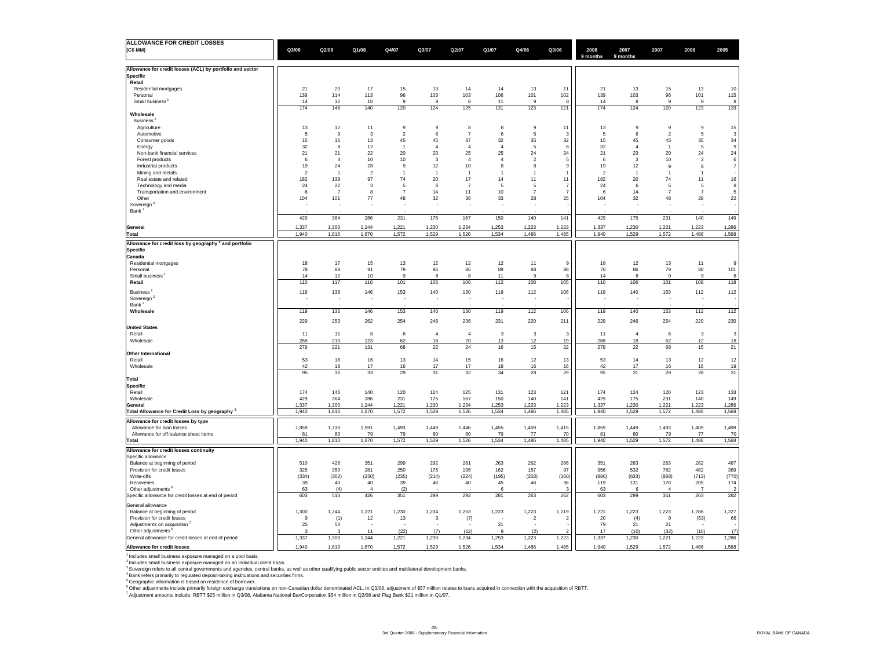| ALLOWANCE FOR CREDIT LOSSES                                       |                |                |                                |                            |                      |                      |                      |                                |                |                |                      |                      |                 |                         |
|-------------------------------------------------------------------|----------------|----------------|--------------------------------|----------------------------|----------------------|----------------------|----------------------|--------------------------------|----------------|----------------|----------------------|----------------------|-----------------|-------------------------|
| (C\$ MM)                                                          | Q3/08          | Q2/08          | Q1/08                          | Q4/07                      | Q3/07                | Q2/07                | Q1/07                | Q4/06                          | Q3/06          | 2008           | 2007                 | 2007                 | 2006            | 2005                    |
|                                                                   |                |                |                                |                            |                      |                      |                      |                                |                | 9 months       | 9 months             |                      |                 |                         |
| Allowance for credit losses (ACL) by portfolio and sector         |                |                |                                |                            |                      |                      |                      |                                |                |                |                      |                      |                 |                         |
| <b>Specific</b>                                                   |                |                |                                |                            |                      |                      |                      |                                |                |                |                      |                      |                 |                         |
| Retail                                                            |                |                |                                |                            |                      |                      |                      |                                |                |                |                      |                      |                 |                         |
| Residential mortgages                                             | 21             | 20             | 17                             | 15                         | 13                   | 14                   | 14                   | 13                             | 11             | 21             | 13                   | 15                   | 13              | 10                      |
| Personal<br>Small business                                        | 139<br>14      | 114<br>12      | 113<br>10                      | 96<br>$\alpha$             | 103<br>$\mathbf{R}$  | 103                  | 106<br>11            | 101<br>q                       | 102<br>я       | 139            | 103<br>$\mathbf{R}$  | 96<br>q              | 101<br>$\alpha$ | 115<br>8                |
|                                                                   | 174            | 146            | 140                            | 120                        | 124                  | 8<br>125             | 131                  | 123                            | 121            | 14<br>174      | 124                  | 120                  | 123             | 133                     |
| Wholesale                                                         |                |                |                                |                            |                      |                      |                      |                                |                |                |                      |                      |                 |                         |
| Business <sup>2</sup>                                             |                |                |                                |                            |                      |                      |                      |                                |                |                |                      |                      |                 |                         |
| Agriculture                                                       | 13             | 12             | 11                             | $\mathsf g$                | $\mathbf{q}$         | 8                    | 8                    | 9                              | 11             | 13             | $\mathbf{q}$         | $\mathbf{g}$         | $\mathsf g$     | $15\,$                  |
| Automotive                                                        | $\overline{5}$ | 9              | $\overline{\mathbf{3}}$        | $\overline{2}$             | 6                    | $\overline{7}$       | 6                    | $\sqrt{5}$                     | -3             | 5              | 6                    | $\overline{2}$       | 5               | $\overline{\mathbf{3}}$ |
| Consumer goods                                                    | 15             | 16             | 13                             | 45<br>$\overline{1}$       | 45<br>$\overline{4}$ | 37<br>$\overline{4}$ | 32<br>$\overline{4}$ | 35                             | 32             | 15             | 45<br>$\overline{4}$ | 45<br>$\overline{1}$ | 35              | 34<br>$\,9$             |
| Energy<br>Non-bank financial services                             | 32<br>21       | 8<br>21        | 12<br>22                       | 20                         | 23                   | 25                   | 25                   | $\sqrt{5}$<br>24               | 6<br>24        | 32<br>21       | 23                   | 20                   | $\,$ 5<br>24    | 24                      |
| Forest products                                                   | 6              | $\overline{4}$ | 10                             | $10$                       | 3                    | $\overline{a}$       | $\overline{4}$       | $\overline{2}$                 | -5             | -6             | $\mathbf{3}$         | 10                   | $\overline{2}$  | $\,6\,$                 |
| Industrial products                                               | 19             | 24             | 28                             | 9                          | 12                   | 10                   | 8                    | 8                              | $\mathbf{q}$   | 19             | 12                   | $\mathbf{q}$         | 8               | $\overline{7}$          |
| Mining and metals                                                 | $\overline{2}$ | $\overline{1}$ | $\overline{2}$                 | $\overline{1}$             | $\overline{1}$       | $\mathbf{1}$         | $\overline{1}$       | $\overline{1}$                 |                | $\overline{2}$ | $\overline{1}$       | $\overline{1}$       | $\overline{1}$  |                         |
| Real estate and related                                           | 182            | 139            | 97                             | 74                         | 20                   | 17                   | 14                   | 11                             | 11             | 182            | 20                   | 74                   | 11              | $16\,$                  |
| Technology and media                                              | 24             | 22             | $\mathbf{3}$                   | 5                          | $6\overline{6}$      | $\overline{7}$       | -5                   | -5                             | 7              | 24             | 6                    | 5                    | 5               | 8                       |
| Transportation and environment                                    | $\,6\,$        | $\overline{7}$ | 8                              | $\overline{7}$             | 14                   | 11                   | 10                   | $\overline{7}$                 | $\overline{7}$ | 6              | 14                   | $\overline{7}$       | $\overline{7}$  | 5                       |
| Other                                                             | 104<br>۰.      | 101<br>٠.      | 77<br>$\overline{\phantom{a}}$ | 48<br>$\ddot{\phantom{1}}$ | 32<br>۰.             | 36                   | 33                   | 28<br>$\overline{\phantom{a}}$ | 25             | 104            | 32<br>÷              | 48                   | 28              | 22                      |
| Sovereign <sup>3</sup><br>Bank <sup>4</sup>                       |                |                |                                |                            |                      |                      |                      |                                |                |                |                      |                      |                 |                         |
|                                                                   | 429            | 364            | 286                            | 231                        | 175                  | 167                  | 150                  | 140                            | 141            | 429            | 175                  | 231                  | 140             | 149                     |
|                                                                   |                |                |                                |                            |                      |                      |                      |                                |                |                |                      |                      |                 |                         |
| General                                                           | 1,337<br>1,940 | 1,300          | 1,244                          | 1,221                      | 1,230                | 1,234                | 1,253                | 1,223                          | 1,223          | 1,337          | 1,230                | 1,221                | 1,223           | 1,286                   |
| Total                                                             |                | 1,810          | 1,670                          | 1,572                      | 1,529                | 1,526                | 1,534                | 1,486                          | 1,485          | 1,940          | 1,529                | 1,572                | 1,486           | 1,568                   |
| Allowance for credit loss by geography <sup>5</sup> and portfolio |                |                |                                |                            |                      |                      |                      |                                |                |                |                      |                      |                 |                         |
| <b>Specific</b>                                                   |                |                |                                |                            |                      |                      |                      |                                |                |                |                      |                      |                 |                         |
| Canada<br>Residential mortgages                                   | 18             | 17             | 15                             | 13                         | 12                   | 12                   | 12                   | 11                             | 9              | 18             | 12                   | 13                   | 11              | 9                       |
| Personal                                                          | 78             | 88             | 91                             | 79                         | 86                   | 86                   | 89                   | 88                             | 88             | 78             | 86                   | 79                   | 88              | 101                     |
| Small business                                                    | 14             | 12             | 10                             | $\,$ 9                     | 8                    | $\mathbf{a}$         | 11                   | $\mathbf{g}$                   | 8              | 14             | $\mathbf{g}$         | $\mathbf{g}$         | 9               | 8                       |
| Retail                                                            | 110            | 117            | 116                            | 101                        | 106                  | 106                  | 112                  | 108                            | 105            | 110            | 106                  | 101                  | 108             | 118                     |
| <b>Business</b>                                                   | 119            | 136            | 146                            | 153                        | 140                  | 130                  | 119                  | 112                            | 106            | 119            | 140                  | 153                  | 112             | 112                     |
| Sovereign                                                         |                | $\overline{a}$ | ż.                             | ×,                         |                      |                      |                      |                                |                |                |                      |                      |                 |                         |
| Bank <sup>4</sup>                                                 |                |                |                                |                            |                      |                      |                      |                                |                |                |                      |                      |                 |                         |
| Wholesale                                                         | 119            | 136            | 146                            | 153                        | 140                  | 130                  | 119                  | 112                            | 106            | 119            | 140                  | 153                  | 112             | 112                     |
|                                                                   | 229            | 253            | 262                            | 254                        | 246                  | 236                  | 231                  | 220                            | 211            | 229            | 246                  | 254                  | 220             | 230                     |
| <b>United States</b>                                              |                |                |                                |                            |                      |                      |                      |                                |                |                |                      |                      |                 |                         |
| Retail                                                            | 11             | 11             | 8                              | 6                          | $\overline{4}$       | $\overline{4}$       | $\mathbf{3}$         | $\mathbf{3}$                   | $\mathbf{3}$   | 11             | $\overline{4}$       | $6\overline{6}$      | $\mathbf{3}$    | $\mathbf{3}$            |
| Wholesale                                                         | 268            | 210            | 123                            | 62                         | 18                   | 20                   | 13                   | 12                             | 19             | 268            | 18                   | 62                   | 12              | 18                      |
|                                                                   | 279            | 221            | 131                            | 68                         | 22                   | 24                   | 16                   | 15                             | 22             | 279            | 22                   | 68                   | 15              | 21                      |
| Other International                                               |                |                |                                |                            |                      |                      |                      |                                |                |                |                      |                      |                 |                         |
| Retail                                                            | 53             | 18             | 16                             | 13                         | 14                   | 15                   | 16                   | 12                             | 13             | 53             | 14                   | 13                   | 12              | 12                      |
| Wholesale                                                         | 42<br>95       | 18<br>36       | 17<br>33                       | 16<br>29                   | 17<br>31             | 17<br>32             | 18<br>34             | 16<br>28                       | 16<br>29       | 42<br>95       | 17<br>31             | 16<br>29             | 16<br>28        | 19<br>31                |
| Total                                                             |                |                |                                |                            |                      |                      |                      |                                |                |                |                      |                      |                 |                         |
| <b>Specific</b>                                                   |                |                |                                |                            |                      |                      |                      |                                |                |                |                      |                      |                 |                         |
| Retail                                                            | 174            | 146            | 140                            | 120                        | 124                  | 125                  | 131                  | 123                            | 121            | 174            | 124                  | 120                  | 123             | 133                     |
| Wholesale                                                         | 429            | 364            | 286                            | 231                        | 175                  | 167                  | 150                  | 140                            | 141            | 429            | 175                  | 231                  | 140             | 149                     |
| General                                                           | 1,337          | 1,300          | 1,244                          | 1,221                      | 1,230                | 1,234                | 1,253                | 1,223                          | 1,223          | 1,337          | 1,230                | 1,221                | 1,223           | 1,286                   |
| Total Allowance for Credit Loss by geography <sup>5</sup>         | 1,940          | 1,810          | 1,670                          | 1,572                      | 1,529                | 1,526                | 1,534                | 1,486                          | 1,485          | 1,940          | 1,529                | 1,572                | 1,486           | 1,568                   |
| Allowance for credit losses by type                               |                |                |                                |                            |                      |                      |                      |                                |                |                |                      |                      |                 |                         |
| Allowance for loan losses                                         | 1,859          | 1,730          | 1,591                          | 1,493                      | 1,449                | 1,446                | 1,455                | 1,409                          | 1,415          | 1,859          | 1,449                | 1,493                | 1,409           | 1,498                   |
| Allowance for off-balance sheet items                             | 81             | 80             | 79                             | 79                         | 80                   | 80                   | 79                   | 77                             | 70             | 81             | 80                   | 79                   | 77              | 70                      |
| <b>Total</b>                                                      | 1,940          | 1,810          | 1,670                          | 1,572                      | 1,529                | 1,526                | 1,534                | 1,486                          | 1,485          | 1,940          | 1,529                | 1,572                | 1,486           | 1,568                   |
| Allowance for credit losses continuity                            |                |                |                                |                            |                      |                      |                      |                                |                |                |                      |                      |                 |                         |
| Specific allowance                                                |                |                |                                |                            |                      |                      |                      |                                |                |                |                      |                      |                 |                         |
| Balance at beginning of period                                    | 510            | 426            | 351                            | 299                        | 292                  | 281                  | 263                  | 262                            | 286            | 351            | 263                  | 263                  | 282             | 487                     |
| Provision for credit losses<br>Write-offs                         | 325<br>(334)   | 350<br>(302)   | 281<br>(250)                   | 250<br>(235)               | 175<br>(214)         | 195<br>(224)         | 162<br>(195)         | 157<br>(202)                   | 97<br>(160)    | 956<br>(886)   | 532<br>(633)         | 782<br>(868)         | 482<br>(713)    | 389<br>(770)            |
| Recoveries                                                        | 39             | 40             | 40                             | 39                         | 46                   | $40\,$               | 45                   | 46                             | 36             | 119            | 131                  | 170                  | 205             | 174                     |
| Other adjustments <sup>6</sup>                                    | 63             | (4)            | $\overline{4}$                 | (2)                        |                      |                      | 6                    |                                | Э              | 63             | 6                    | $\overline{4}$       | $\overline{7}$  | $\overline{2}$          |
| Specific allowance for credit losses at end of period             | 603            | 510            | 426                            | 351                        | 299                  | 292                  | 281                  | 263                            | 262            | 603            | 299                  | 351                  | 263             | 282                     |
|                                                                   |                |                |                                |                            |                      |                      |                      |                                |                |                |                      |                      |                 |                         |
| General allowance<br>Balance at beginning of period               | 1,300          | 1,244          | 1,221                          | 1,230                      | 1,234                | 1,253                | 1,223                | 1,223                          | 1,219          | 1,221          | 1,223                | 1,223                | 1,286           | 1,227                   |
| Provision for credit losses                                       | $\mathsf g$    | (1)            | 12                             | 13                         | $\sqrt{3}$           | (7)                  |                      | $\mathbf{2}$                   | $\overline{2}$ | 20             | (4)                  | 9                    | (53)            | 66                      |
| Adjustments on acquisition '                                      | 25             | 54             |                                |                            |                      |                      | 21                   |                                |                | 79             | 21                   | 21                   |                 |                         |
| Other adjustments                                                 | 3              | -3             | 11                             | (22)                       | (7)                  | (12)                 | -9                   | (2)                            |                | 17             | (10)                 | (32)                 | (10)            | (7)                     |
| General allowance for credit losses at end of period              | 1,337          | 1,300          | 1,244                          | 1,221                      | 1,230                | 1,234                | 1,253                | 1,223                          | 1,223          | 1,337          | 1,230                | 1,221                | 1,223           | 1,286                   |
| Allowance for credit losses                                       | 1,940          | 1,810          | 1,670                          | 1,572                      | 1,529                | 1,526                | 1,534                | 1,486                          | 1.485          | 1.940          | 1,529                | 1,572                | 1,486           | 1,568                   |

<sup>1</sup> includes small business exposure managed on a pool basis.<br><sup>2</sup> includes small business exposure managed on an individual client basis.<br><sup>3</sup> Sovereign refers to all central governments and agencies, central banks, as well

<sup>4</sup>Bank refers primarily to regulated deposit-taking instituations and securities firms.<br><sup>6</sup> Geographic information is based on residence of borrower.<br><sup>6</sup> Other adjustments include: primage translations on non-Canadian do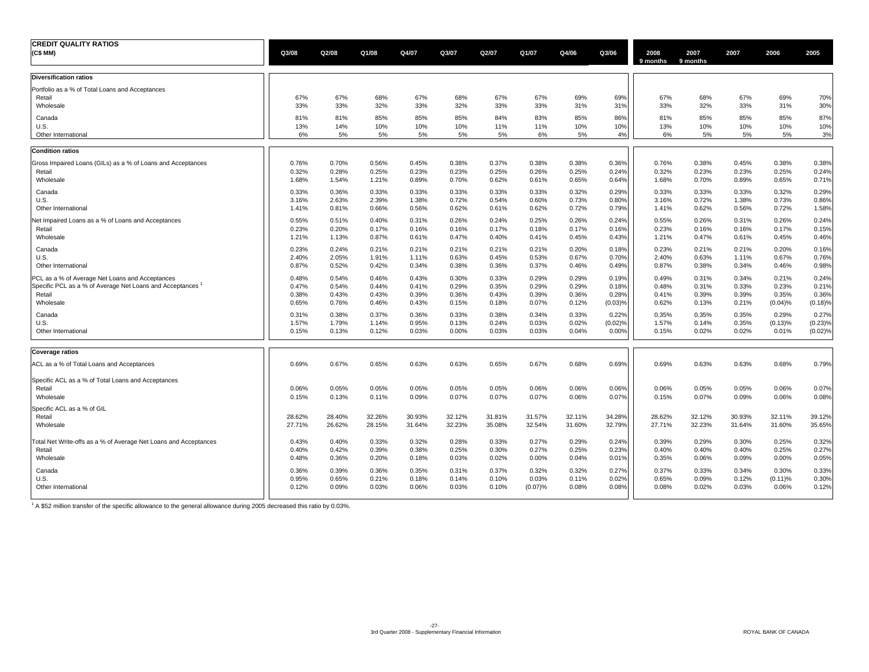| <b>CREDIT QUALITY RATIOS</b><br>(C\$ MM)                                  | Q3/08            | Q2/08            | Q1/08            | Q4/07            | Q3/07            | Q2/07            | Q1/07            | Q4/06            | Q3/06            | 2008<br>9 months | 2007<br>9 months | 2007             | 2006             | 2005             |
|---------------------------------------------------------------------------|------------------|------------------|------------------|------------------|------------------|------------------|------------------|------------------|------------------|------------------|------------------|------------------|------------------|------------------|
| <b>Diversification ratios</b>                                             |                  |                  |                  |                  |                  |                  |                  |                  |                  |                  |                  |                  |                  |                  |
| Portfolio as a % of Total Loans and Acceptances<br>Retail<br>Wholesale    | 67%<br>33%       | 67%<br>33%       | 68%<br>32%       | 67%<br>33%       | 68%<br>32%       | 67%<br>33%       | 67%<br>33%       | 69%<br>31%       | 69%<br>31%       | 67%<br>33%       | 68%<br>32%       | 67%<br>33%       | 69%<br>31%       | 70%<br>30%       |
| Canada                                                                    | 81%              | 81%              | 85%              | 85%              | 85%              | 84%              | 83%              | 85%              | 86%              | 81%              | 85%              | 85%              | 85%              | 87%              |
| U.S.                                                                      | 13%              | 14%              | 10%              | 10%              | 10%              | 11%              | 11%              | 10%              | 10%              | 13%              | 10%              | 10%              | 10%              | 10%              |
| Other International                                                       | 6%               | 5%               | 5%               | 5%               | 5%               | 5%               | 6%               | 5%               | 4%               | 6%               | 5%               | 5%               | 5%               | 3%               |
| <b>Condition ratios</b>                                                   |                  |                  |                  |                  |                  |                  |                  |                  |                  |                  |                  |                  |                  |                  |
| Gross Impaired Loans (GILs) as a % of Loans and Acceptances               | 0.76%            | 0.70%            | 0.56%            | 0.45%            | 0.38%            | 0.37%            | 0.38%            | 0.38%            | 0.36%            | 0.76%            | 0.38%            | 0.45%            | 0.38%            | 0.38%            |
| Retail                                                                    | 0.32%            | 0.28%            | 0.25%            | 0.23%            | 0.23%            | 0.25%            | 0.26%            | 0.25%            | 0.24%            | 0.32%            | 0.23%            | 0.23%            | 0.25%            | 0.24%            |
| Wholesale                                                                 | 1.68%            | 1.54%            | 1.21%            | 0.89%            | 0.70%            | 0.62%            | 0.61%            | 0.65%            | 0.64%            | 1.68%            | 0.70%            | 0.89%            | 0.65%            | 0.71%            |
| Canada                                                                    | 0.33%            | 0.36%            | 0.33%            | 0.33%            | 0.33%            | 0.33%            | 0.33%            | 0.32%            | 0.29%            | 0.33%            | 0.33%            | 0.33%            | 0.32%            | 0.29%            |
| U.S.                                                                      | 3.16%            | 2.63%            | 2.39%            | 1.38%            | 0.72%            | 0.54%            | 0.60%            | 0.73%            | 0.80%            | 3.16%            | 0.72%            | 1.38%            | 0.73%            | 0.86%            |
| Other International                                                       | 1.41%            | 0.81%            | 0.66%            | 0.56%            | 0.62%            | 0.61%            | 0.62%            | 0.72%            | 0.79%            | 1.41%            | 0.62%            | 0.56%            | 0.72%            | 1.58%            |
| Net Impaired Loans as a % of Loans and Acceptances                        | 0.55%            | 0.51%            | 0.40%            | 0.31%            | 0.26%            | 0.24%            | 0.25%            | 0.26%            | 0.24%            | 0.55%            | 0.26%            | 0.31%            | 0.26%            | 0.24%            |
| Retail                                                                    | 0.23%            | 0.20%            | 0.17%            | 0.16%            | 0.16%            | 0.17%            | 0.18%            | 0.17%            | 0.16%            | 0.23%            | 0.16%            | 0.16%            | 0.17%            | 0.15%            |
| Wholesale                                                                 | 1.21%            | 1.13%            | 0.87%            | 0.61%            | 0.47%            | 0.40%            | 0.41%            | 0.45%            | 0.43%            | 1.21%            | 0.47%            | 0.61%            | 0.45%            | 0.46%            |
| Canada                                                                    | 0.23%            | 0.24%            | 0.21%            | 0.21%            | 0.21%            | 0.21%            | 0.21%            | 0.20%            | 0.18%            | 0.23%            | 0.21%            | 0.21%            | 0.20%            | 0.16%            |
| U.S.                                                                      | 2.40%            | 2.05%            | 1.91%            | 1.11%            | 0.63%            | 0.45%            | 0.53%            | 0.67%            | 0.70%            | 2.40%            | 0.63%            | 1.11%            | 0.67%            | 0.76%            |
| Other International                                                       | 0.87%            | 0.52%            | 0.42%            | 0.34%            | 0.38%            | 0.36%            | 0.37%            | 0.46%            | 0.49%            | 0.87%            | 0.38%            | 0.34%            | 0.46%            | 0.98%            |
| PCL as a % of Average Net Loans and Acceptances                           | 0.48%            | 0.54%            | 0.46%            | 0.43%            | 0.30%            | 0.33%            | 0.29%            | 0.29%            | 0.19%            | 0.49%            | 0.31%            | 0.34%            | 0.21%            | 0.24%            |
| Specific PCL as a % of Average Net Loans and Acceptances                  | 0.47%            | 0.54%            | 0.44%            | 0.41%            | 0.29%            | 0.35%            | 0.29%            | 0.29%            | 0.18%            | 0.48%            | 0.31%            | 0.33%            | 0.23%            | 0.21%            |
| Retail                                                                    | 0.38%            | 0.43%            | 0.43%            | 0.39%            | 0.36%            | 0.43%            | 0.39%            | 0.36%            | 0.28%            | 0.41%            | 0.39%            | 0.39%            | 0.35%            | 0.36%            |
| Wholesale                                                                 | 0.65%            | 0.76%            | 0.46%            | 0.43%            | 0.15%            | 0.18%            | 0.07%            | 0.12%            | (0.03)%          | 0.62%            | 0.13%            | 0.21%            | (0.04)%          | (0.18)%          |
| Canada                                                                    | 0.31%            | 0.38%            | 0.37%            | 0.36%            | 0.33%            | 0.38%            | 0.34%            | 0.33%            | 0.22%            | 0.35%            | 0.35%            | 0.35%            | 0.29%            | 0.27%            |
| U.S.                                                                      | 1.57%            | 1.79%            | 1.14%            | 0.95%            | 0.13%            | 0.24%            | 0.03%            | 0.02%            | (0.02)%          | 1.57%            | 0.14%            | 0.35%            | (0.13)%          | (0.23)%          |
| Other International                                                       | 0.15%            | 0.13%            | 0.12%            | 0.03%            | 0.00%            | 0.03%            | 0.03%            | 0.04%            | 0.00%            | 0.15%            | 0.02%            | 0.02%            | 0.01%            | (0.02)%          |
| Coverage ratios                                                           |                  |                  |                  |                  |                  |                  |                  |                  |                  |                  |                  |                  |                  |                  |
| ACL as a % of Total Loans and Acceptances                                 | 0.69%            | 0.67%            | 0.65%            | 0.63%            | 0.63%            | 0.65%            | 0.67%            | 0.68%            | 0.69%            | 0.69%            | 0.63%            | 0.63%            | 0.68%            | 0.79%            |
| Specific ACL as a % of Total Loans and Acceptances<br>Retail<br>Wholesale | 0.06%<br>0.15%   | 0.05%<br>0.13%   | 0.05%<br>0.11%   | 0.05%<br>0.09%   | 0.05%<br>0.07%   | 0.05%<br>0.07%   | 0.06%<br>0.07%   | 0.06%<br>0.06%   | 0.06%<br>0.07%   | 0.06%<br>0.15%   | 0.05%<br>0.07%   | 0.05%<br>0.09%   | 0.06%<br>0.06%   | 0.07%<br>0.08%   |
| Specific ACL as a % of GIL<br>Retail<br>Wholesale                         | 28.62%<br>27.71% | 28.40%<br>26.62% | 32.26%<br>28.15% | 30.93%<br>31.64% | 32.12%<br>32.23% | 31.81%<br>35.08% | 31.57%<br>32.54% | 32.11%<br>31.60% | 34.28%<br>32.79% | 28.62%<br>27.71% | 32.12%<br>32.23% | 30.93%<br>31.64% | 32.11%<br>31.60% | 39.12%<br>35.65% |
| Total Net Write-offs as a % of Average Net Loans and Acceptances          | 0.43%            | 0.40%            | 0.33%            | 0.32%            | 0.28%            | 0.33%            | 0.27%            | 0.29%            | 0.24%            | 0.39%            | 0.29%            | 0.30%            | 0.25%            | 0.32%            |
| Retail                                                                    | 0.40%            | 0.42%            | 0.39%            | 0.38%            | 0.25%            | 0.30%            | 0.27%            | 0.25%            | 0.23%            | 0.40%            | 0.40%            | 0.40%            | 0.25%            | 0.27%            |
| Wholesale                                                                 | 0.48%            | 0.36%            | 0.20%            | 0.18%            | 0.03%            | 0.02%            | 0.00%            | 0.04%            | 0.01%            | 0.35%            | 0.06%            | 0.09%            | 0.00%            | 0.05%            |
| Canada                                                                    | 0.36%            | 0.39%            | 0.36%            | 0.35%            | 0.31%            | 0.37%            | 0.32%            | 0.32%            | 0.27%            | 0.37%            | 0.33%            | 0.34%            | 0.30%            | 0.33%            |
| U.S.                                                                      | 0.95%            | 0.65%            | 0.21%            | 0.18%            | 0.14%            | 0.10%            | 0.03%            | 0.11%            | 0.02%            | 0.65%            | 0.09%            | 0.12%            | (0.11)%          | 0.30%            |
| Other International                                                       | 0.12%            | 0.09%            | 0.03%            | 0.06%            | 0.03%            | 0.10%            | (0.07)%          | 0.08%            | 0.08%            | 0.08%            | 0.02%            | 0.03%            | 0.06%            | 0.12%            |

<sup>1</sup> A \$52 million transfer of the specific allowance to the general allowance during 2005 decreased this ratio by 0.03%.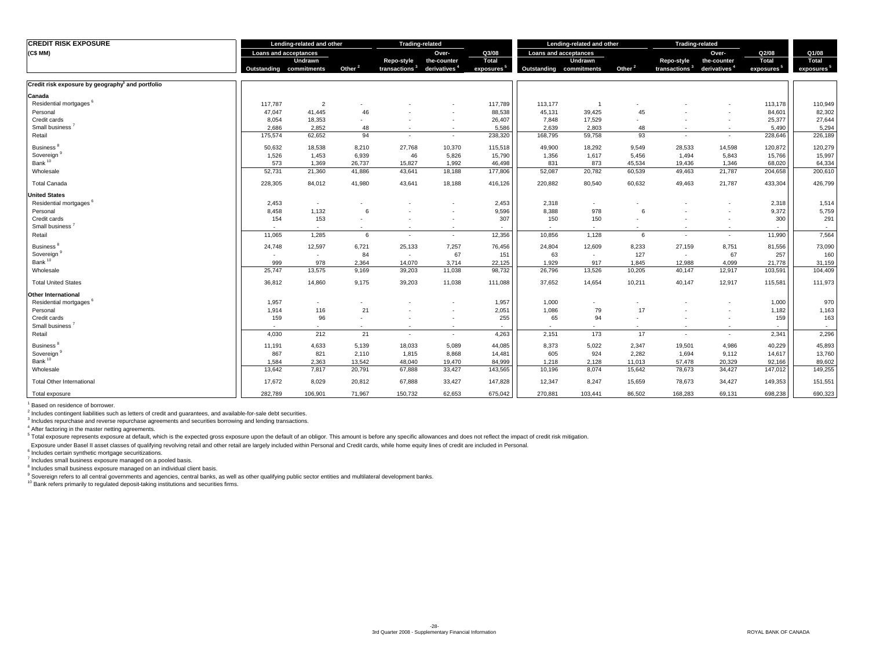| <b>CREDIT RISK EXPOSURE</b>                                  | Lending-related and other |                          | <b>Trading-related</b> |              |                          | Lending-related and other |                       | <b>Trading-related</b> |                          |                           |                          |                        |                        |
|--------------------------------------------------------------|---------------------------|--------------------------|------------------------|--------------|--------------------------|---------------------------|-----------------------|------------------------|--------------------------|---------------------------|--------------------------|------------------------|------------------------|
| (C\$MM)                                                      | Loans and acceptances     |                          |                        |              | Over-                    | Q3/08                     | Loans and acceptances |                        |                          |                           | Over-                    | Q2/08                  | Q1/08                  |
|                                                              |                           | Undrawn                  |                        | Repo-style   | the-counter              | Total                     |                       | Undrawn                |                          | Repo-style                | the-counter              | Total                  | Total                  |
|                                                              | Outstanding               | commitments              | Other <sup>2</sup>     | transactions | derivatives <sup>4</sup> | exposures                 | Outstanding           | commitments            | Other <sup>2</sup>       | transactions <sup>3</sup> | derivatives <sup>4</sup> | exposures <sup>3</sup> | exposures <sup>5</sup> |
| Credit risk exposure by geography <sup>1</sup> and portfolio |                           |                          |                        |              |                          |                           |                       |                        |                          |                           |                          |                        |                        |
| Canada                                                       |                           |                          |                        |              |                          |                           |                       |                        |                          |                           |                          |                        |                        |
| Residential mortgages <sup>6</sup>                           | 117.787                   | $\overline{2}$           |                        |              |                          | 117,789                   | 113,177               |                        |                          |                           |                          | 113,178                | 110,949                |
| Personal                                                     | 47,047                    | 41,445                   | 46                     |              | ٠                        | 88,538                    | 45,131                | 39,425                 | 45                       |                           |                          | 84,601                 | 82,302                 |
| Credit cards                                                 | 8,054                     | 18,353                   | ٠                      |              | ٠                        | 26,407                    | 7,848                 | 17,529                 |                          |                           |                          | 25,377                 | 27,644                 |
| Small business <sup>1</sup>                                  | 2,686                     | 2,852                    | 48                     | $\sim$       | $\sim$                   | 5,586                     | 2,639                 | 2,803                  | 48                       | $\mathbf{r}$              | $\sim$                   | 5,490                  | 5,294                  |
| Retail                                                       | 175,574                   | 62,652                   | 94                     | $\sim$       | $\sim$                   | 238,320                   | 168,795               | 59,758                 | 93                       | $\overline{\phantom{a}}$  | $\sim$                   | 228,646                | 226,189                |
| <b>Business</b>                                              | 50,632                    | 18,538                   | 8,210                  | 27,768       | 10,370                   | 115,518                   | 49,900                | 18,292                 | 9,549                    | 28,533                    | 14,598                   | 120,872                | 120,279                |
| Sovereign                                                    | 1,526                     | 1,453                    | 6,939                  | 46           | 5,826                    | 15,790                    | 1,356                 | 1,617                  | 5,456                    | 1,494                     | 5,843                    | 15,766                 | 15,997                 |
| Bank <sup>10</sup>                                           | 573                       | 1,369                    | 26,737                 | 15.827       | 1.992                    | 46.498                    | 831                   | 873                    | 45,534                   | 19.436                    | 1.346                    | 68,020                 | 64,334                 |
| Wholesale                                                    | 52,731                    | 21,360                   | 41,886                 | 43,641       | 18,188                   | 177,806                   | 52,087                | 20,782                 | 60,539                   | 49,463                    | 21,787                   | 204,658                | 200,610                |
| <b>Total Canada</b>                                          | 228,305                   | 84,012                   | 41,980                 | 43,641       | 18,188                   | 416,126                   | 220,882               | 80,540                 | 60,632                   | 49.463                    | 21,787                   | 433,304                | 426,799                |
| <b>United States</b>                                         |                           |                          |                        |              |                          |                           |                       |                        |                          |                           |                          |                        |                        |
| Residential mortgages <sup>6</sup>                           | 2,453                     | $\sim$                   |                        |              | ٠                        | 2,453                     | 2,318                 | $\sim$                 | $\overline{\phantom{a}}$ |                           |                          | 2,318                  | 1,514                  |
| Personal                                                     | 8,458                     | 1,132                    | 6                      |              |                          | 9,596                     | 8,388                 | 978                    | 6                        |                           |                          | 9,372                  | 5,759                  |
| Credit cards                                                 | 154                       | 153                      | ٠                      |              | ٠                        | 307                       | 150                   | 150                    | ٠                        |                           | ٠                        | 300                    | 291                    |
| Small business <sup>3</sup>                                  | $\sim$                    | $\overline{\phantom{a}}$ | $\sim$                 | $\sim$       | $\sim$                   | $\sim$                    | $\sim$                | $\sim$                 | $\sim$                   |                           | ۰.                       | $\sim$                 | $\sim$                 |
| Retail                                                       | 11,065                    | 1,285                    | 6                      | . п.         | $\sim$                   | 12,356                    | 10,856                | 1,128                  | 6                        | ۰.                        | $\sim$                   | 11,990                 | 7,564                  |
| <b>Business</b>                                              | 24,748                    | 12,597                   | 6,721                  | 25,133       | 7,257                    | 76,456                    | 24,804                | 12,609                 | 8,233                    | 27,159                    | 8,751                    | 81,556                 | 73,090                 |
| Sovereign <sup>9</sup>                                       |                           | $\sim$                   | 84                     | $\sim$       | 67                       | 151                       | 63                    | $\sim$                 | 127                      | $\sim$                    | 67                       | 257                    | 160                    |
| Bank <sup>10</sup>                                           | 999                       | 978                      | 2,364                  | 14,070       | 3,714                    | 22,125                    | 1,929                 | 917                    | 1,845                    | 12,988                    | 4,099                    | 21,778                 | 31,159                 |
| Wholesale                                                    | 25,747                    | 13,575                   | 9,169                  | 39,203       | 11,038                   | 98,732                    | 26,796                | 13,526                 | 10,205                   | 40,147                    | 12,917                   | 103,591                | 104,409                |
| <b>Total United States</b>                                   | 36,812                    | 14,860                   | 9,175                  | 39,203       | 11,038                   | 111,088                   | 37,652                | 14,654                 | 10,211                   | 40,147                    | 12,917                   | 115,581                | 111,973                |
| <b>Other International</b>                                   |                           |                          |                        |              |                          |                           |                       |                        |                          |                           |                          |                        |                        |
| Residential mortgages                                        | 1,957                     | $\overline{\phantom{a}}$ |                        |              |                          | 1,957                     | 1,000                 |                        | ٠                        |                           |                          | 1,000                  | 970                    |
| Personal                                                     | 1,914                     | 116                      | 21                     |              |                          | 2,051                     | 1,086                 | 79                     | 17                       |                           |                          | 1,182                  | 1,163                  |
| Credit cards                                                 | 159                       | 96                       | ٠                      |              | ٠                        | 255                       | 65                    | 94                     | ٠                        |                           | ٠                        | 159                    | 163                    |
| Small business <sup>7</sup>                                  |                           | ٠                        | ٠                      |              | ٠                        | $\sim$                    | $\sim$                | ٠                      | ٠                        |                           | ٠                        | <b>.</b>               | $\sim$                 |
| Retail                                                       | 4,030                     | 212                      | 21                     | ۰.           | $\sim$                   | 4,263                     | 2,151                 | 173                    | 17                       | $\sim$                    | ٠                        | 2,341                  | 2,296                  |
| Business <sup>®</sup>                                        | 11,191                    | 4,633                    | 5,139                  | 18,033       | 5,089                    | 44,085                    | 8,373                 | 5,022                  | 2,347                    | 19,501                    | 4,986                    | 40,229                 | 45,893                 |
| Sovereign <sup>9</sup>                                       | 867                       | 821                      | 2,110                  | 1,815        | 8,868                    | 14,481                    | 605                   | 924                    | 2,282                    | 1,694                     | 9,112                    | 14,617                 | 13,760                 |
| Bank <sup>10</sup>                                           | 1,584                     | 2,363                    | 13,542                 | 48,040       | 19,470                   | 84,999                    | 1,218                 | 2,128                  | 11,013                   | 57,478                    | 20,329                   | 92,166                 | 89,602                 |
| Wholesale                                                    | 13,642                    | 7,817                    | 20,791                 | 67,888       | 33,427                   | 143,565                   | 10,196                | 8,074                  | 15,642                   | 78,673                    | 34,427                   | 147,012                | 149,255                |
| <b>Total Other International</b>                             | 17,672                    | 8,029                    | 20,812                 | 67,888       | 33,427                   | 147.828                   | 12,347                | 8,247                  | 15,659                   | 78,673                    | 34,427                   | 149,353                | 151,551                |
| Total exposure                                               | 282,789                   | 106,901                  | 71.967                 | 150,732      | 62.653                   | 675,042                   | 270,881               | 103,441                | 86,502                   | 168,283                   | 69,131                   | 698,238                | 690,323                |

<sup>1</sup> Based on residence of borrower.

 $^2$  Includes contingent liabilities such as letters of credit and guarantees, and available-for-sale debt securities.

<sup>3</sup> Includes repurchase and reverse repurchase agreements and securities borrowing and lending transactions.

4 After factoring in the master netting agreements.

<sup>5</sup> Total exposure represents exposure at default, which is the expected gross exposure upon the default of an obligor. This amount is before any specific allowances and does not reflect the impact of credit risk mitigatio

Exposure under Basel II asset classes of qualifying revolving retail and other retail are largely included within Personal and Credit cards, while home equity lines of credit are included in Personal.

6 Includes certain synthetic mortgage securitizations.

7 Includes small business exposure managed on a pooled basis.

<sup>8</sup> Includes small business exposure managed on an individual client basis.

<sup>9</sup> Sovereign refers to all central governments and agencies, central banks, as well as other qualifying public sector entities and multilateral development banks.

<sup>10</sup> Bank refers primarily to regulated deposit-taking institutions and securities firms.